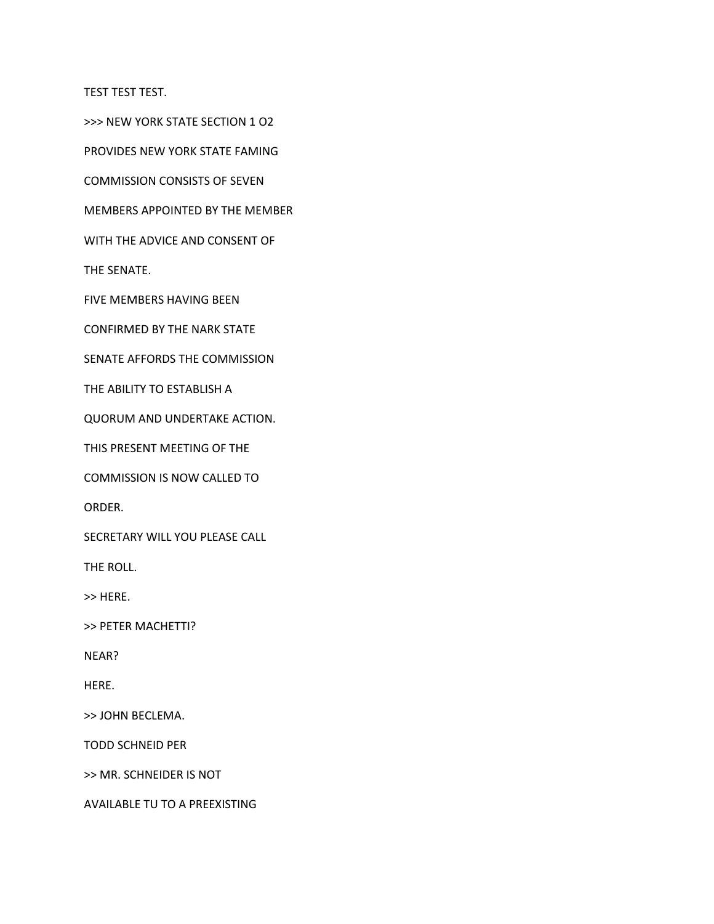TEST TEST TEST.

>>> NEW YORK STATE SECTION 1 O2

PROVIDES NEW YORK STATE FAMING

COMMISSION CONSISTS OF SEVEN

MEMBERS APPOINTED BY THE MEMBER

WITH THE ADVICE AND CONSENT OF

THE SENATE.

FIVE MEMBERS HAVING BEEN

CONFIRMED BY THE NARK STATE

SENATE AFFORDS THE COMMISSION

THE ABILITY TO ESTABLISH A

QUORUM AND UNDERTAKE ACTION.

THIS PRESENT MEETING OF THE

COMMISSION IS NOW CALLED TO

ORDER.

SECRETARY WILL YOU PLEASE CALL

THE ROLL.

>> HERE.

>> PETER MACHETTI?

NEAR?

HERE.

>> JOHN BECLEMA.

TODD SCHNEID PER

>> MR. SCHNEIDER IS NOT

AVAILABLE TU TO A PREEXISTING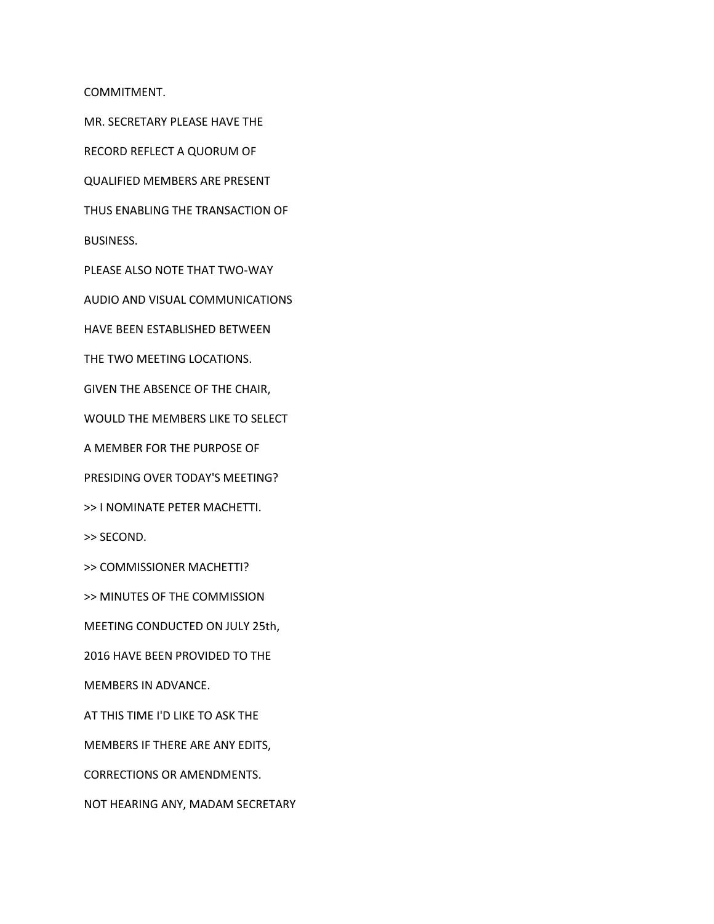COMMITMENT.

MR. SECRETARY PLEASE HAVE THE

RECORD REFLECT A QUORUM OF

QUALIFIED MEMBERS ARE PRESENT

THUS ENABLING THE TRANSACTION OF

BUSINESS.

PLEASE ALSO NOTE THAT TWO-WAY

AUDIO AND VISUAL COMMUNICATIONS

HAVE BEEN ESTABLISHED BETWEEN

THE TWO MEETING LOCATIONS.

GIVEN THE ABSENCE OF THE CHAIR,

WOULD THE MEMBERS LIKE TO SELECT

A MEMBER FOR THE PURPOSE OF

PRESIDING OVER TODAY'S MEETING?

>> I NOMINATE PETER MACHETTI.

>> SECOND.

>> COMMISSIONER MACHETTI?

>> MINUTES OF THE COMMISSION

MEETING CONDUCTED ON JULY 25th,

2016 HAVE BEEN PROVIDED TO THE

MEMBERS IN ADVANCE.

AT THIS TIME I'D LIKE TO ASK THE

MEMBERS IF THERE ARE ANY EDITS,

CORRECTIONS OR AMENDMENTS.

NOT HEARING ANY, MADAM SECRETARY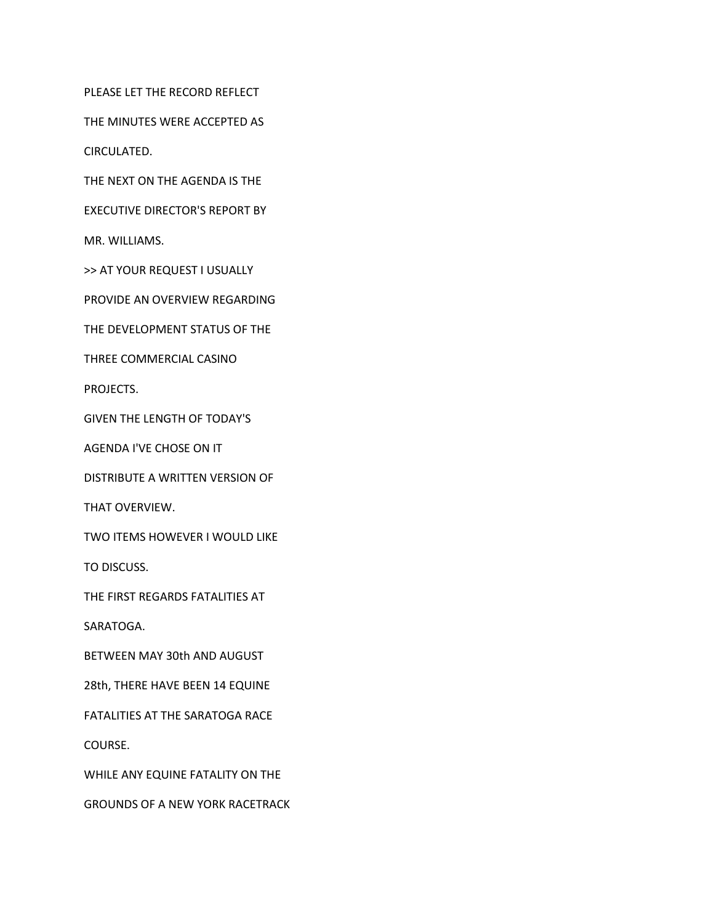PLEASE LET THE RECORD REFLECT

THE MINUTES WERE ACCEPTED AS

CIRCULATED.

THE NEXT ON THE AGENDA IS THE

EXECUTIVE DIRECTOR'S REPORT BY

MR. WILLIAMS.

>> AT YOUR REQUEST I USUALLY

PROVIDE AN OVERVIEW REGARDING

THE DEVELOPMENT STATUS OF THE

THREE COMMERCIAL CASINO

PROJECTS.

GIVEN THE LENGTH OF TODAY'S

AGENDA I'VE CHOSE ON IT

DISTRIBUTE A WRITTEN VERSION OF

THAT OVERVIEW.

TWO ITEMS HOWEVER I WOULD LIKE

TO DISCUSS.

THE FIRST REGARDS FATALITIES AT

SARATOGA.

BETWEEN MAY 30th AND AUGUST

28th, THERE HAVE BEEN 14 EQUINE

FATALITIES AT THE SARATOGA RACE

COURSE.

WHILE ANY EQUINE FATALITY ON THE

GROUNDS OF A NEW YORK RACETRACK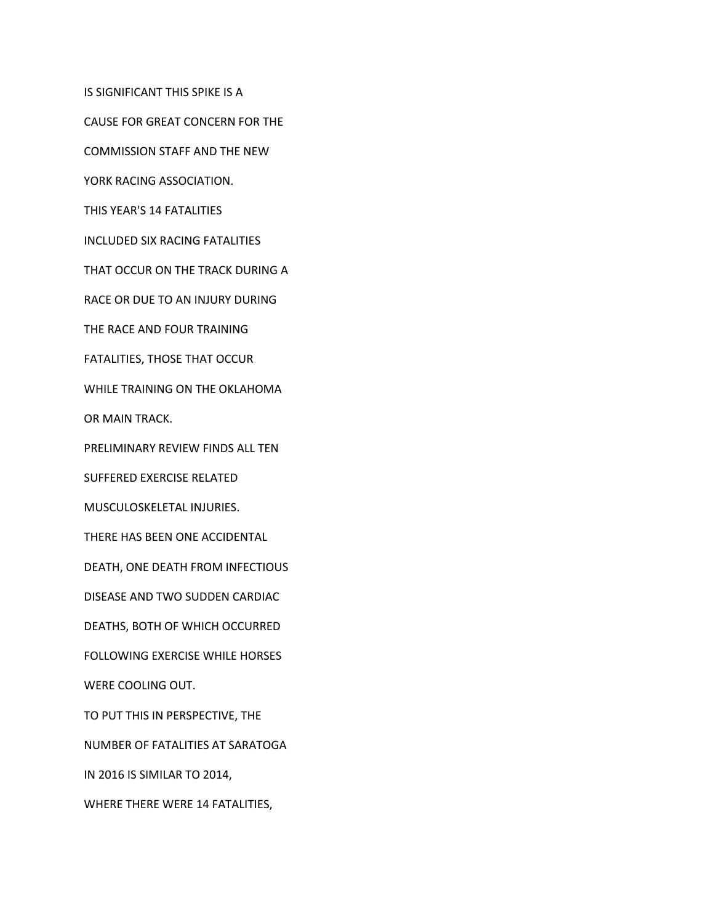IS SIGNIFICANT THIS SPIKE IS A

CAUSE FOR GREAT CONCERN FOR THE

COMMISSION STAFF AND THE NEW

YORK RACING ASSOCIATION.

THIS YEAR'S 14 FATALITIES

INCLUDED SIX RACING FATALITIES

THAT OCCUR ON THE TRACK DURING A

RACE OR DUE TO AN INJURY DURING

THE RACE AND FOUR TRAINING

FATALITIES, THOSE THAT OCCUR

WHILE TRAINING ON THE OKLAHOMA

OR MAIN TRACK.

PRELIMINARY REVIEW FINDS ALL TEN

SUFFERED EXERCISE RELATED

MUSCULOSKELETAL INJURIES.

THERE HAS BEEN ONE ACCIDENTAL

DEATH, ONE DEATH FROM INFECTIOUS

DISEASE AND TWO SUDDEN CARDIAC

DEATHS, BOTH OF WHICH OCCURRED

FOLLOWING EXERCISE WHILE HORSES

WERE COOLING OUT.

TO PUT THIS IN PERSPECTIVE, THE

NUMBER OF FATALITIES AT SARATOGA

IN 2016 IS SIMILAR TO 2014,

WHERE THERE WERE 14 FATALITIES,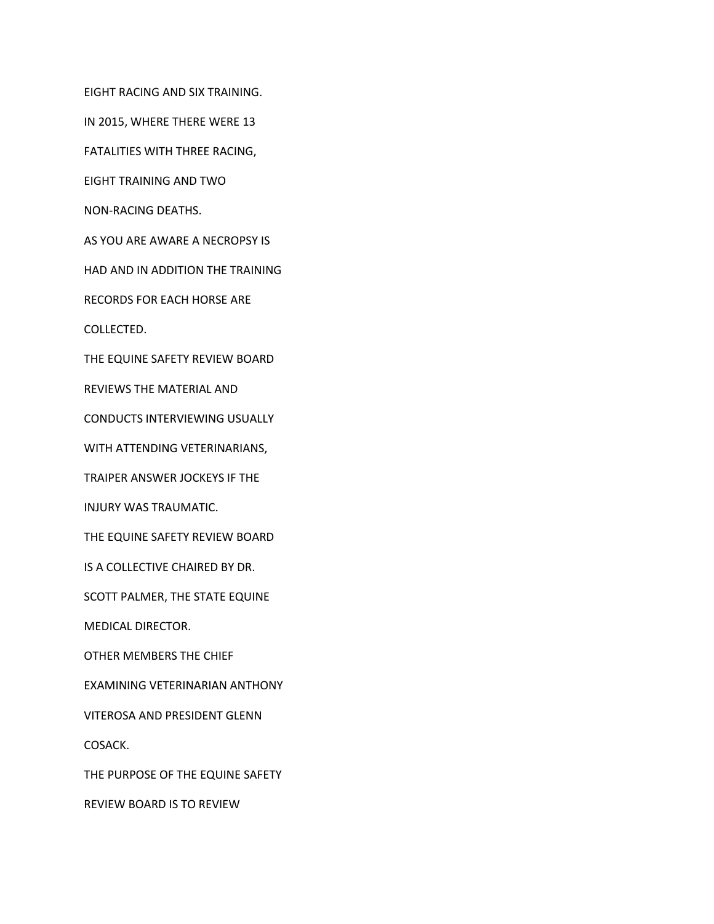EIGHT RACING AND SIX TRAINING.

IN 2015, WHERE THERE WERE 13

FATALITIES WITH THREE RACING,

EIGHT TRAINING AND TWO

NON-RACING DEATHS.

AS YOU ARE AWARE A NECROPSY IS

HAD AND IN ADDITION THE TRAINING

RECORDS FOR EACH HORSE ARE

COLLECTED.

THE EQUINE SAFETY REVIEW BOARD

REVIEWS THE MATERIAL AND

CONDUCTS INTERVIEWING USUALLY

WITH ATTENDING VETERINARIANS,

TRAIPER ANSWER JOCKEYS IF THE

INJURY WAS TRAUMATIC.

THE EQUINE SAFETY REVIEW BOARD

IS A COLLECTIVE CHAIRED BY DR.

SCOTT PALMER, THE STATE EQUINE

MEDICAL DIRECTOR.

OTHER MEMBERS THE CHIEF

EXAMINING VETERINARIAN ANTHONY

VITEROSA AND PRESIDENT GLENN

COSACK.

THE PURPOSE OF THE EQUINE SAFETY

REVIEW BOARD IS TO REVIEW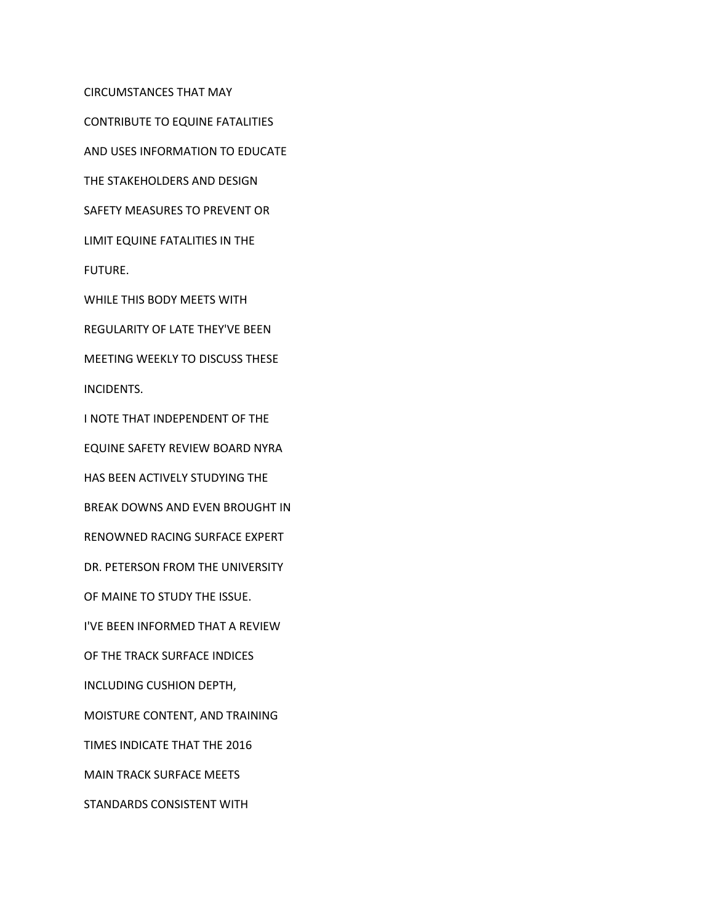CIRCUMSTANCES THAT MAY

CONTRIBUTE TO EQUINE FATALITIES

AND USES INFORMATION TO EDUCATE

THE STAKEHOLDERS AND DESIGN

SAFETY MEASURES TO PREVENT OR

LIMIT EQUINE FATALITIES IN THE

FUTURE.

WHILE THIS BODY MEETS WITH

REGULARITY OF LATE THEY'VE BEEN

MEETING WEEKLY TO DISCUSS THESE

INCIDENTS.

I NOTE THAT INDEPENDENT OF THE

EQUINE SAFETY REVIEW BOARD NYRA

HAS BEEN ACTIVELY STUDYING THE

BREAK DOWNS AND EVEN BROUGHT IN

RENOWNED RACING SURFACE EXPERT

DR. PETERSON FROM THE UNIVERSITY

OF MAINE TO STUDY THE ISSUE.

I'VE BEEN INFORMED THAT A REVIEW

OF THE TRACK SURFACE INDICES

INCLUDING CUSHION DEPTH,

MOISTURE CONTENT, AND TRAINING

TIMES INDICATE THAT THE 2016

MAIN TRACK SURFACE MEETS

STANDARDS CONSISTENT WITH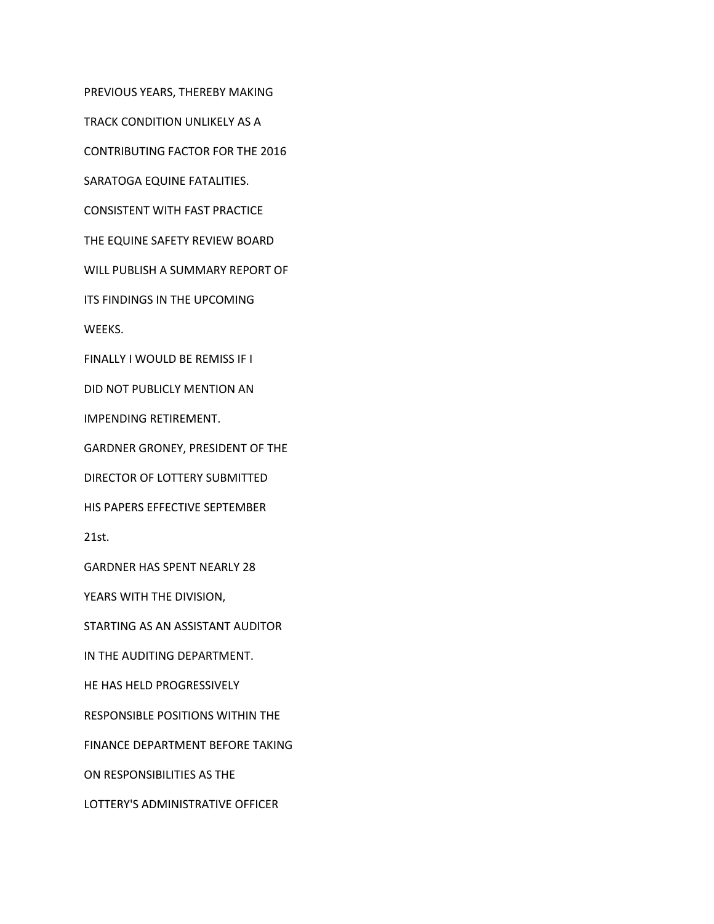PREVIOUS YEARS, THEREBY MAKING

TRACK CONDITION UNLIKELY AS A

CONTRIBUTING FACTOR FOR THE 2016

SARATOGA EQUINE FATALITIES.

CONSISTENT WITH FAST PRACTICE

THE EQUINE SAFETY REVIEW BOARD

WILL PUBLISH A SUMMARY REPORT OF

ITS FINDINGS IN THE UPCOMING

WEEKS.

FINALLY I WOULD BE REMISS IF I

DID NOT PUBLICLY MENTION AN

IMPENDING RETIREMENT.

GARDNER GRONEY, PRESIDENT OF THE

DIRECTOR OF LOTTERY SUBMITTED

HIS PAPERS EFFECTIVE SEPTEMBER

21st.

GARDNER HAS SPENT NEARLY 28

YEARS WITH THE DIVISION,

STARTING AS AN ASSISTANT AUDITOR

IN THE AUDITING DEPARTMENT.

HE HAS HELD PROGRESSIVELY

RESPONSIBLE POSITIONS WITHIN THE

FINANCE DEPARTMENT BEFORE TAKING

ON RESPONSIBILITIES AS THE

LOTTERY'S ADMINISTRATIVE OFFICER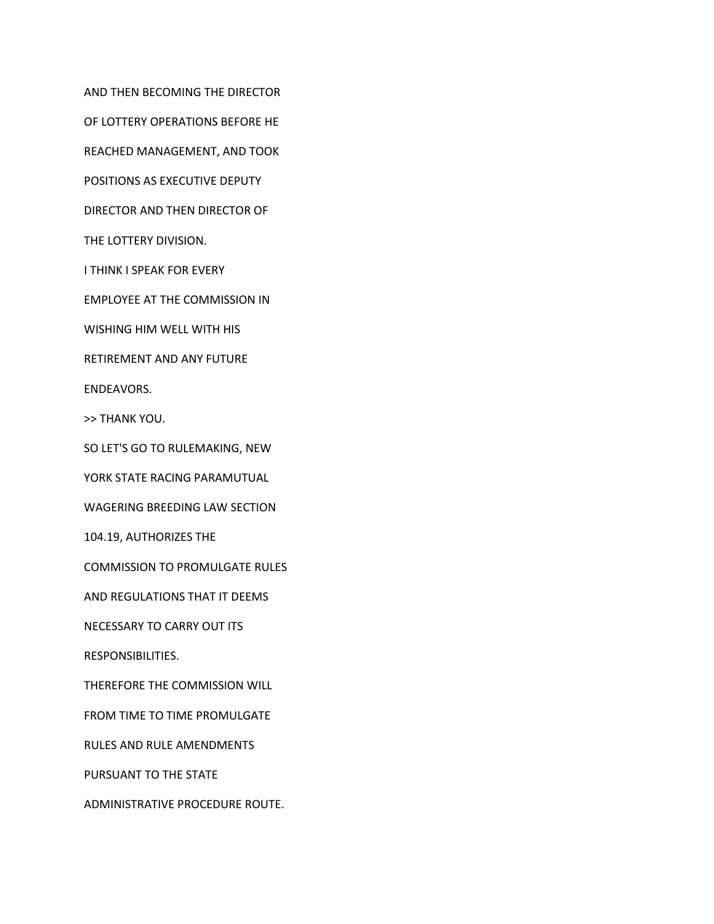AND THEN BECOMING THE DIRECTOR

OF LOTTERY OPERATIONS BEFORE HE

REACHED MANAGEMENT, AND TOOK

POSITIONS AS EXECUTIVE DEPUTY

DIRECTOR AND THEN DIRECTOR OF

THE LOTTERY DIVISION.

I THINK I SPEAK FOR EVERY

EMPLOYEE AT THE COMMISSION IN

WISHING HIM WELL WITH HIS

RETIREMENT AND ANY FUTURE

ENDEAVORS.

>> THANK YOU.

SO LET'S GO TO RULEMAKING, NEW

YORK STATE RACING PARAMUTUAL

WAGERING BREEDING LAW SECTION

104.19, AUTHORIZES THE

COMMISSION TO PROMULGATE RULES

AND REGULATIONS THAT IT DEEMS

NECESSARY TO CARRY OUT ITS

RESPONSIBILITIES.

THEREFORE THE COMMISSION WILL

FROM TIME TO TIME PROMULGATE

RULES AND RULE AMENDMENTS

PURSUANT TO THE STATE

ADMINISTRATIVE PROCEDURE ROUTE.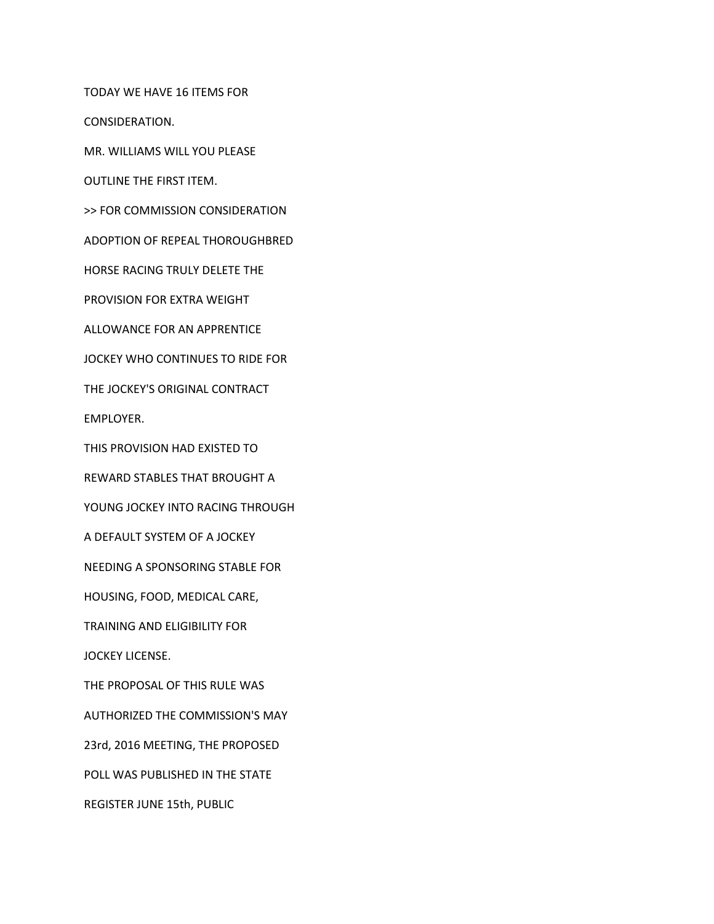TODAY WE HAVE 16 ITEMS FOR

CONSIDERATION.

MR. WILLIAMS WILL YOU PLEASE

OUTLINE THE FIRST ITEM.

>> FOR COMMISSION CONSIDERATION

ADOPTION OF REPEAL THOROUGHBRED

HORSE RACING TRULY DELETE THE

PROVISION FOR EXTRA WEIGHT

ALLOWANCE FOR AN APPRENTICE

JOCKEY WHO CONTINUES TO RIDE FOR

THE JOCKEY'S ORIGINAL CONTRACT

EMPLOYER.

THIS PROVISION HAD EXISTED TO

REWARD STABLES THAT BROUGHT A

YOUNG JOCKEY INTO RACING THROUGH

A DEFAULT SYSTEM OF A JOCKEY

NEEDING A SPONSORING STABLE FOR

HOUSING, FOOD, MEDICAL CARE,

TRAINING AND ELIGIBILITY FOR

JOCKEY LICENSE.

THE PROPOSAL OF THIS RULE WAS

AUTHORIZED THE COMMISSION'S MAY

23rd, 2016 MEETING, THE PROPOSED

POLL WAS PUBLISHED IN THE STATE

REGISTER JUNE 15th, PUBLIC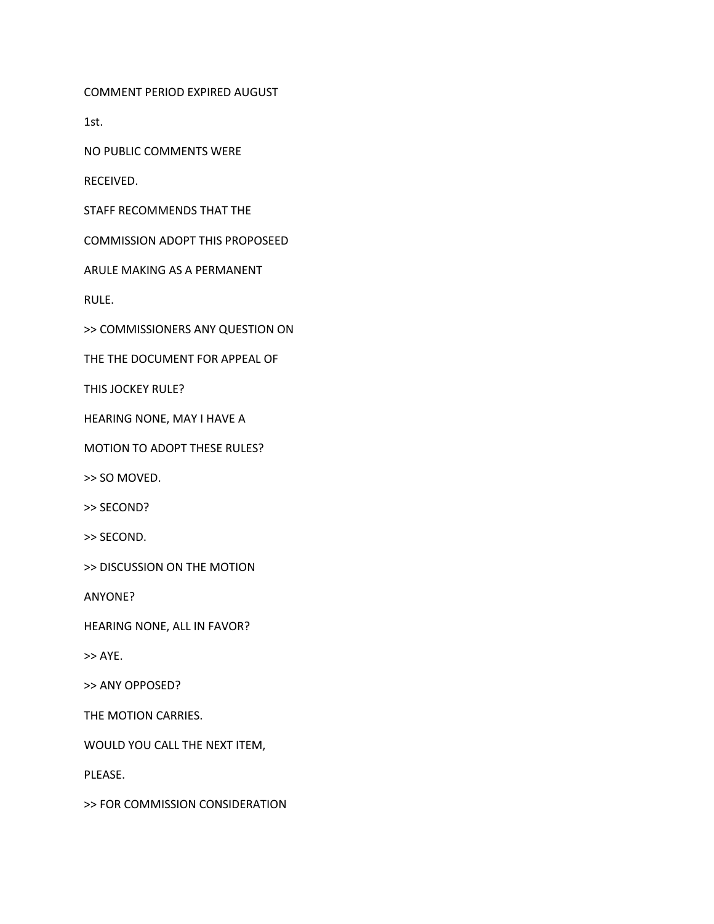COMMENT PERIOD EXPIRED AUGUST

1st.

NO PUBLIC COMMENTS WERE

RECEIVED.

STAFF RECOMMENDS THAT THE

COMMISSION ADOPT THIS PROPOSEED

ARULE MAKING AS A PERMANENT

RULE.

>> COMMISSIONERS ANY QUESTION ON

THE THE DOCUMENT FOR APPEAL OF

THIS JOCKEY RULE?

HEARING NONE, MAY I HAVE A

MOTION TO ADOPT THESE RULES?

>> SO MOVED.

>> SECOND?

>> SECOND.

>> DISCUSSION ON THE MOTION

ANYONE?

HEARING NONE, ALL IN FAVOR?

>> AYE.

>> ANY OPPOSED?

THE MOTION CARRIES.

WOULD YOU CALL THE NEXT ITEM,

PLEASE.

>> FOR COMMISSION CONSIDERATION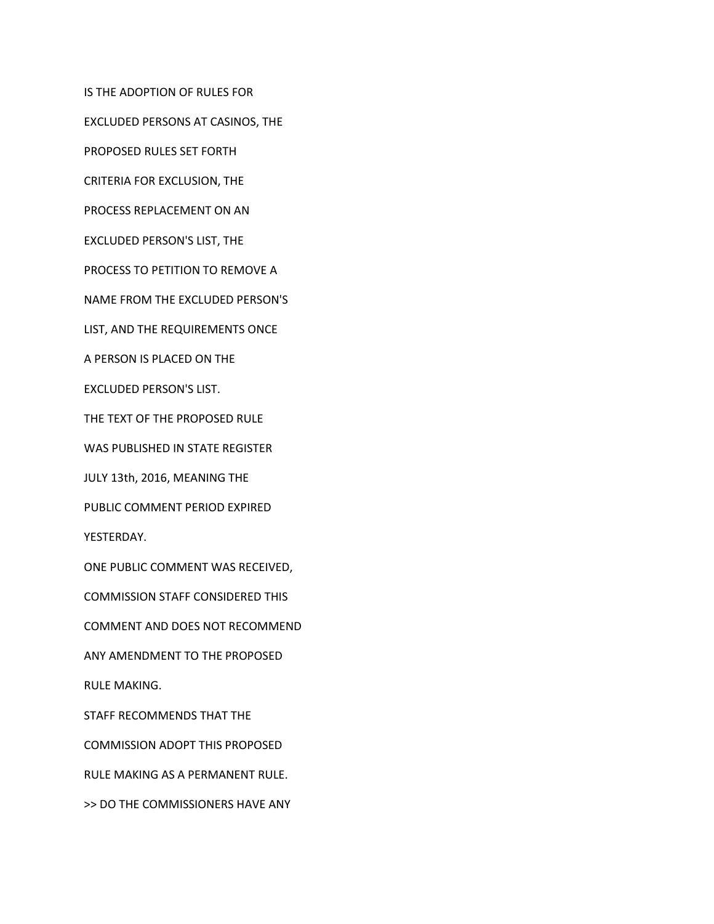IS THE ADOPTION OF RULES FOR

EXCLUDED PERSONS AT CASINOS, THE

PROPOSED RULES SET FORTH

CRITERIA FOR EXCLUSION, THE

PROCESS REPLACEMENT ON AN

EXCLUDED PERSON'S LIST, THE

PROCESS TO PETITION TO REMOVE A

NAME FROM THE EXCLUDED PERSON'S

LIST, AND THE REQUIREMENTS ONCE

A PERSON IS PLACED ON THE

EXCLUDED PERSON'S LIST.

THE TEXT OF THE PROPOSED RULE

WAS PUBLISHED IN STATE REGISTER

JULY 13th, 2016, MEANING THE

PUBLIC COMMENT PERIOD EXPIRED

YESTERDAY.

ONE PUBLIC COMMENT WAS RECEIVED,

COMMISSION STAFF CONSIDERED THIS

COMMENT AND DOES NOT RECOMMEND

ANY AMENDMENT TO THE PROPOSED

RULE MAKING.

STAFF RECOMMENDS THAT THE

COMMISSION ADOPT THIS PROPOSED

RULE MAKING AS A PERMANENT RULE.

>> DO THE COMMISSIONERS HAVE ANY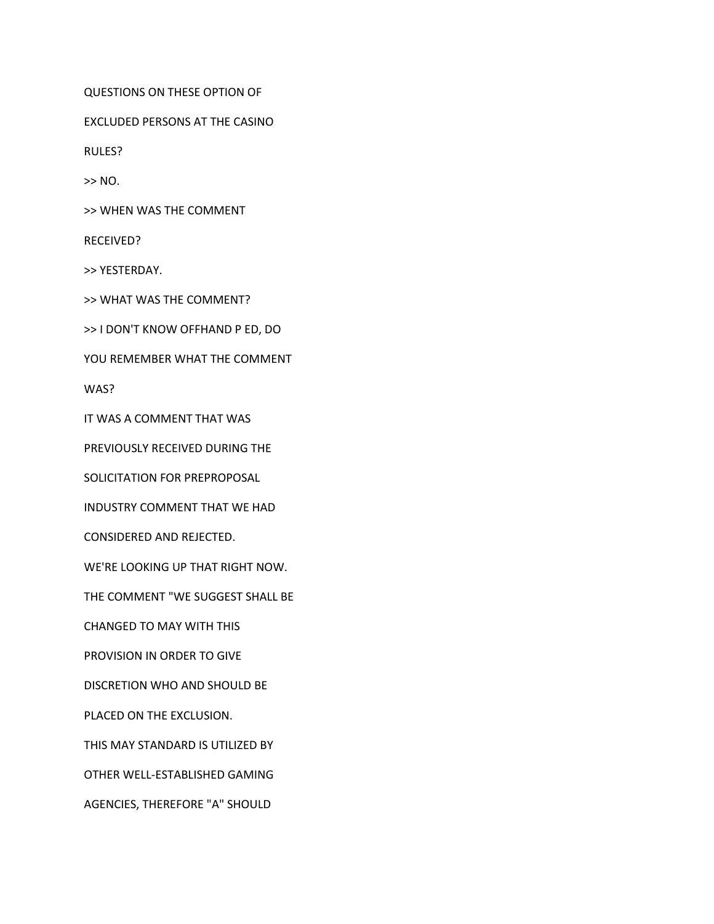QUESTIONS ON THESE OPTION OF

EXCLUDED PERSONS AT THE CASINO

RULES?

>> NO.

>> WHEN WAS THE COMMENT

RECEIVED?

>> YESTERDAY.

>> WHAT WAS THE COMMENT?

>> I DON'T KNOW OFFHAND P ED, DO

YOU REMEMBER WHAT THE COMMENT

WAS?

IT WAS A COMMENT THAT WAS

PREVIOUSLY RECEIVED DURING THE

SOLICITATION FOR PREPROPOSAL

INDUSTRY COMMENT THAT WE HAD

CONSIDERED AND REJECTED.

WE'RE LOOKING UP THAT RIGHT NOW.

THE COMMENT "WE SUGGEST SHALL BE

CHANGED TO MAY WITH THIS

PROVISION IN ORDER TO GIVE

DISCRETION WHO AND SHOULD BE

PLACED ON THE EXCLUSION.

THIS MAY STANDARD IS UTILIZED BY

OTHER WELL-ESTABLISHED GAMING

AGENCIES, THEREFORE "A" SHOULD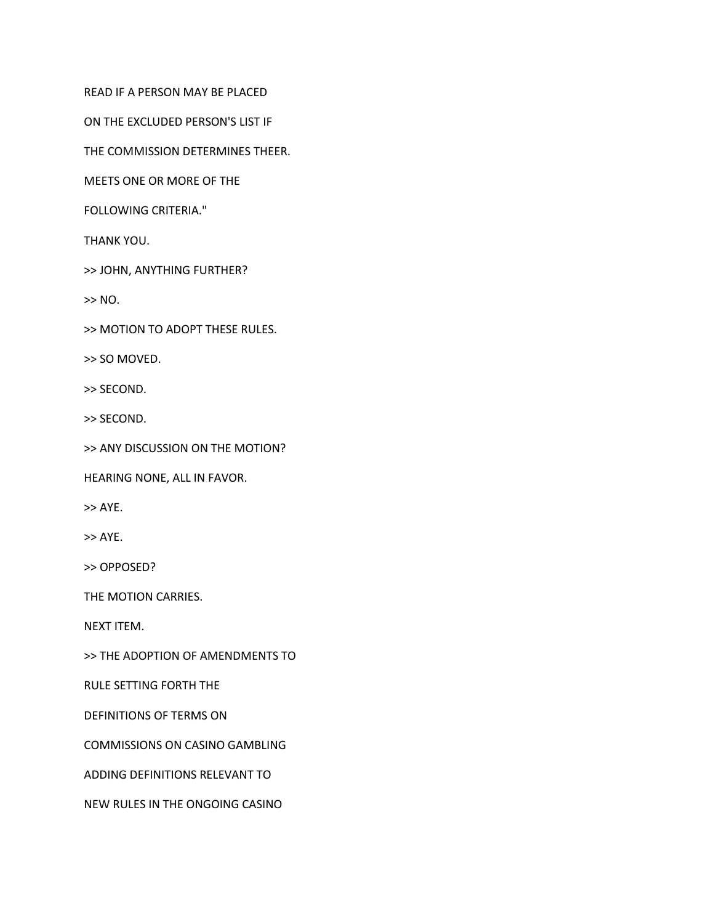READ IF A PERSON MAY BE PLACED

ON THE EXCLUDED PERSON'S LIST IF

THE COMMISSION DETERMINES THEER.

MEETS ONE OR MORE OF THE

FOLLOWING CRITERIA."

THANK YOU.

>> JOHN, ANYTHING FURTHER?

>> NO.

>> MOTION TO ADOPT THESE RULES.

>> SO MOVED.

>> SECOND.

>> SECOND.

>> ANY DISCUSSION ON THE MOTION?

HEARING NONE, ALL IN FAVOR.

>> AYE.

>> AYE.

>> OPPOSED?

THE MOTION CARRIES.

NEXT ITEM.

>> THE ADOPTION OF AMENDMENTS TO

RULE SETTING FORTH THE

DEFINITIONS OF TERMS ON

COMMISSIONS ON CASINO GAMBLING

ADDING DEFINITIONS RELEVANT TO

NEW RULES IN THE ONGOING CASINO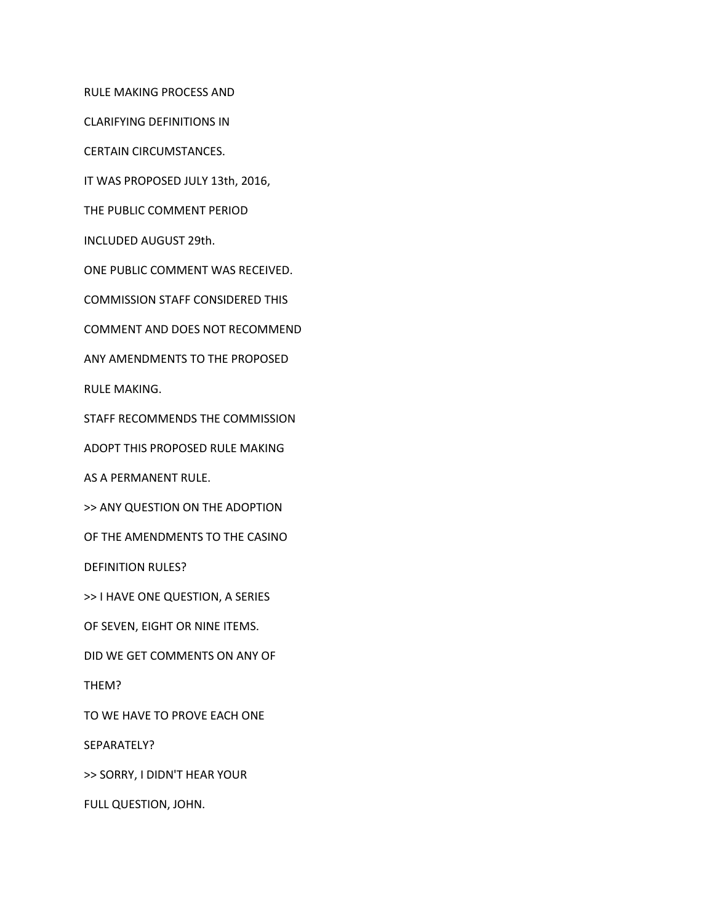RULE MAKING PROCESS AND

CLARIFYING DEFINITIONS IN

CERTAIN CIRCUMSTANCES.

IT WAS PROPOSED JULY 13th, 2016,

THE PUBLIC COMMENT PERIOD

INCLUDED AUGUST 29th.

ONE PUBLIC COMMENT WAS RECEIVED.

COMMISSION STAFF CONSIDERED THIS

COMMENT AND DOES NOT RECOMMEND

ANY AMENDMENTS TO THE PROPOSED

RULE MAKING.

STAFF RECOMMENDS THE COMMISSION

ADOPT THIS PROPOSED RULE MAKING

AS A PERMANENT RULE.

>> ANY QUESTION ON THE ADOPTION

OF THE AMENDMENTS TO THE CASINO

DEFINITION RULES?

>> I HAVE ONE QUESTION, A SERIES

OF SEVEN, EIGHT OR NINE ITEMS.

DID WE GET COMMENTS ON ANY OF

THEM?

TO WE HAVE TO PROVE EACH ONE

SEPARATELY?

>> SORRY, I DIDN'T HEAR YOUR

FULL QUESTION, JOHN.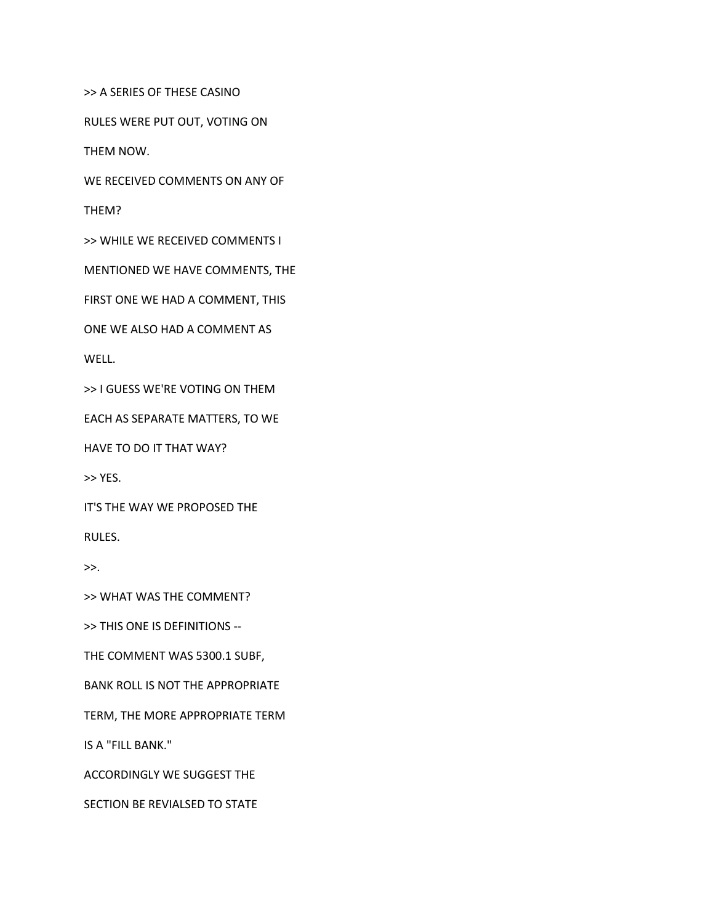>> A SERIES OF THESE CASINO

RULES WERE PUT OUT, VOTING ON

THEM NOW.

WE RECEIVED COMMENTS ON ANY OF

THEM?

>> WHILE WE RECEIVED COMMENTS I

MENTIONED WE HAVE COMMENTS, THE

FIRST ONE WE HAD A COMMENT, THIS

ONE WE ALSO HAD A COMMENT AS

WELL.

>> I GUESS WE'RE VOTING ON THEM

EACH AS SEPARATE MATTERS, TO WE

HAVE TO DO IT THAT WAY?

>> YES.

IT'S THE WAY WE PROPOSED THE

RULES.

 $>>.$ 

>> WHAT WAS THE COMMENT?

>> THIS ONE IS DEFINITIONS --

THE COMMENT WAS 5300.1 SUBF,

BANK ROLL IS NOT THE APPROPRIATE

TERM, THE MORE APPROPRIATE TERM

IS A "FILL BANK."

ACCORDINGLY WE SUGGEST THE

SECTION BE REVIALSED TO STATE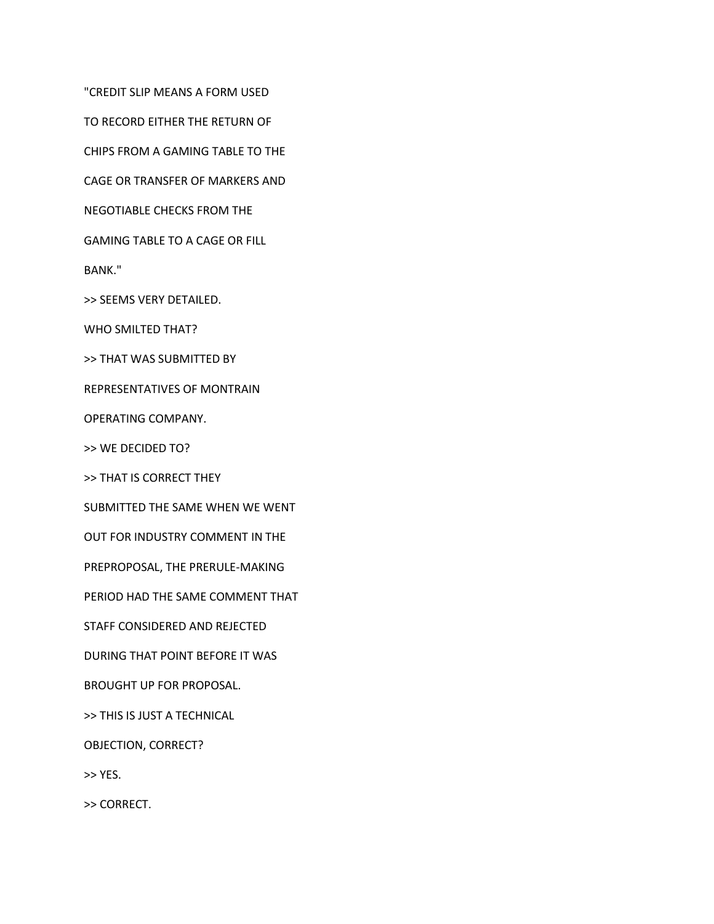"CREDIT SLIP MEANS A FORM USED

TO RECORD EITHER THE RETURN OF

CHIPS FROM A GAMING TABLE TO THE

CAGE OR TRANSFER OF MARKERS AND

NEGOTIABLE CHECKS FROM THE

GAMING TABLE TO A CAGE OR FILL

BANK."

>> SEEMS VERY DETAILED.

WHO SMILTED THAT?

>> THAT WAS SUBMITTED BY

REPRESENTATIVES OF MONTRAIN

OPERATING COMPANY.

>> WE DECIDED TO?

>> THAT IS CORRECT THEY

SUBMITTED THE SAME WHEN WE WENT

OUT FOR INDUSTRY COMMENT IN THE

PREPROPOSAL, THE PRERULE-MAKING

PERIOD HAD THE SAME COMMENT THAT

STAFF CONSIDERED AND REJECTED

DURING THAT POINT BEFORE IT WAS

BROUGHT UP FOR PROPOSAL.

>> THIS IS JUST A TECHNICAL

OBJECTION, CORRECT?

>> YES.

>> CORRECT.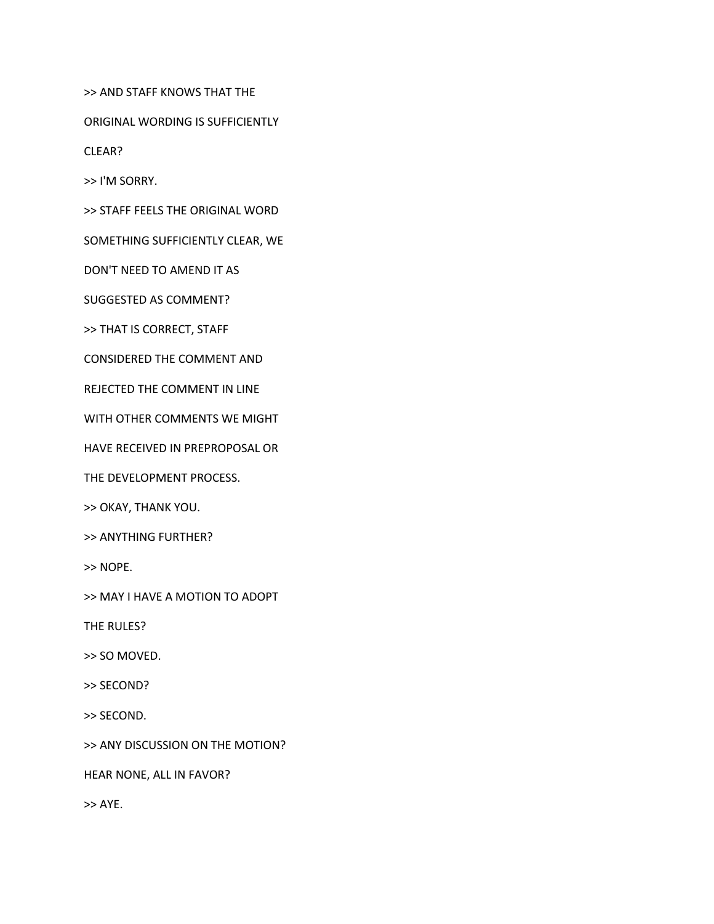>> AND STAFF KNOWS THAT THE

ORIGINAL WORDING IS SUFFICIENTLY

CLEAR?

>> I'M SORRY.

>> STAFF FEELS THE ORIGINAL WORD

SOMETHING SUFFICIENTLY CLEAR, WE

DON'T NEED TO AMEND IT AS

SUGGESTED AS COMMENT?

>> THAT IS CORRECT, STAFF

CONSIDERED THE COMMENT AND

REJECTED THE COMMENT IN LINE

WITH OTHER COMMENTS WE MIGHT

HAVE RECEIVED IN PREPROPOSAL OR

THE DEVELOPMENT PROCESS.

>> OKAY, THANK YOU.

>> ANYTHING FURTHER?

>> NOPE.

>> MAY I HAVE A MOTION TO ADOPT

THE RULES?

>> SO MOVED.

>> SECOND?

>> SECOND.

>> ANY DISCUSSION ON THE MOTION?

HEAR NONE, ALL IN FAVOR?

>> AYE.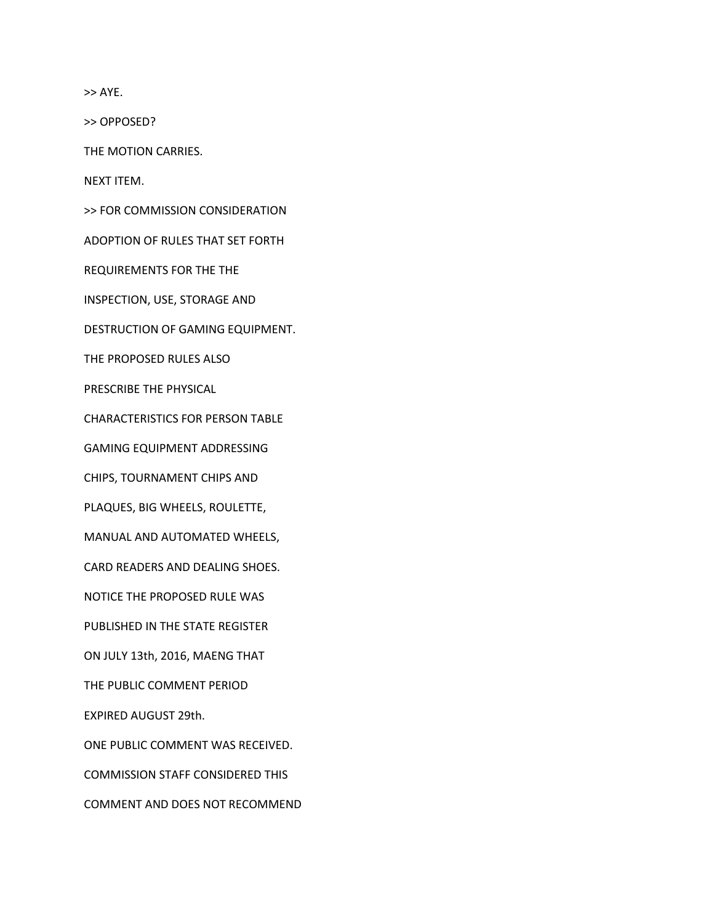>> AYE.

>> OPPOSED?

THE MOTION CARRIES.

NEXT ITEM.

>> FOR COMMISSION CONSIDERATION

ADOPTION OF RULES THAT SET FORTH

REQUIREMENTS FOR THE THE

INSPECTION, USE, STORAGE AND

DESTRUCTION OF GAMING EQUIPMENT.

THE PROPOSED RULES ALSO

PRESCRIBE THE PHYSICAL

CHARACTERISTICS FOR PERSON TABLE

GAMING EQUIPMENT ADDRESSING

CHIPS, TOURNAMENT CHIPS AND

PLAQUES, BIG WHEELS, ROULETTE,

MANUAL AND AUTOMATED WHEELS,

CARD READERS AND DEALING SHOES.

NOTICE THE PROPOSED RULE WAS

PUBLISHED IN THE STATE REGISTER

ON JULY 13th, 2016, MAENG THAT

THE PUBLIC COMMENT PERIOD

EXPIRED AUGUST 29th.

ONE PUBLIC COMMENT WAS RECEIVED.

COMMISSION STAFF CONSIDERED THIS

COMMENT AND DOES NOT RECOMMEND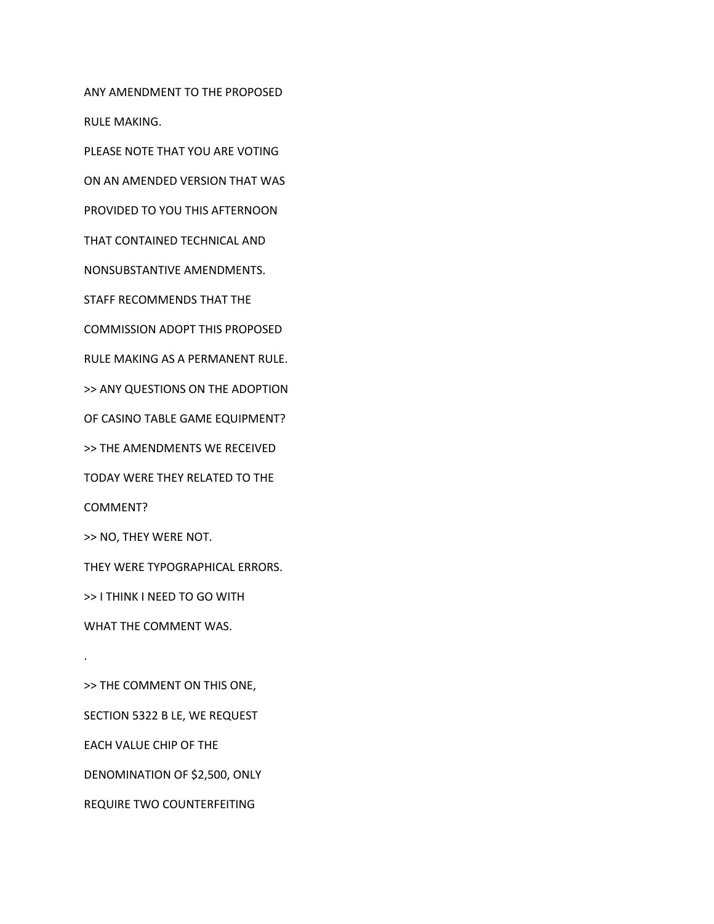ANY AMENDMENT TO THE PROPOSED RULE MAKING.

PLEASE NOTE THAT YOU ARE VOTING

ON AN AMENDED VERSION THAT WAS

PROVIDED TO YOU THIS AFTERNOON

THAT CONTAINED TECHNICAL AND

NONSUBSTANTIVE AMENDMENTS.

STAFF RECOMMENDS THAT THE

COMMISSION ADOPT THIS PROPOSED

RULE MAKING AS A PERMANENT RULE.

>> ANY QUESTIONS ON THE ADOPTION

OF CASINO TABLE GAME EQUIPMENT?

>> THE AMENDMENTS WE RECEIVED

TODAY WERE THEY RELATED TO THE

COMMENT?

.

>> NO, THEY WERE NOT.

THEY WERE TYPOGRAPHICAL ERRORS.

>> I THINK I NEED TO GO WITH

WHAT THE COMMENT WAS.

>> THE COMMENT ON THIS ONE, SECTION 5322 B LE, WE REQUEST EACH VALUE CHIP OF THE DENOMINATION OF \$2,500, ONLY REQUIRE TWO COUNTERFEITING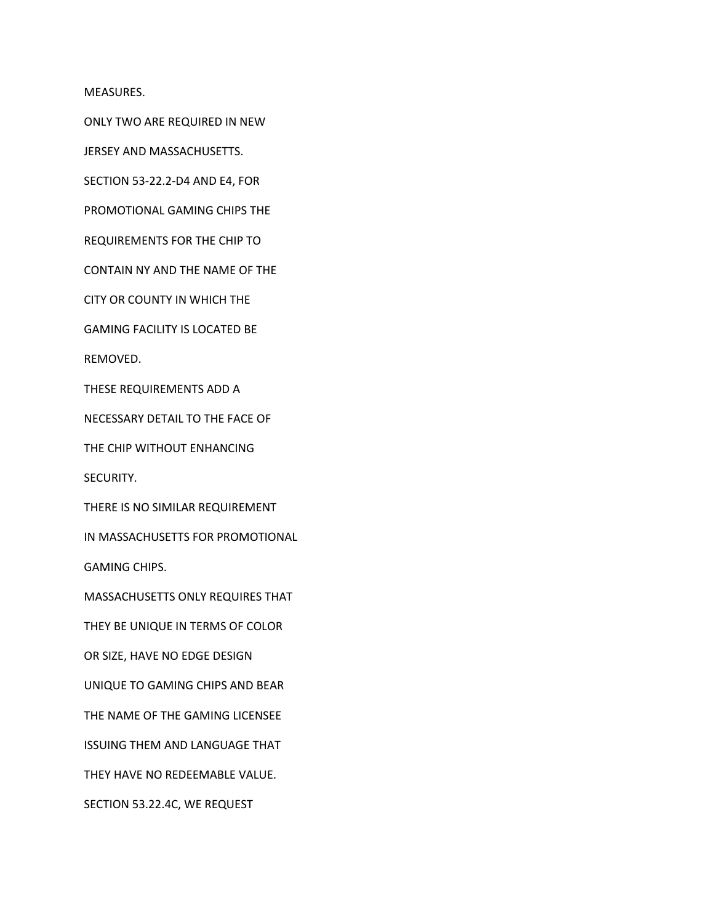MEASURES.

ONLY TWO ARE REQUIRED IN NEW

JERSEY AND MASSACHUSETTS.

SECTION 53-22.2-D4 AND E4, FOR

PROMOTIONAL GAMING CHIPS THE

REQUIREMENTS FOR THE CHIP TO

CONTAIN NY AND THE NAME OF THE

CITY OR COUNTY IN WHICH THE

GAMING FACILITY IS LOCATED BE

REMOVED.

THESE REQUIREMENTS ADD A

NECESSARY DETAIL TO THE FACE OF

THE CHIP WITHOUT ENHANCING

SECURITY.

THERE IS NO SIMILAR REQUIREMENT

IN MASSACHUSETTS FOR PROMOTIONAL

GAMING CHIPS.

MASSACHUSETTS ONLY REQUIRES THAT

THEY BE UNIQUE IN TERMS OF COLOR

OR SIZE, HAVE NO EDGE DESIGN

UNIQUE TO GAMING CHIPS AND BEAR

THE NAME OF THE GAMING LICENSEE

ISSUING THEM AND LANGUAGE THAT

THEY HAVE NO REDEEMABLE VALUE.

SECTION 53.22.4C, WE REQUEST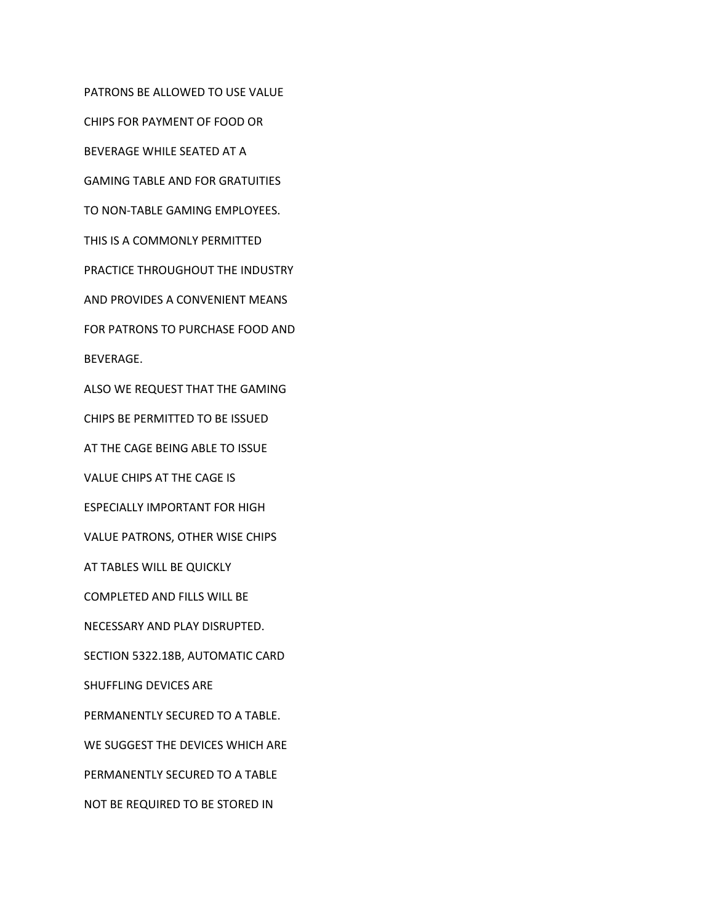PATRONS BE ALLOWED TO USE VALUE CHIPS FOR PAYMENT OF FOOD OR BEVERAGE WHILE SEATED AT A GAMING TABLE AND FOR GRATUITIES TO NON-TABLE GAMING EMPLOYEES. THIS IS A COMMONLY PERMITTED PRACTICE THROUGHOUT THE INDUSTRY AND PROVIDES A CONVENIENT MEANS FOR PATRONS TO PURCHASE FOOD AND BEVERAGE. ALSO WE REQUEST THAT THE GAMING CHIPS BE PERMITTED TO BE ISSUED AT THE CAGE BEING ABLE TO ISSUE VALUE CHIPS AT THE CAGE IS ESPECIALLY IMPORTANT FOR HIGH VALUE PATRONS, OTHER WISE CHIPS AT TABLES WILL BE QUICKLY COMPLETED AND FILLS WILL BE NECESSARY AND PLAY DISRUPTED. SECTION 5322.18B, AUTOMATIC CARD SHUFFLING DEVICES ARE PERMANENTLY SECURED TO A TABLE. WE SUGGEST THE DEVICES WHICH ARE PERMANENTLY SECURED TO A TABLE NOT BE REQUIRED TO BE STORED IN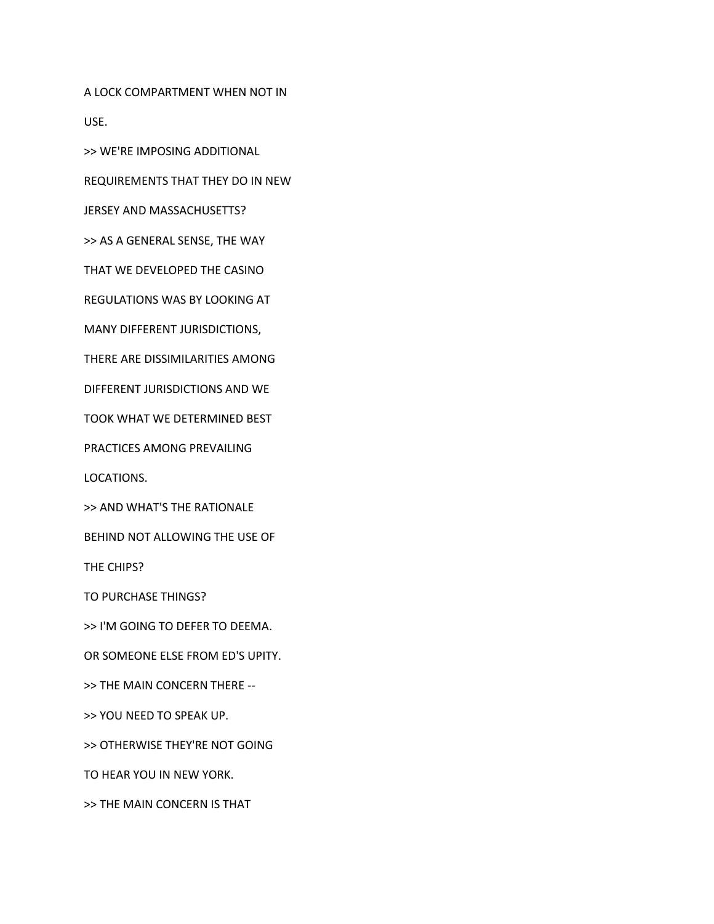A LOCK COMPARTMENT WHEN NOT IN USE.

>> WE'RE IMPOSING ADDITIONAL

REQUIREMENTS THAT THEY DO IN NEW

JERSEY AND MASSACHUSETTS?

>> AS A GENERAL SENSE, THE WAY

THAT WE DEVELOPED THE CASINO

REGULATIONS WAS BY LOOKING AT

MANY DIFFERENT JURISDICTIONS,

THERE ARE DISSIMILARITIES AMONG

DIFFERENT JURISDICTIONS AND WE

TOOK WHAT WE DETERMINED BEST

PRACTICES AMONG PREVAILING

LOCATIONS.

>> AND WHAT'S THE RATIONALE

BEHIND NOT ALLOWING THE USE OF

THE CHIPS?

TO PURCHASE THINGS?

>> I'M GOING TO DEFER TO DEEMA.

OR SOMEONE ELSE FROM ED'S UPITY.

>> THE MAIN CONCERN THERE --

>> YOU NEED TO SPEAK UP.

>> OTHERWISE THEY'RE NOT GOING

TO HEAR YOU IN NEW YORK.

>> THE MAIN CONCERN IS THAT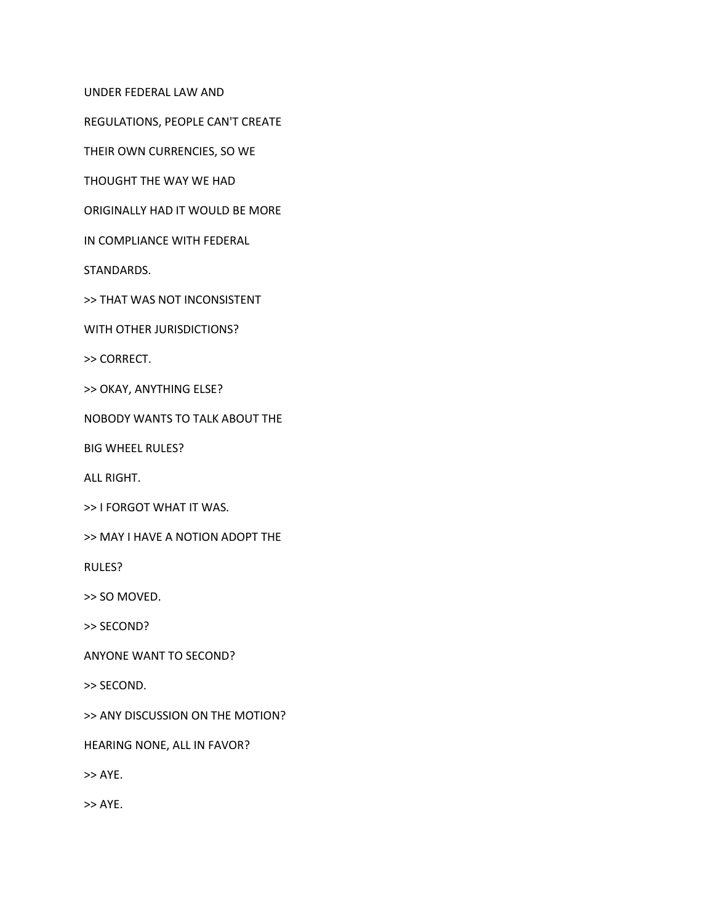UNDER FEDERAL LAW AND

REGULATIONS, PEOPLE CAN'T CREATE

THEIR OWN CURRENCIES, SO WE

THOUGHT THE WAY WE HAD

ORIGINALLY HAD IT WOULD BE MORE

IN COMPLIANCE WITH FEDERAL

STANDARDS.

>> THAT WAS NOT INCONSISTENT

WITH OTHER JURISDICTIONS?

>> CORRECT.

>> OKAY, ANYTHING ELSE?

NOBODY WANTS TO TALK ABOUT THE

BIG WHEEL RULES?

ALL RIGHT.

>> I FORGOT WHAT IT WAS.

>> MAY I HAVE A NOTION ADOPT THE

RULES?

>> SO MOVED.

>> SECOND?

ANYONE WANT TO SECOND?

>> SECOND.

>> ANY DISCUSSION ON THE MOTION?

HEARING NONE, ALL IN FAVOR?

>> AYE.

>> AYE.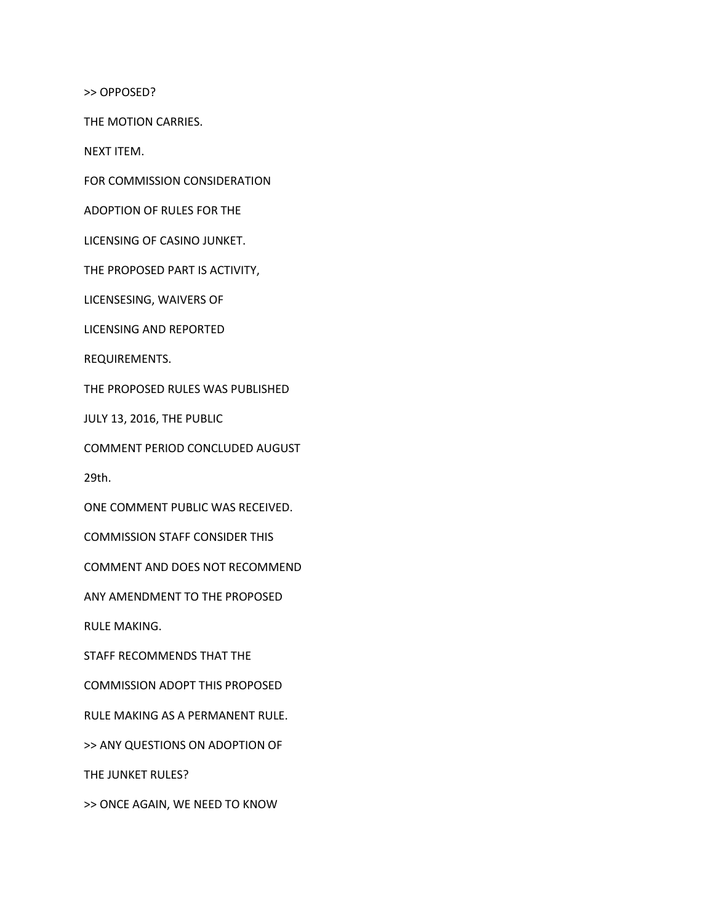>> OPPOSED?

THE MOTION CARRIES.

NEXT ITEM.

FOR COMMISSION CONSIDERATION

ADOPTION OF RULES FOR THE

LICENSING OF CASINO JUNKET.

THE PROPOSED PART IS ACTIVITY,

LICENSESING, WAIVERS OF

LICENSING AND REPORTED

REQUIREMENTS.

THE PROPOSED RULES WAS PUBLISHED

JULY 13, 2016, THE PUBLIC

COMMENT PERIOD CONCLUDED AUGUST

29th.

ONE COMMENT PUBLIC WAS RECEIVED.

COMMISSION STAFF CONSIDER THIS

COMMENT AND DOES NOT RECOMMEND

ANY AMENDMENT TO THE PROPOSED

RULE MAKING.

STAFF RECOMMENDS THAT THE

COMMISSION ADOPT THIS PROPOSED

RULE MAKING AS A PERMANENT RULE.

>> ANY QUESTIONS ON ADOPTION OF

THE JUNKET RULES?

>> ONCE AGAIN, WE NEED TO KNOW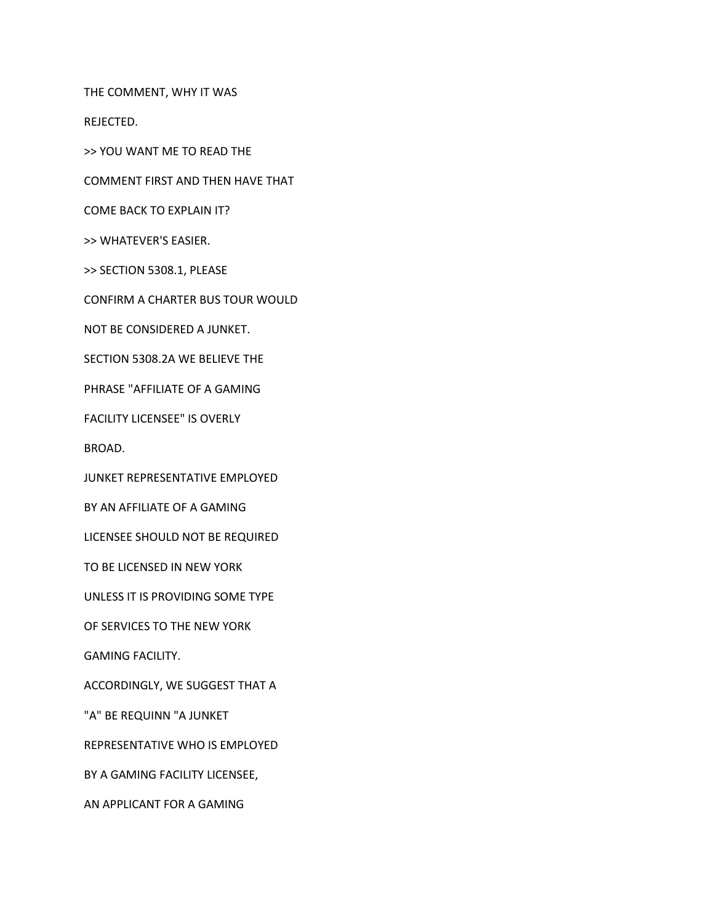THE COMMENT, WHY IT WAS

REJECTED.

>> YOU WANT ME TO READ THE

COMMENT FIRST AND THEN HAVE THAT

COME BACK TO EXPLAIN IT?

>> WHATEVER'S EASIER.

>> SECTION 5308.1, PLEASE

CONFIRM A CHARTER BUS TOUR WOULD

NOT BE CONSIDERED A JUNKET.

SECTION 5308.2A WE BELIEVE THE

PHRASE "AFFILIATE OF A GAMING

FACILITY LICENSEE" IS OVERLY

BROAD.

JUNKET REPRESENTATIVE EMPLOYED

BY AN AFFILIATE OF A GAMING

LICENSEE SHOULD NOT BE REQUIRED

TO BE LICENSED IN NEW YORK

UNLESS IT IS PROVIDING SOME TYPE

OF SERVICES TO THE NEW YORK

GAMING FACILITY.

ACCORDINGLY, WE SUGGEST THAT A

"A" BE REQUINN "A JUNKET

REPRESENTATIVE WHO IS EMPLOYED

BY A GAMING FACILITY LICENSEE,

AN APPLICANT FOR A GAMING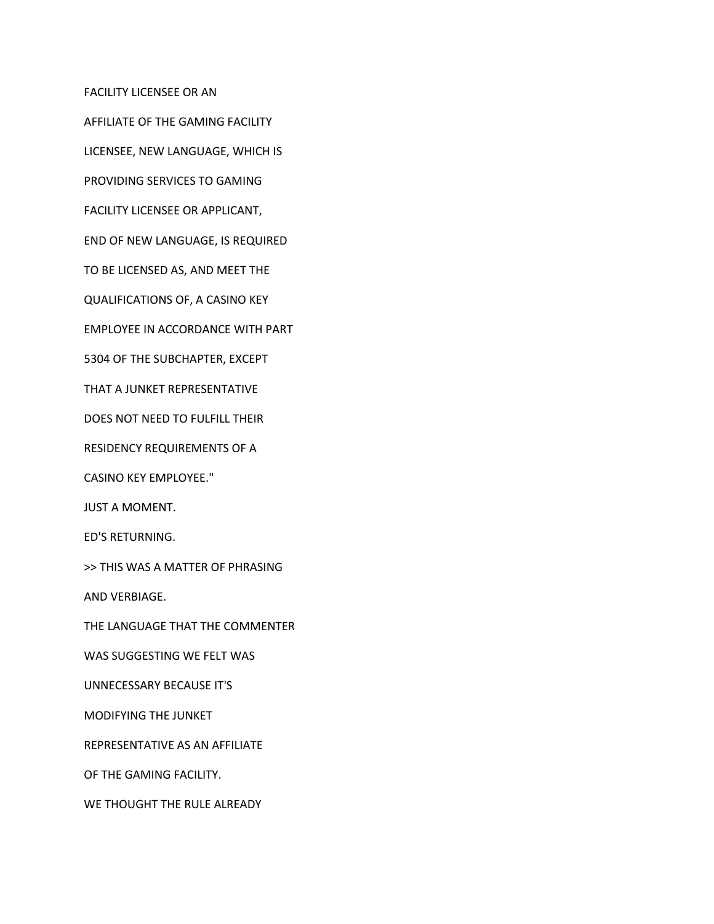FACILITY LICENSEE OR AN

AFFILIATE OF THE GAMING FACILITY

LICENSEE, NEW LANGUAGE, WHICH IS

PROVIDING SERVICES TO GAMING

FACILITY LICENSEE OR APPLICANT,

END OF NEW LANGUAGE, IS REQUIRED

TO BE LICENSED AS, AND MEET THE

QUALIFICATIONS OF, A CASINO KEY

EMPLOYEE IN ACCORDANCE WITH PART

5304 OF THE SUBCHAPTER, EXCEPT

THAT A JUNKET REPRESENTATIVE

DOES NOT NEED TO FULFILL THEIR

RESIDENCY REQUIREMENTS OF A

CASINO KEY EMPLOYEE."

JUST A MOMENT.

ED'S RETURNING.

>> THIS WAS A MATTER OF PHRASING

AND VERBIAGE.

THE LANGUAGE THAT THE COMMENTER

WAS SUGGESTING WE FELT WAS

UNNECESSARY BECAUSE IT'S

MODIFYING THE JUNKET

REPRESENTATIVE AS AN AFFILIATE

OF THE GAMING FACILITY.

WE THOUGHT THE RULE ALREADY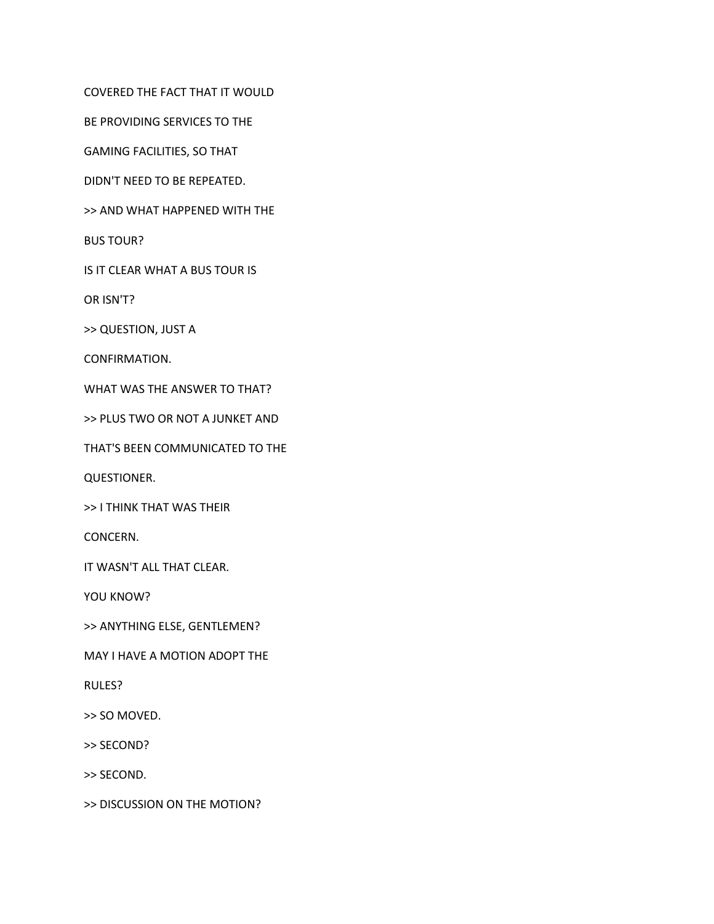COVERED THE FACT THAT IT WOULD

BE PROVIDING SERVICES TO THE

GAMING FACILITIES, SO THAT

DIDN'T NEED TO BE REPEATED.

>> AND WHAT HAPPENED WITH THE

BUS TOUR?

IS IT CLEAR WHAT A BUS TOUR IS

OR ISN'T?

>> QUESTION, JUST A

CONFIRMATION.

WHAT WAS THE ANSWER TO THAT?

>> PLUS TWO OR NOT A JUNKET AND

THAT'S BEEN COMMUNICATED TO THE

QUESTIONER.

>> I THINK THAT WAS THEIR

CONCERN.

IT WASN'T ALL THAT CLEAR.

YOU KNOW?

>> ANYTHING ELSE, GENTLEMEN?

MAY I HAVE A MOTION ADOPT THE

RULES?

>> SO MOVED.

>> SECOND?

>> SECOND.

>> DISCUSSION ON THE MOTION?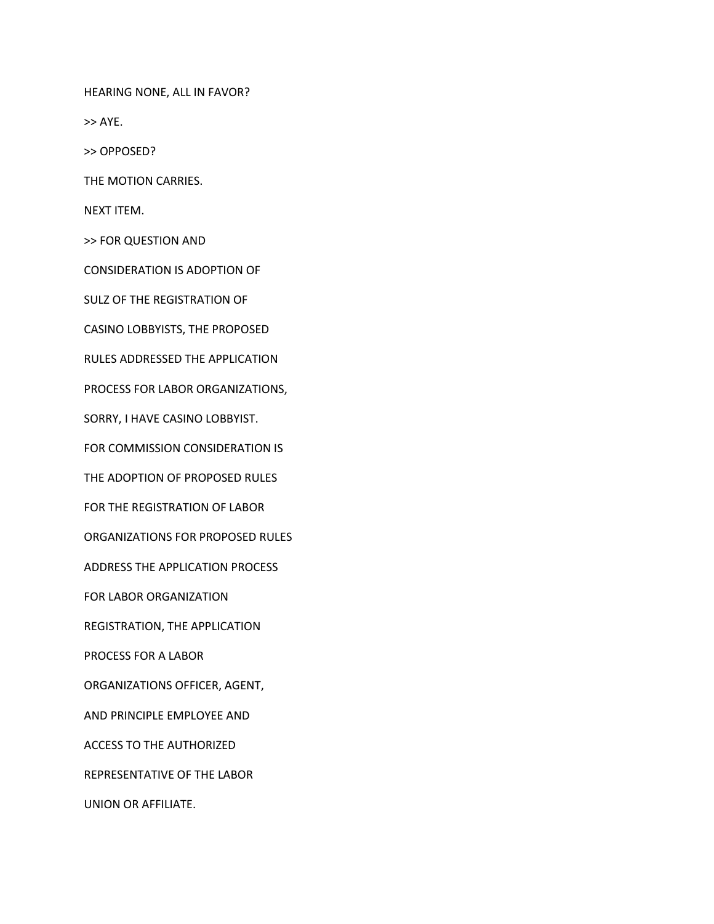HEARING NONE, ALL IN FAVOR?

>> AYE.

>> OPPOSED?

THE MOTION CARRIES.

NEXT ITEM.

>> FOR QUESTION AND

CONSIDERATION IS ADOPTION OF

SULZ OF THE REGISTRATION OF

CASINO LOBBYISTS, THE PROPOSED

RULES ADDRESSED THE APPLICATION

PROCESS FOR LABOR ORGANIZATIONS,

SORRY, I HAVE CASINO LOBBYIST.

FOR COMMISSION CONSIDERATION IS

THE ADOPTION OF PROPOSED RULES

FOR THE REGISTRATION OF LABOR

ORGANIZATIONS FOR PROPOSED RULES

ADDRESS THE APPLICATION PROCESS

FOR LABOR ORGANIZATION

REGISTRATION, THE APPLICATION

PROCESS FOR A LABOR

ORGANIZATIONS OFFICER, AGENT,

AND PRINCIPLE EMPLOYEE AND

ACCESS TO THE AUTHORIZED

REPRESENTATIVE OF THE LABOR

UNION OR AFFILIATE.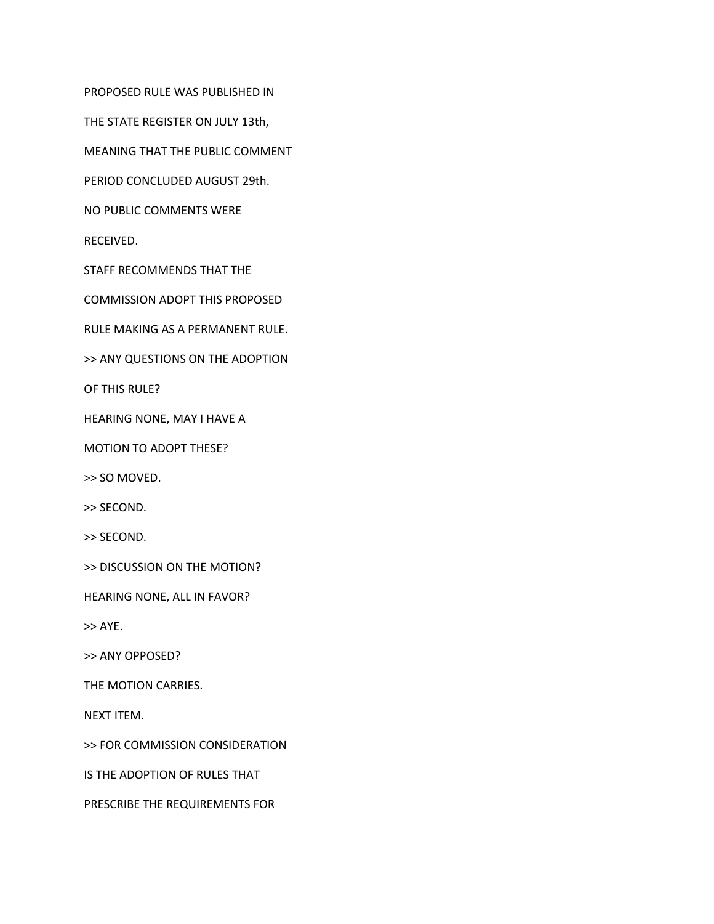PROPOSED RULE WAS PUBLISHED IN

THE STATE REGISTER ON JULY 13th,

MEANING THAT THE PUBLIC COMMENT

PERIOD CONCLUDED AUGUST 29th.

NO PUBLIC COMMENTS WERE

RECEIVED.

STAFF RECOMMENDS THAT THE

COMMISSION ADOPT THIS PROPOSED

RULE MAKING AS A PERMANENT RULE.

>> ANY QUESTIONS ON THE ADOPTION

OF THIS RULE?

HEARING NONE, MAY I HAVE A

MOTION TO ADOPT THESE?

>> SO MOVED.

>> SECOND.

>> SECOND.

>> DISCUSSION ON THE MOTION?

HEARING NONE, ALL IN FAVOR?

>> AYE.

>> ANY OPPOSED?

THE MOTION CARRIES.

NEXT ITEM.

>> FOR COMMISSION CONSIDERATION

IS THE ADOPTION OF RULES THAT

PRESCRIBE THE REQUIREMENTS FOR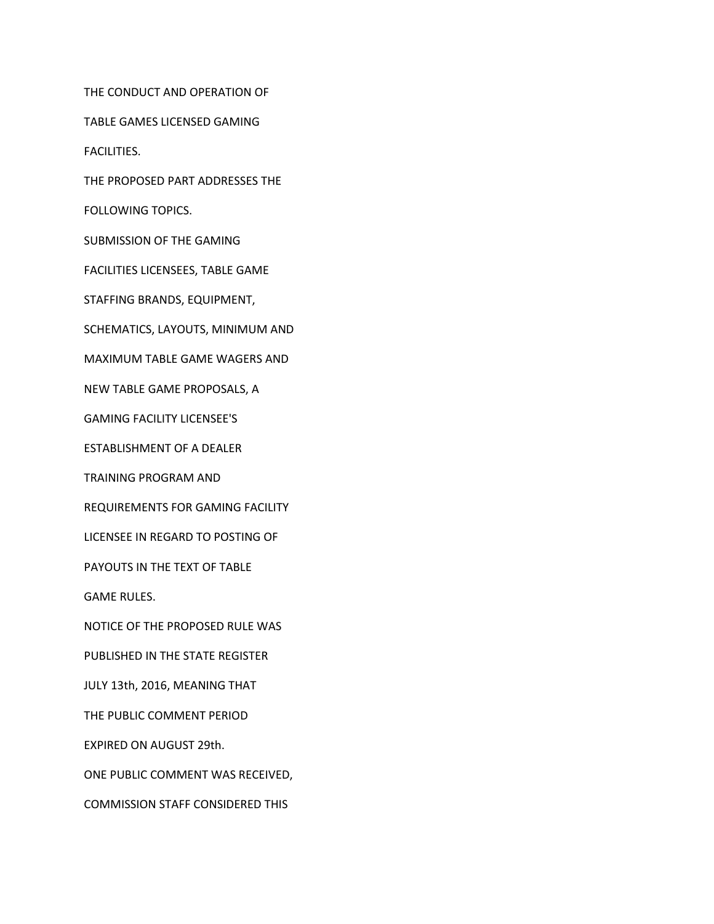THE CONDUCT AND OPERATION OF

TABLE GAMES LICENSED GAMING

FACILITIES.

THE PROPOSED PART ADDRESSES THE

FOLLOWING TOPICS.

SUBMISSION OF THE GAMING

FACILITIES LICENSEES, TABLE GAME

STAFFING BRANDS, EQUIPMENT,

SCHEMATICS, LAYOUTS, MINIMUM AND

MAXIMUM TABLE GAME WAGERS AND

NEW TABLE GAME PROPOSALS, A

GAMING FACILITY LICENSEE'S

ESTABLISHMENT OF A DEALER

TRAINING PROGRAM AND

REQUIREMENTS FOR GAMING FACILITY

LICENSEE IN REGARD TO POSTING OF

PAYOUTS IN THE TEXT OF TABLE

GAME RULES.

NOTICE OF THE PROPOSED RULE WAS

PUBLISHED IN THE STATE REGISTER

JULY 13th, 2016, MEANING THAT

THE PUBLIC COMMENT PERIOD

EXPIRED ON AUGUST 29th.

ONE PUBLIC COMMENT WAS RECEIVED,

COMMISSION STAFF CONSIDERED THIS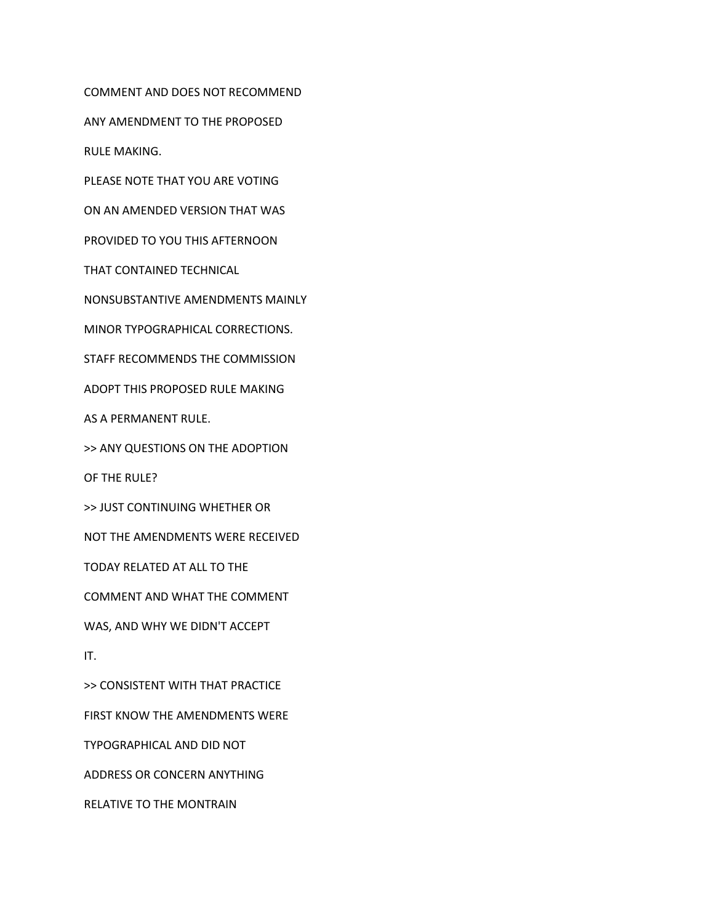COMMENT AND DOES NOT RECOMMEND ANY AMENDMENT TO THE PROPOSED RULE MAKING. PLEASE NOTE THAT YOU ARE VOTING ON AN AMENDED VERSION THAT WAS PROVIDED TO YOU THIS AFTERNOON THAT CONTAINED TECHNICAL NONSUBSTANTIVE AMENDMENTS MAINLY MINOR TYPOGRAPHICAL CORRECTIONS. STAFF RECOMMENDS THE COMMISSION ADOPT THIS PROPOSED RULE MAKING AS A PERMANENT RULE. >> ANY QUESTIONS ON THE ADOPTION OF THE RULE? >> JUST CONTINUING WHETHER OR NOT THE AMENDMENTS WERE RECEIVED TODAY RELATED AT ALL TO THE COMMENT AND WHAT THE COMMENT WAS, AND WHY WE DIDN'T ACCEPT IT. >> CONSISTENT WITH THAT PRACTICE FIRST KNOW THE AMENDMENTS WERE TYPOGRAPHICAL AND DID NOT ADDRESS OR CONCERN ANYTHING

RELATIVE TO THE MONTRAIN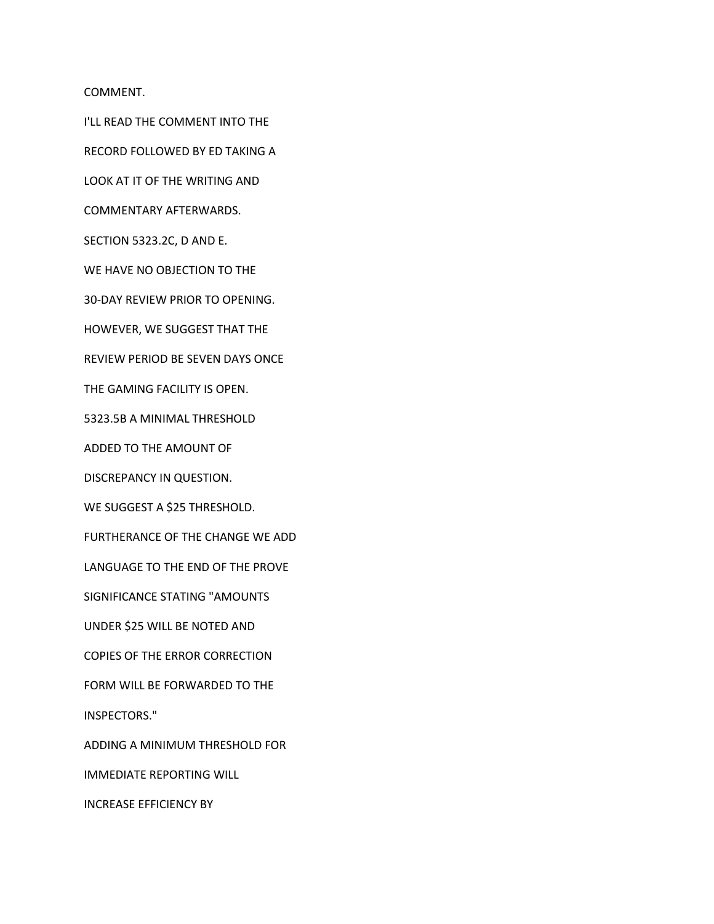COMMENT.

I'LL READ THE COMMENT INTO THE RECORD FOLLOWED BY ED TAKING A LOOK AT IT OF THE WRITING AND COMMENTARY AFTERWARDS. SECTION 5323.2C, D AND E. WE HAVE NO OBJECTION TO THE 30-DAY REVIEW PRIOR TO OPENING. HOWEVER, WE SUGGEST THAT THE REVIEW PERIOD BE SEVEN DAYS ONCE THE GAMING FACILITY IS OPEN. 5323.5B A MINIMAL THRESHOLD ADDED TO THE AMOUNT OF DISCREPANCY IN QUESTION. WE SUGGEST A \$25 THRESHOLD. FURTHERANCE OF THE CHANGE WE ADD LANGUAGE TO THE END OF THE PROVE SIGNIFICANCE STATING "AMOUNTS UNDER \$25 WILL BE NOTED AND COPIES OF THE ERROR CORRECTION FORM WILL BE FORWARDED TO THE INSPECTORS." ADDING A MINIMUM THRESHOLD FOR IMMEDIATE REPORTING WILL

INCREASE EFFICIENCY BY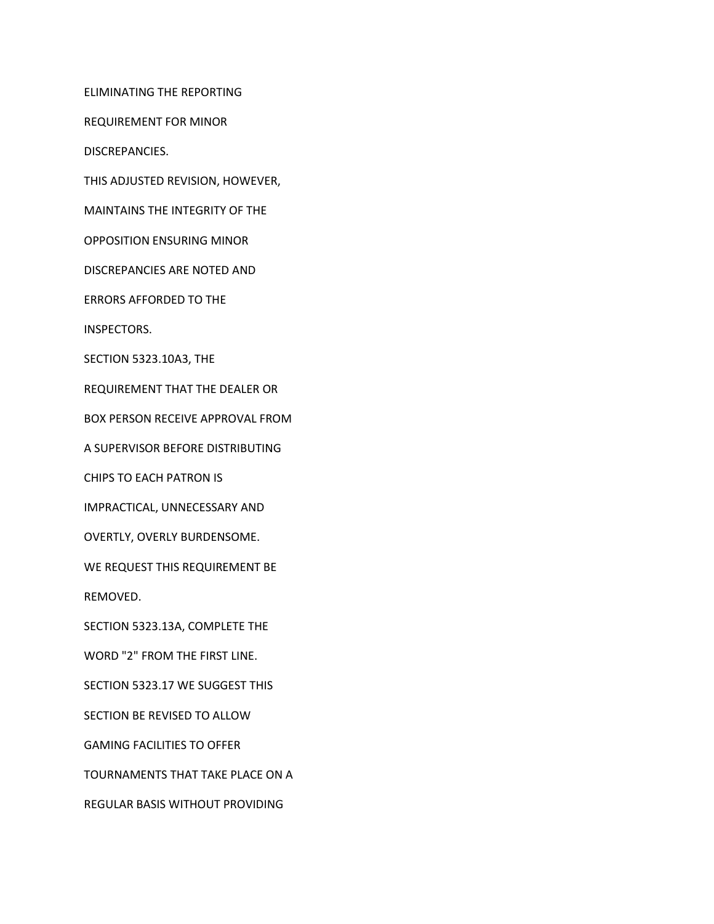ELIMINATING THE REPORTING

REQUIREMENT FOR MINOR

DISCREPANCIES.

THIS ADJUSTED REVISION, HOWEVER,

MAINTAINS THE INTEGRITY OF THE

OPPOSITION ENSURING MINOR

DISCREPANCIES ARE NOTED AND

ERRORS AFFORDED TO THE

INSPECTORS.

SECTION 5323.10A3, THE

REQUIREMENT THAT THE DEALER OR

BOX PERSON RECEIVE APPROVAL FROM

A SUPERVISOR BEFORE DISTRIBUTING

CHIPS TO EACH PATRON IS

IMPRACTICAL, UNNECESSARY AND

OVERTLY, OVERLY BURDENSOME.

WE REQUEST THIS REQUIREMENT BE

REMOVED.

SECTION 5323.13A, COMPLETE THE

WORD "2" FROM THE FIRST LINE.

SECTION 5323.17 WE SUGGEST THIS

SECTION BE REVISED TO ALLOW

GAMING FACILITIES TO OFFER

TOURNAMENTS THAT TAKE PLACE ON A

REGULAR BASIS WITHOUT PROVIDING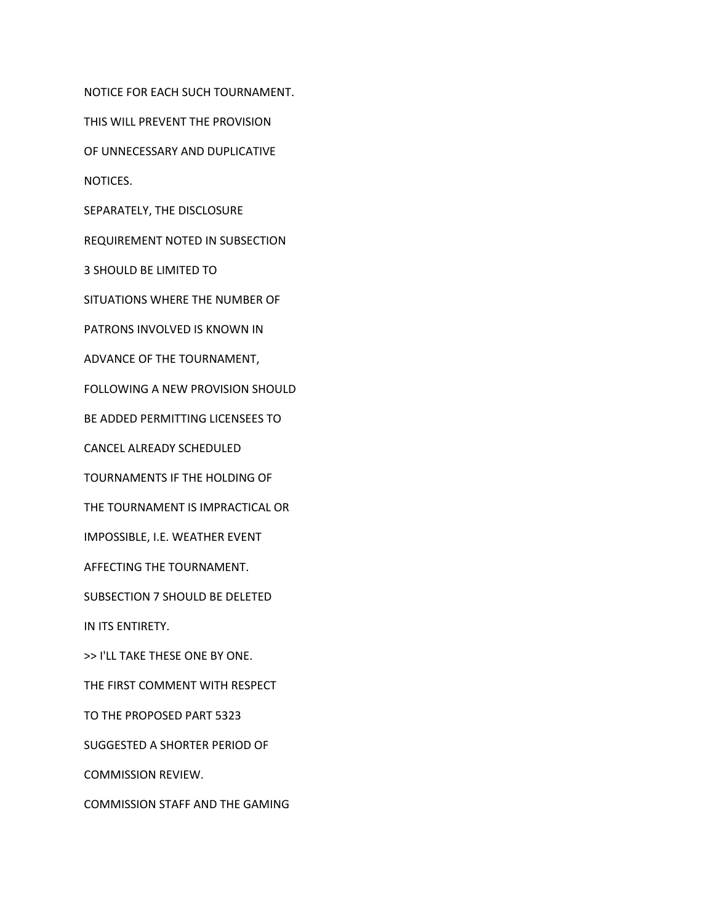NOTICE FOR EACH SUCH TOURNAMENT. THIS WILL PREVENT THE PROVISION OF UNNECESSARY AND DUPLICATIVE NOTICES. SEPARATELY, THE DISCLOSURE REQUIREMENT NOTED IN SUBSECTION 3 SHOULD BE LIMITED TO SITUATIONS WHERE THE NUMBER OF PATRONS INVOLVED IS KNOWN IN ADVANCE OF THE TOURNAMENT, FOLLOWING A NEW PROVISION SHOULD BE ADDED PERMITTING LICENSEES TO CANCEL ALREADY SCHEDULED TOURNAMENTS IF THE HOLDING OF THE TOURNAMENT IS IMPRACTICAL OR IMPOSSIBLE, I.E. WEATHER EVENT AFFECTING THE TOURNAMENT. SUBSECTION 7 SHOULD BE DELETED IN ITS ENTIRETY. >> I'LL TAKE THESE ONE BY ONE. THE FIRST COMMENT WITH RESPECT TO THE PROPOSED PART 5323 SUGGESTED A SHORTER PERIOD OF

COMMISSION REVIEW.

COMMISSION STAFF AND THE GAMING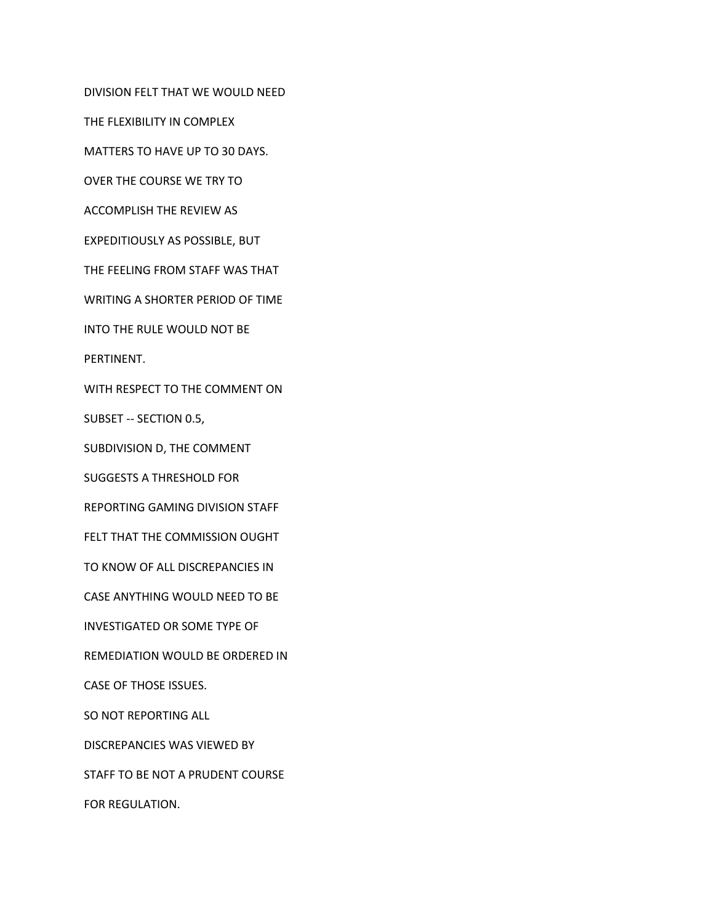DIVISION FELT THAT WE WOULD NEED

THE FLEXIBILITY IN COMPLEX

MATTERS TO HAVE UP TO 30 DAYS.

OVER THE COURSE WE TRY TO

ACCOMPLISH THE REVIEW AS

EXPEDITIOUSLY AS POSSIBLE, BUT

THE FEELING FROM STAFF WAS THAT

WRITING A SHORTER PERIOD OF TIME

INTO THE RULE WOULD NOT BE

PERTINENT.

WITH RESPECT TO THE COMMENT ON

SUBSET -- SECTION 0.5,

SUBDIVISION D, THE COMMENT

SUGGESTS A THRESHOLD FOR

REPORTING GAMING DIVISION STAFF

FELT THAT THE COMMISSION OUGHT

TO KNOW OF ALL DISCREPANCIES IN

CASE ANYTHING WOULD NEED TO BE

INVESTIGATED OR SOME TYPE OF

REMEDIATION WOULD BE ORDERED IN

CASE OF THOSE ISSUES.

SO NOT REPORTING ALL

DISCREPANCIES WAS VIEWED BY

STAFF TO BE NOT A PRUDENT COURSE

FOR REGULATION.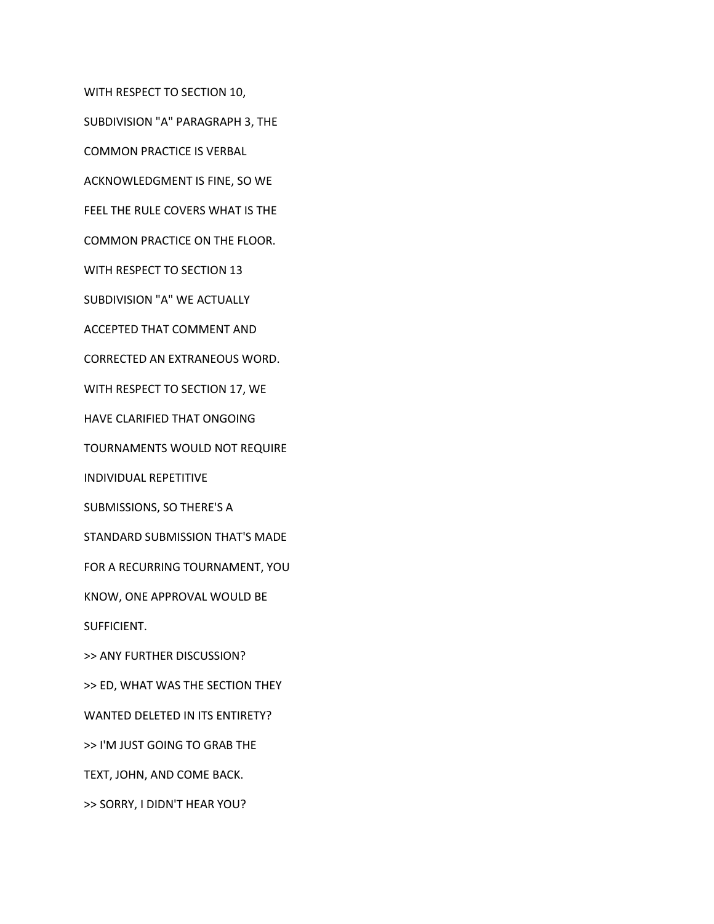WITH RESPECT TO SECTION 10,

SUBDIVISION "A" PARAGRAPH 3, THE

COMMON PRACTICE IS VERBAL

ACKNOWLEDGMENT IS FINE, SO WE

FEEL THE RULE COVERS WHAT IS THE

COMMON PRACTICE ON THE FLOOR.

WITH RESPECT TO SECTION 13

SUBDIVISION "A" WE ACTUALLY

ACCEPTED THAT COMMENT AND

CORRECTED AN EXTRANEOUS WORD.

WITH RESPECT TO SECTION 17, WE

HAVE CLARIFIED THAT ONGOING

TOURNAMENTS WOULD NOT REQUIRE

INDIVIDUAL REPETITIVE

SUBMISSIONS, SO THERE'S A

STANDARD SUBMISSION THAT'S MADE

FOR A RECURRING TOURNAMENT, YOU

KNOW, ONE APPROVAL WOULD BE

SUFFICIENT.

>> ANY FURTHER DISCUSSION?

>> ED, WHAT WAS THE SECTION THEY

WANTED DELETED IN ITS ENTIRETY?

>> I'M JUST GOING TO GRAB THE

TEXT, JOHN, AND COME BACK.

>> SORRY, I DIDN'T HEAR YOU?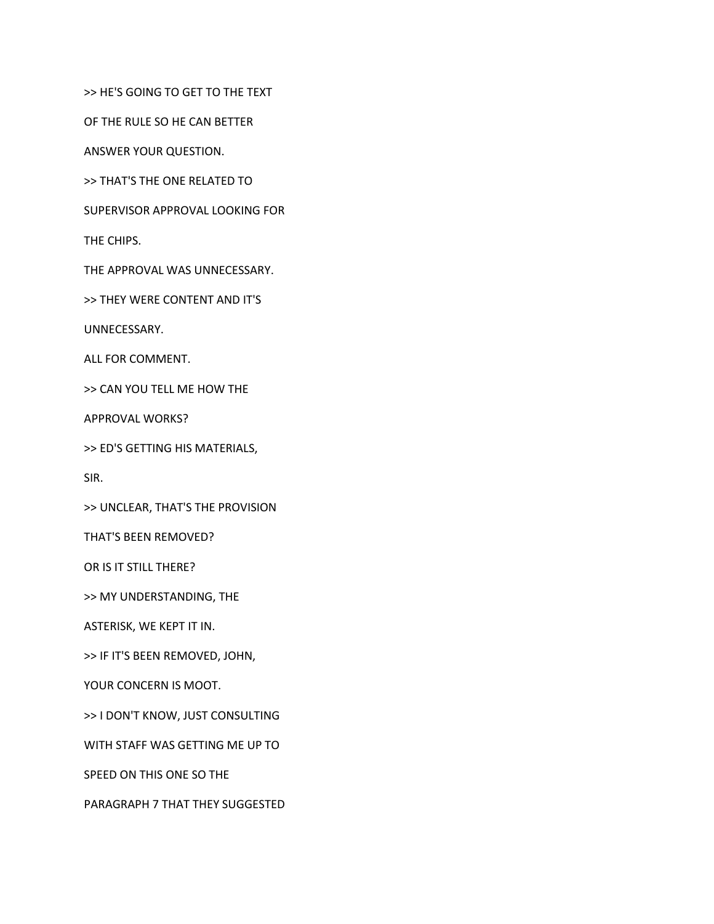>> HE'S GOING TO GET TO THE TEXT

OF THE RULE SO HE CAN BETTER

ANSWER YOUR QUESTION.

>> THAT'S THE ONE RELATED TO

SUPERVISOR APPROVAL LOOKING FOR

THE CHIPS.

THE APPROVAL WAS UNNECESSARY.

>> THEY WERE CONTENT AND IT'S

UNNECESSARY.

ALL FOR COMMENT.

>> CAN YOU TELL ME HOW THE

APPROVAL WORKS?

>> ED'S GETTING HIS MATERIALS,

SIR.

>> UNCLEAR, THAT'S THE PROVISION

THAT'S BEEN REMOVED?

OR IS IT STILL THERE?

>> MY UNDERSTANDING, THE

ASTERISK, WE KEPT IT IN.

>> IF IT'S BEEN REMOVED, JOHN,

YOUR CONCERN IS MOOT.

>> I DON'T KNOW, JUST CONSULTING

WITH STAFF WAS GETTING ME UP TO

SPEED ON THIS ONE SO THE

PARAGRAPH 7 THAT THEY SUGGESTED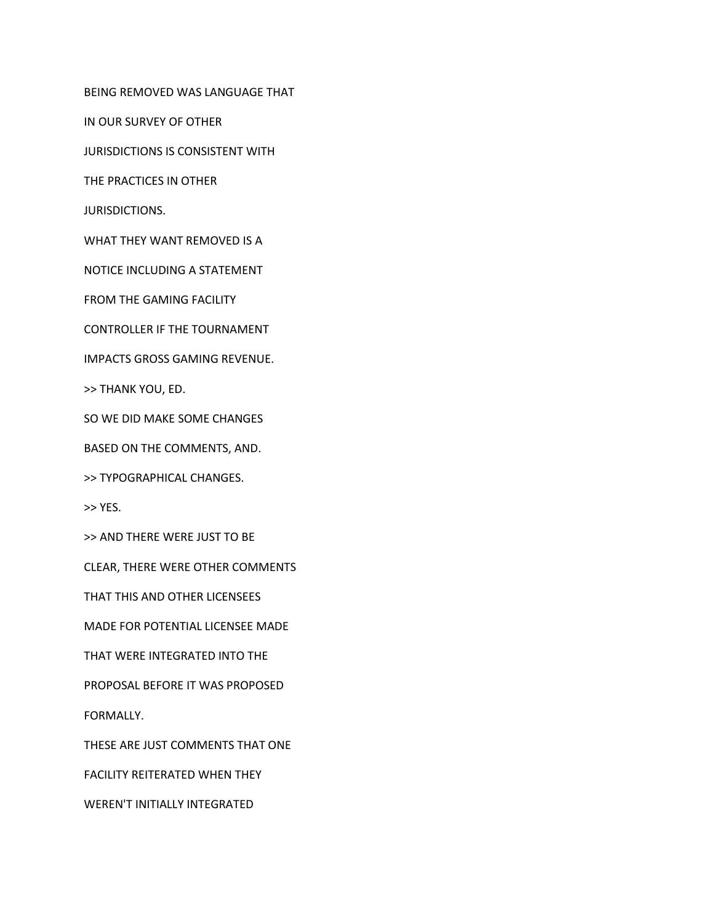BEING REMOVED WAS LANGUAGE THAT

IN OUR SURVEY OF OTHER

JURISDICTIONS IS CONSISTENT WITH

THE PRACTICES IN OTHER

JURISDICTIONS.

WHAT THEY WANT REMOVED IS A

NOTICE INCLUDING A STATEMENT

FROM THE GAMING FACILITY

CONTROLLER IF THE TOURNAMENT

IMPACTS GROSS GAMING REVENUE.

>> THANK YOU, ED.

SO WE DID MAKE SOME CHANGES

BASED ON THE COMMENTS, AND.

>> TYPOGRAPHICAL CHANGES.

>> YES.

>> AND THERE WERE JUST TO BE

CLEAR, THERE WERE OTHER COMMENTS

THAT THIS AND OTHER LICENSEES

MADE FOR POTENTIAL LICENSEE MADE

THAT WERE INTEGRATED INTO THE

PROPOSAL BEFORE IT WAS PROPOSED

FORMALLY.

THESE ARE JUST COMMENTS THAT ONE

FACILITY REITERATED WHEN THEY

WEREN'T INITIALLY INTEGRATED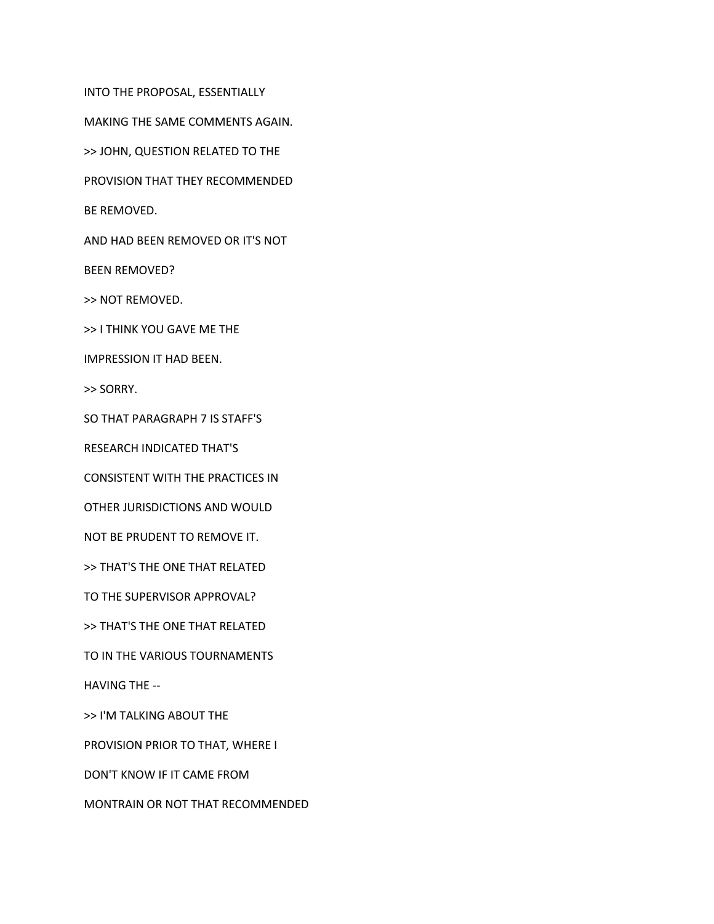INTO THE PROPOSAL, ESSENTIALLY MAKING THE SAME COMMENTS AGAIN. >> JOHN, QUESTION RELATED TO THE PROVISION THAT THEY RECOMMENDED BE REMOVED. AND HAD BEEN REMOVED OR IT'S NOT BEEN REMOVED? >> NOT REMOVED. >> I THINK YOU GAVE ME THE IMPRESSION IT HAD BEEN. >> SORRY. SO THAT PARAGRAPH 7 IS STAFF'S RESEARCH INDICATED THAT'S CONSISTENT WITH THE PRACTICES IN OTHER JURISDICTIONS AND WOULD NOT BE PRUDENT TO REMOVE IT. >> THAT'S THE ONE THAT RELATED TO THE SUPERVISOR APPROVAL? >> THAT'S THE ONE THAT RELATED TO IN THE VARIOUS TOURNAMENTS HAVING THE -- >> I'M TALKING ABOUT THE PROVISION PRIOR TO THAT, WHERE I

DON'T KNOW IF IT CAME FROM

MONTRAIN OR NOT THAT RECOMMENDED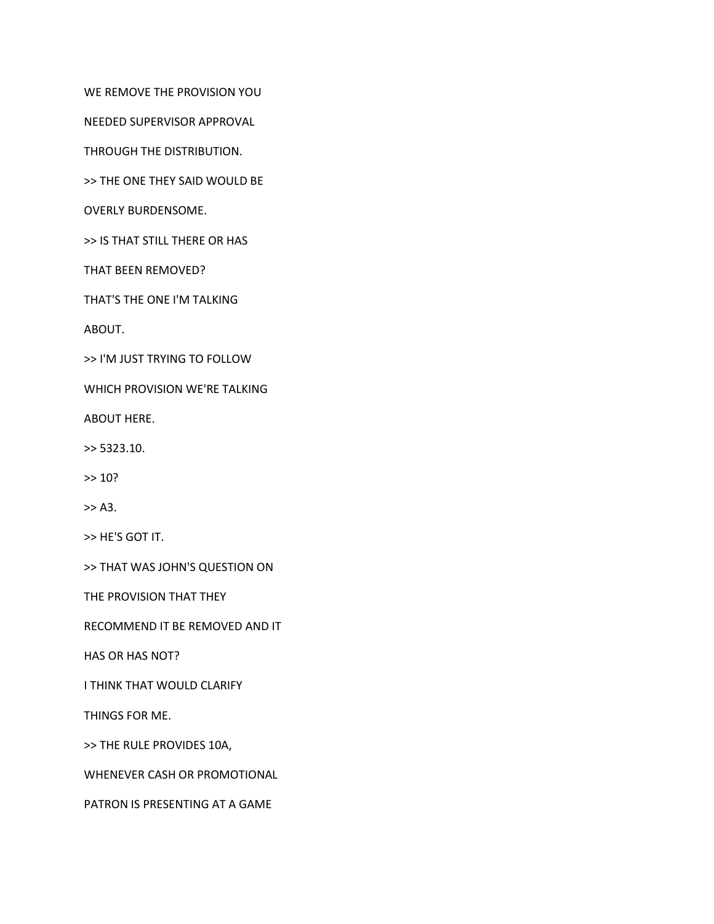WE REMOVE THE PROVISION YOU

NEEDED SUPERVISOR APPROVAL

THROUGH THE DISTRIBUTION.

>> THE ONE THEY SAID WOULD BE

OVERLY BURDENSOME.

>> IS THAT STILL THERE OR HAS

THAT BEEN REMOVED?

THAT'S THE ONE I'M TALKING

ABOUT.

>> I'M JUST TRYING TO FOLLOW

WHICH PROVISION WE'RE TALKING

ABOUT HERE.

>> 5323.10.

 $> 10?$ 

>> A3.

>> HE'S GOT IT.

>> THAT WAS JOHN'S QUESTION ON

THE PROVISION THAT THEY

RECOMMEND IT BE REMOVED AND IT

HAS OR HAS NOT?

I THINK THAT WOULD CLARIFY

THINGS FOR ME.

>> THE RULE PROVIDES 10A,

WHENEVER CASH OR PROMOTIONAL

PATRON IS PRESENTING AT A GAME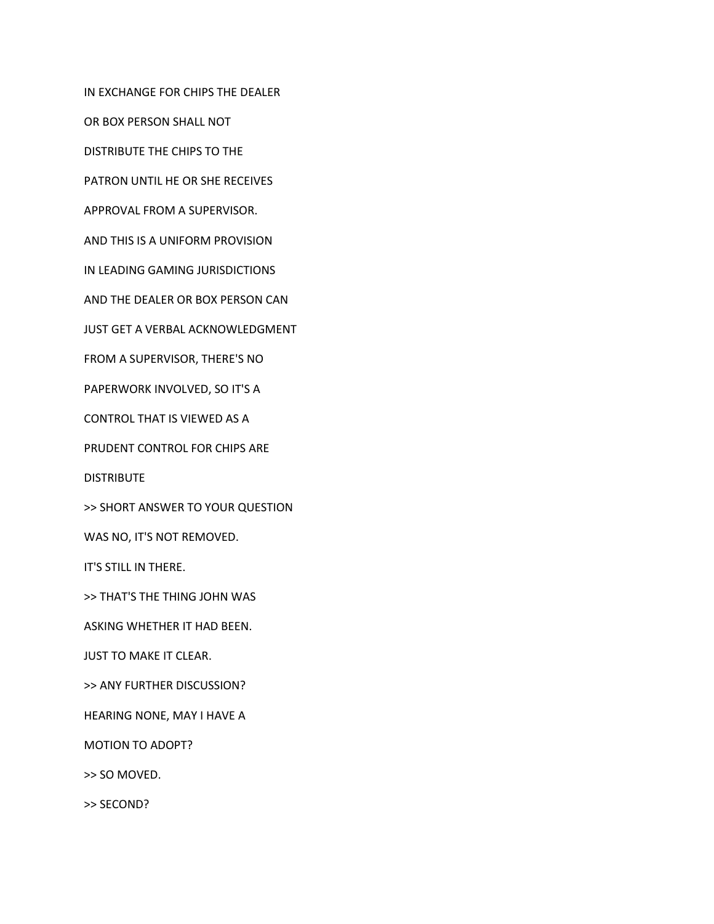IN EXCHANGE FOR CHIPS THE DEALER OR BOX PERSON SHALL NOT DISTRIBUTE THE CHIPS TO THE PATRON UNTIL HE OR SHE RECEIVES APPROVAL FROM A SUPERVISOR. AND THIS IS A UNIFORM PROVISION IN LEADING GAMING JURISDICTIONS AND THE DEALER OR BOX PERSON CAN JUST GET A VERBAL ACKNOWLEDGMENT FROM A SUPERVISOR, THERE'S NO PAPERWORK INVOLVED, SO IT'S A CONTROL THAT IS VIEWED AS A PRUDENT CONTROL FOR CHIPS ARE **DISTRIBUTE** >> SHORT ANSWER TO YOUR QUESTION WAS NO, IT'S NOT REMOVED. IT'S STILL IN THERE. >> THAT'S THE THING JOHN WAS ASKING WHETHER IT HAD BEEN. JUST TO MAKE IT CLEAR. >> ANY FURTHER DISCUSSION? HEARING NONE, MAY I HAVE A MOTION TO ADOPT? >> SO MOVED. >> SECOND?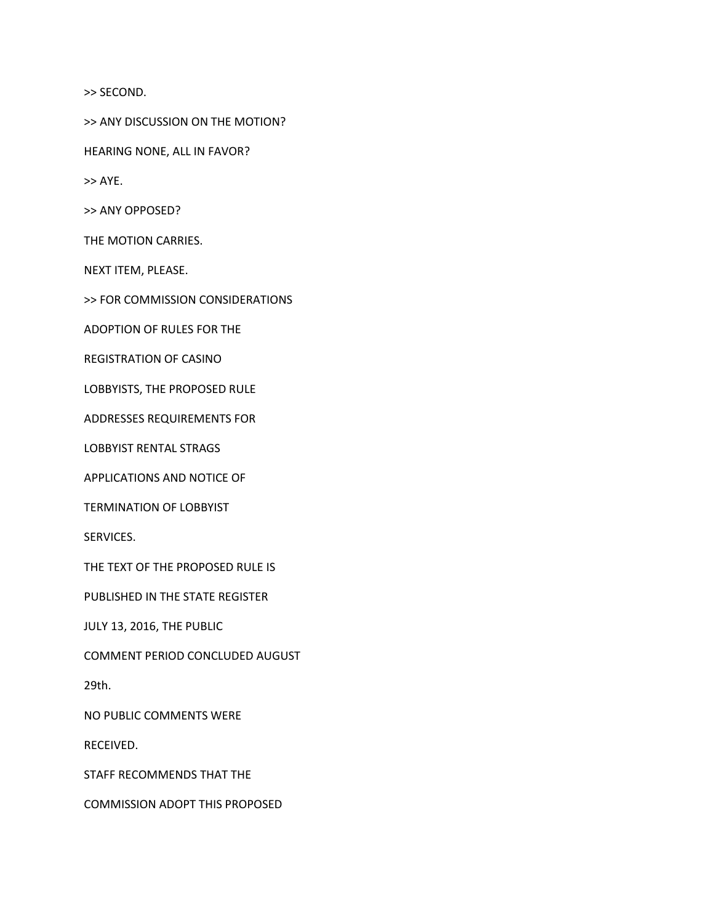>> SECOND.

>> ANY DISCUSSION ON THE MOTION?

HEARING NONE, ALL IN FAVOR?

>> AYE.

>> ANY OPPOSED?

THE MOTION CARRIES.

NEXT ITEM, PLEASE.

>> FOR COMMISSION CONSIDERATIONS

ADOPTION OF RULES FOR THE

REGISTRATION OF CASINO

LOBBYISTS, THE PROPOSED RULE

ADDRESSES REQUIREMENTS FOR

LOBBYIST RENTAL STRAGS

APPLICATIONS AND NOTICE OF

TERMINATION OF LOBBYIST

SERVICES.

THE TEXT OF THE PROPOSED RULE IS

PUBLISHED IN THE STATE REGISTER

JULY 13, 2016, THE PUBLIC

COMMENT PERIOD CONCLUDED AUGUST

29th.

NO PUBLIC COMMENTS WERE

RECEIVED.

STAFF RECOMMENDS THAT THE

COMMISSION ADOPT THIS PROPOSED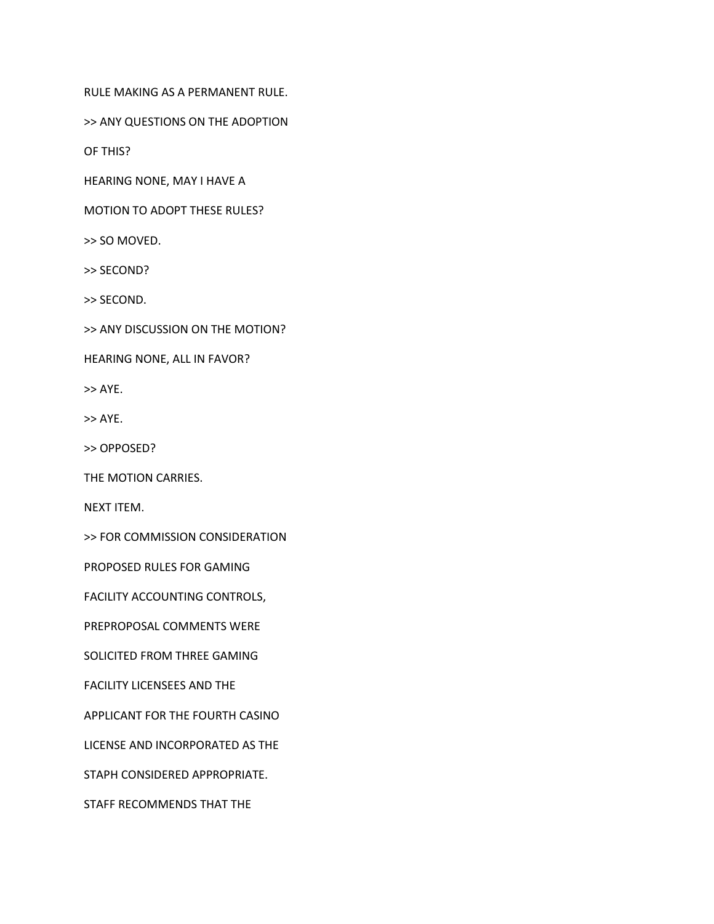RULE MAKING AS A PERMANENT RULE.

>> ANY QUESTIONS ON THE ADOPTION

OF THIS?

HEARING NONE, MAY I HAVE A

MOTION TO ADOPT THESE RULES?

>> SO MOVED.

>> SECOND?

>> SECOND.

>> ANY DISCUSSION ON THE MOTION?

HEARING NONE, ALL IN FAVOR?

>> AYE.

>> AYE.

>> OPPOSED?

THE MOTION CARRIES.

NEXT ITEM.

>> FOR COMMISSION CONSIDERATION

PROPOSED RULES FOR GAMING

FACILITY ACCOUNTING CONTROLS,

PREPROPOSAL COMMENTS WERE

SOLICITED FROM THREE GAMING

FACILITY LICENSEES AND THE

APPLICANT FOR THE FOURTH CASINO

LICENSE AND INCORPORATED AS THE

STAPH CONSIDERED APPROPRIATE.

STAFF RECOMMENDS THAT THE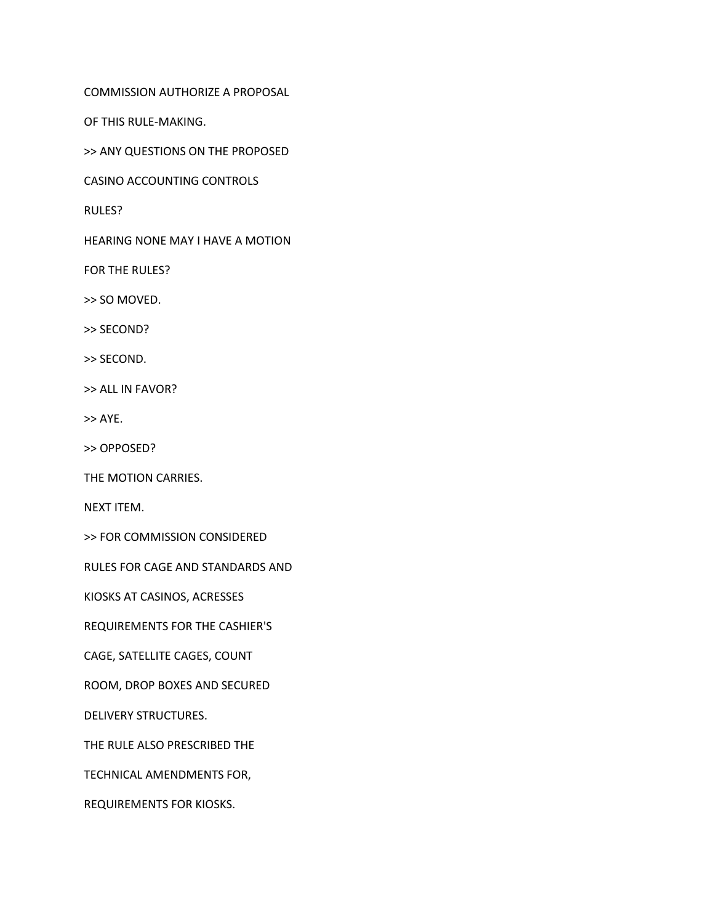COMMISSION AUTHORIZE A PROPOSAL

OF THIS RULE-MAKING.

>> ANY QUESTIONS ON THE PROPOSED

CASINO ACCOUNTING CONTROLS

RULES?

HEARING NONE MAY I HAVE A MOTION

FOR THE RULES?

>> SO MOVED.

>> SECOND?

>> SECOND.

>> ALL IN FAVOR?

>> AYE.

>> OPPOSED?

THE MOTION CARRIES.

NEXT ITEM.

>> FOR COMMISSION CONSIDERED

RULES FOR CAGE AND STANDARDS AND

KIOSKS AT CASINOS, ACRESSES

REQUIREMENTS FOR THE CASHIER'S

CAGE, SATELLITE CAGES, COUNT

ROOM, DROP BOXES AND SECURED

DELIVERY STRUCTURES.

THE RULE ALSO PRESCRIBED THE

TECHNICAL AMENDMENTS FOR,

REQUIREMENTS FOR KIOSKS.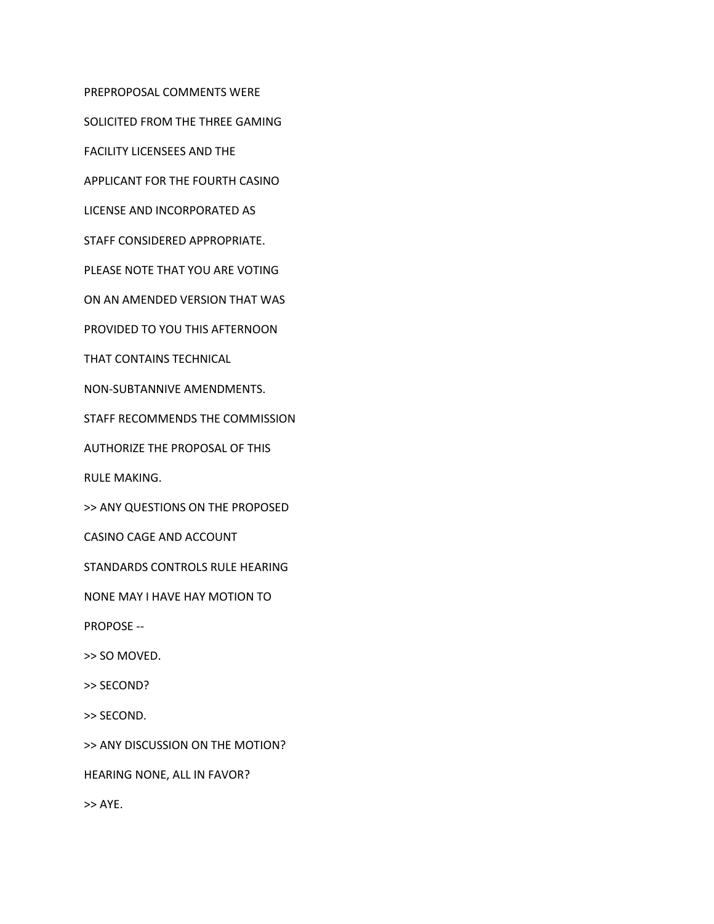PREPROPOSAL COMMENTS WERE SOLICITED FROM THE THREE GAMING FACILITY LICENSEES AND THE APPLICANT FOR THE FOURTH CASINO LICENSE AND INCORPORATED AS STAFF CONSIDERED APPROPRIATE. PLEASE NOTE THAT YOU ARE VOTING ON AN AMENDED VERSION THAT WAS PROVIDED TO YOU THIS AFTERNOON THAT CONTAINS TECHNICAL NON-SUBTANNIVE AMENDMENTS. STAFF RECOMMENDS THE COMMISSION AUTHORIZE THE PROPOSAL OF THIS RULE MAKING. >> ANY QUESTIONS ON THE PROPOSED CASINO CAGE AND ACCOUNT STANDARDS CONTROLS RULE HEARING NONE MAY I HAVE HAY MOTION TO PROPOSE -- >> SO MOVED. >> SECOND? >> SECOND. >> ANY DISCUSSION ON THE MOTION? HEARING NONE, ALL IN FAVOR? >> AYE.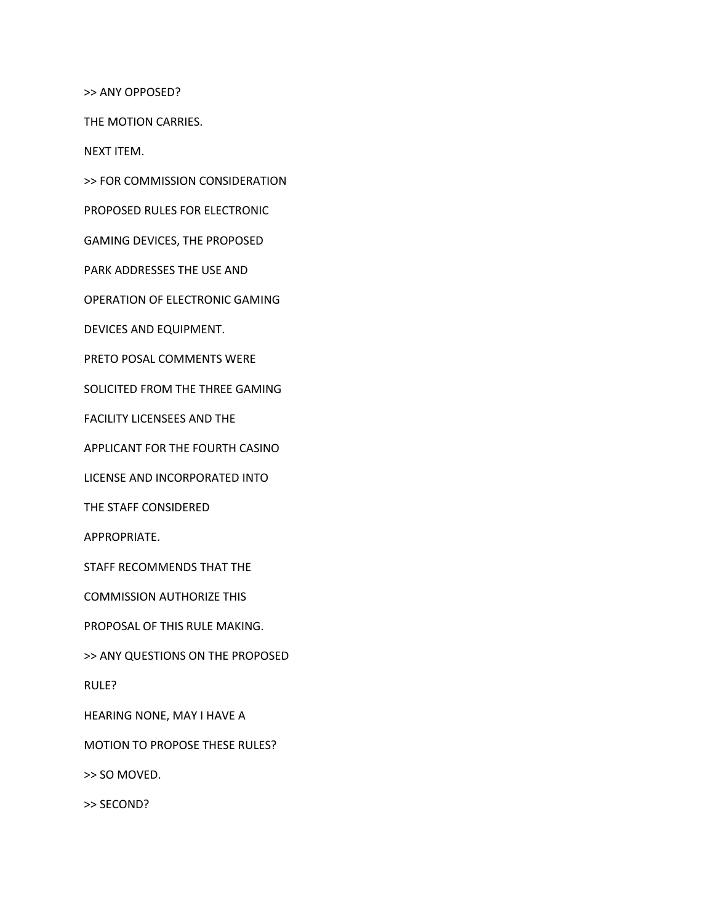>> ANY OPPOSED?

THE MOTION CARRIES.

NEXT ITEM.

>> FOR COMMISSION CONSIDERATION

PROPOSED RULES FOR ELECTRONIC

GAMING DEVICES, THE PROPOSED

PARK ADDRESSES THE USE AND

OPERATION OF ELECTRONIC GAMING

DEVICES AND EQUIPMENT.

PRETO POSAL COMMENTS WERE

SOLICITED FROM THE THREE GAMING

FACILITY LICENSEES AND THE

APPLICANT FOR THE FOURTH CASINO

LICENSE AND INCORPORATED INTO

THE STAFF CONSIDERED

APPROPRIATE.

STAFF RECOMMENDS THAT THE

COMMISSION AUTHORIZE THIS

PROPOSAL OF THIS RULE MAKING.

>> ANY QUESTIONS ON THE PROPOSED

RULE?

HEARING NONE, MAY I HAVE A

MOTION TO PROPOSE THESE RULES?

>> SO MOVED.

>> SECOND?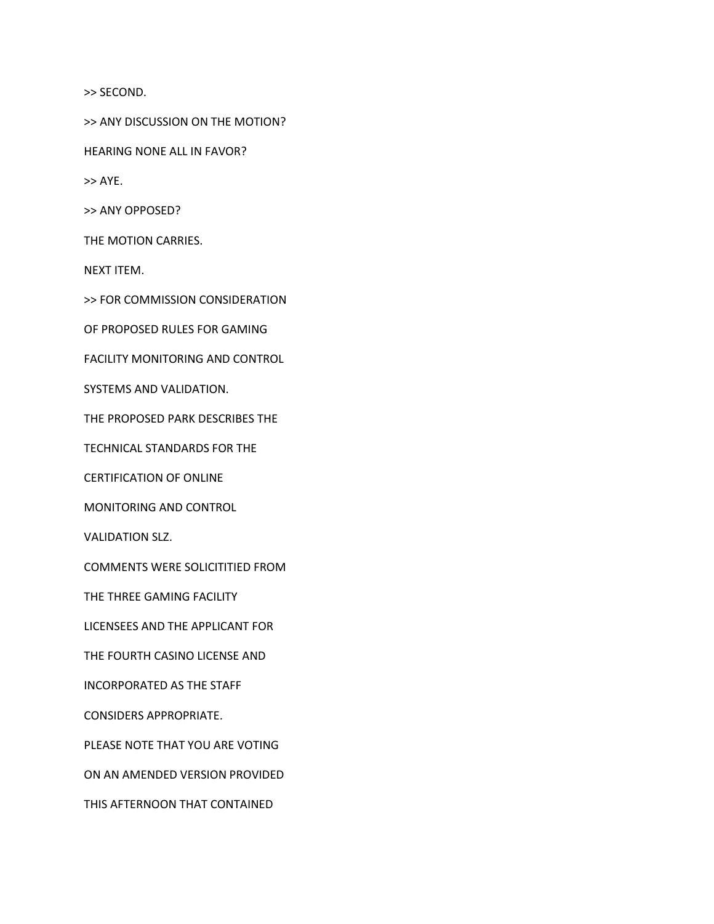>> SECOND.

>> ANY DISCUSSION ON THE MOTION?

HEARING NONE ALL IN FAVOR?

>> AYE.

>> ANY OPPOSED?

THE MOTION CARRIES.

NEXT ITEM.

>> FOR COMMISSION CONSIDERATION

OF PROPOSED RULES FOR GAMING

FACILITY MONITORING AND CONTROL

SYSTEMS AND VALIDATION.

THE PROPOSED PARK DESCRIBES THE

TECHNICAL STANDARDS FOR THE

CERTIFICATION OF ONLINE

MONITORING AND CONTROL

VALIDATION SLZ.

COMMENTS WERE SOLICITITIED FROM

THE THREE GAMING FACILITY

LICENSEES AND THE APPLICANT FOR

THE FOURTH CASINO LICENSE AND

INCORPORATED AS THE STAFF

CONSIDERS APPROPRIATE.

PLEASE NOTE THAT YOU ARE VOTING

ON AN AMENDED VERSION PROVIDED

THIS AFTERNOON THAT CONTAINED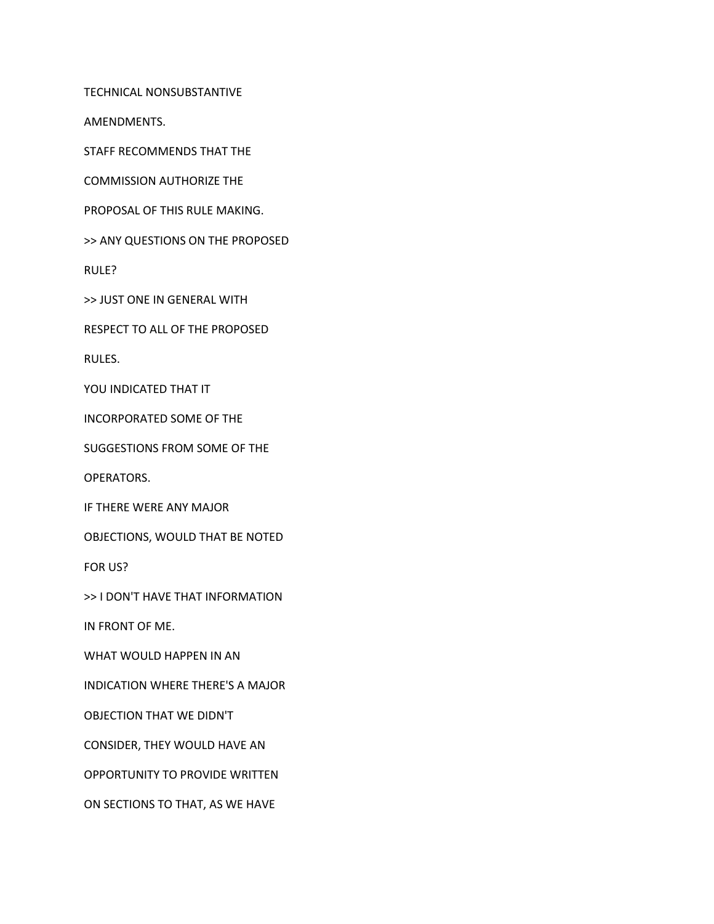TECHNICAL NONSUBSTANTIVE

AMENDMENTS.

STAFF RECOMMENDS THAT THE

COMMISSION AUTHORIZE THE

PROPOSAL OF THIS RULE MAKING.

>> ANY QUESTIONS ON THE PROPOSED

RULE?

>> JUST ONE IN GENERAL WITH

RESPECT TO ALL OF THE PROPOSED

RULES.

YOU INDICATED THAT IT

INCORPORATED SOME OF THE

SUGGESTIONS FROM SOME OF THE

OPERATORS.

IF THERE WERE ANY MAJOR

OBJECTIONS, WOULD THAT BE NOTED

FOR US?

>> I DON'T HAVE THAT INFORMATION

IN FRONT OF ME.

WHAT WOULD HAPPEN IN AN

INDICATION WHERE THERE'S A MAJOR

OBJECTION THAT WE DIDN'T

CONSIDER, THEY WOULD HAVE AN

OPPORTUNITY TO PROVIDE WRITTEN

ON SECTIONS TO THAT, AS WE HAVE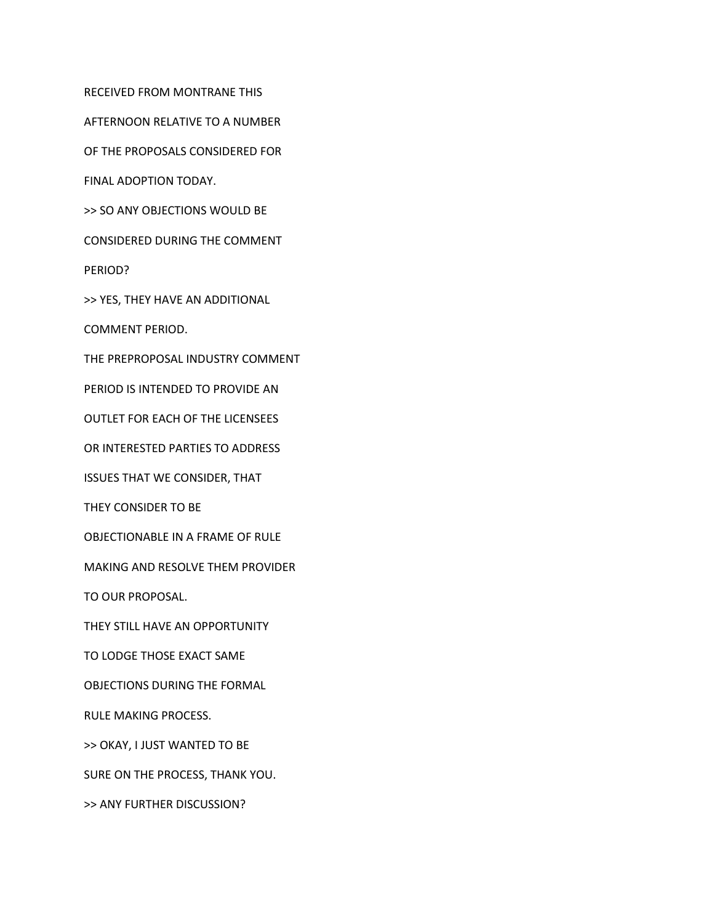RECEIVED FROM MONTRANE THIS

AFTERNOON RELATIVE TO A NUMBER

OF THE PROPOSALS CONSIDERED FOR

FINAL ADOPTION TODAY.

>> SO ANY OBJECTIONS WOULD BE

CONSIDERED DURING THE COMMENT

PERIOD?

>> YES, THEY HAVE AN ADDITIONAL

COMMENT PERIOD.

THE PREPROPOSAL INDUSTRY COMMENT

PERIOD IS INTENDED TO PROVIDE AN

OUTLET FOR EACH OF THE LICENSEES

OR INTERESTED PARTIES TO ADDRESS

ISSUES THAT WE CONSIDER, THAT

THEY CONSIDER TO BE

OBJECTIONABLE IN A FRAME OF RULE

MAKING AND RESOLVE THEM PROVIDER

TO OUR PROPOSAL.

THEY STILL HAVE AN OPPORTUNITY

TO LODGE THOSE EXACT SAME

OBJECTIONS DURING THE FORMAL

RULE MAKING PROCESS.

>> OKAY, I JUST WANTED TO BE

SURE ON THE PROCESS, THANK YOU.

>> ANY FURTHER DISCUSSION?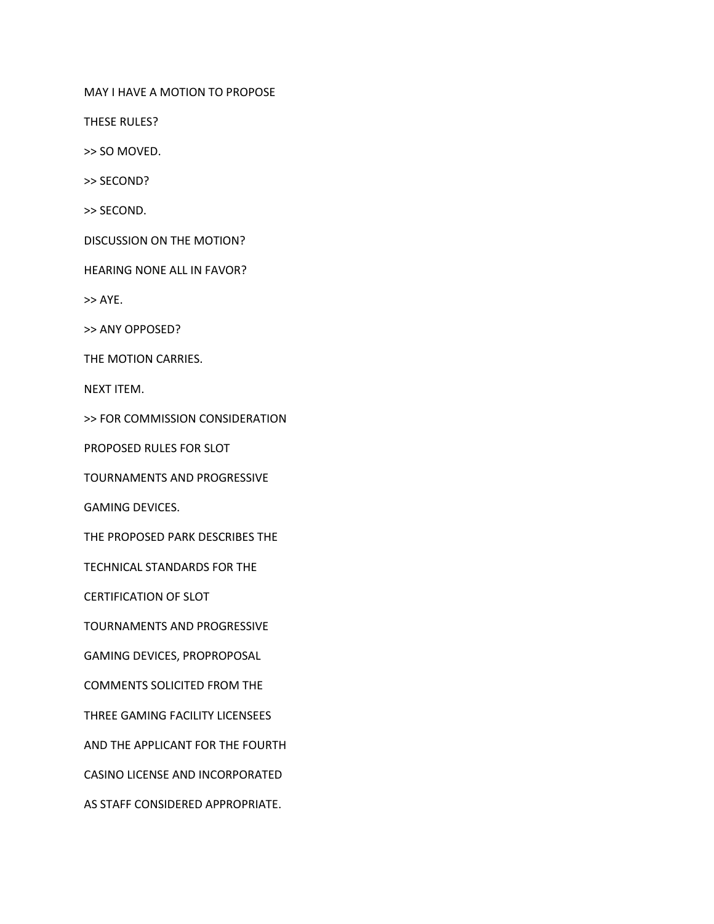MAY I HAVE A MOTION TO PROPOSE

THESE RULES?

>> SO MOVED.

>> SECOND?

>> SECOND.

DISCUSSION ON THE MOTION?

HEARING NONE ALL IN FAVOR?

>> AYE.

>> ANY OPPOSED?

THE MOTION CARRIES.

NEXT ITEM.

>> FOR COMMISSION CONSIDERATION

PROPOSED RULES FOR SLOT

TOURNAMENTS AND PROGRESSIVE

GAMING DEVICES.

THE PROPOSED PARK DESCRIBES THE

TECHNICAL STANDARDS FOR THE

CERTIFICATION OF SLOT

TOURNAMENTS AND PROGRESSIVE

GAMING DEVICES, PROPROPOSAL

COMMENTS SOLICITED FROM THE

THREE GAMING FACILITY LICENSEES

AND THE APPLICANT FOR THE FOURTH

CASINO LICENSE AND INCORPORATED

AS STAFF CONSIDERED APPROPRIATE.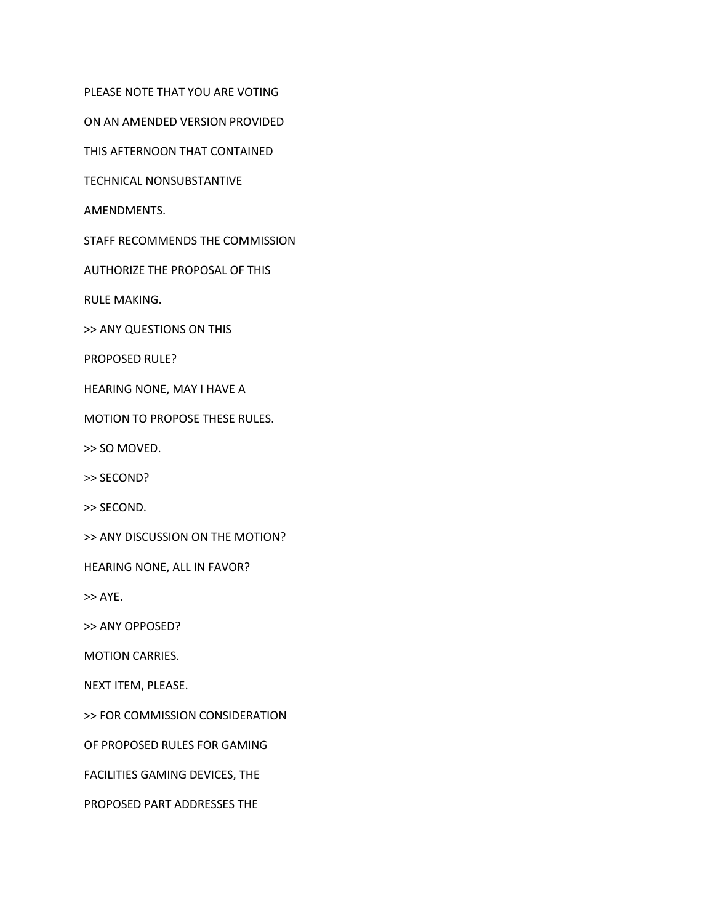PLEASE NOTE THAT YOU ARE VOTING

ON AN AMENDED VERSION PROVIDED

THIS AFTERNOON THAT CONTAINED

TECHNICAL NONSUBSTANTIVE

AMENDMENTS.

STAFF RECOMMENDS THE COMMISSION

AUTHORIZE THE PROPOSAL OF THIS

RULE MAKING.

>> ANY QUESTIONS ON THIS

PROPOSED RULE?

HEARING NONE, MAY I HAVE A

MOTION TO PROPOSE THESE RULES.

>> SO MOVED.

>> SECOND?

>> SECOND.

>> ANY DISCUSSION ON THE MOTION?

HEARING NONE, ALL IN FAVOR?

>> AYE.

>> ANY OPPOSED?

MOTION CARRIES.

NEXT ITEM, PLEASE.

>> FOR COMMISSION CONSIDERATION

OF PROPOSED RULES FOR GAMING

FACILITIES GAMING DEVICES, THE

PROPOSED PART ADDRESSES THE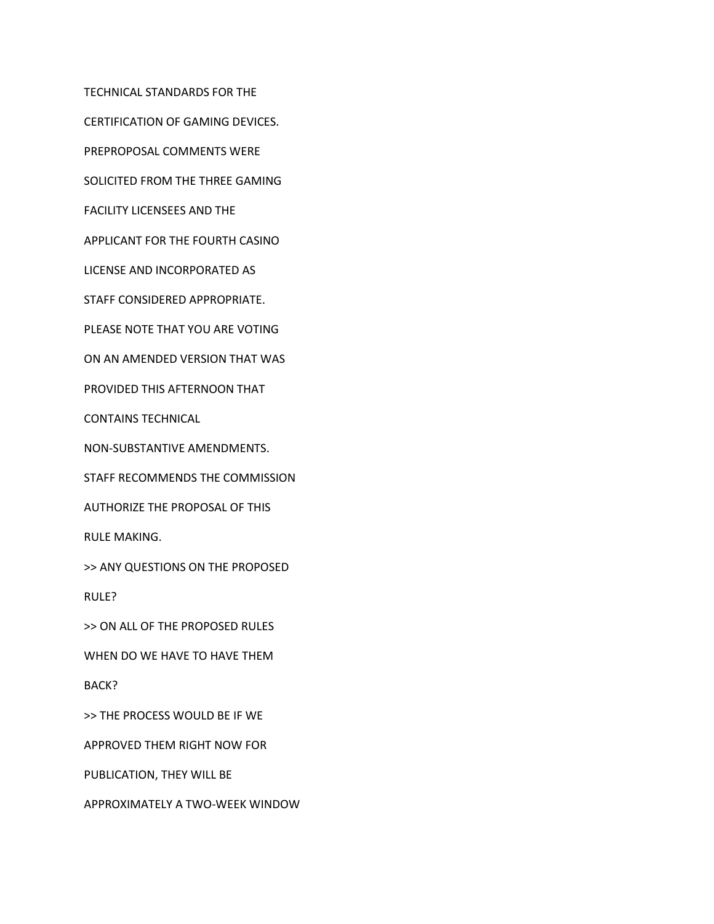TECHNICAL STANDARDS FOR THE CERTIFICATION OF GAMING DEVICES. PREPROPOSAL COMMENTS WERE SOLICITED FROM THE THREE GAMING FACILITY LICENSEES AND THE APPLICANT FOR THE FOURTH CASINO LICENSE AND INCORPORATED AS STAFF CONSIDERED APPROPRIATE. PLEASE NOTE THAT YOU ARE VOTING ON AN AMENDED VERSION THAT WAS PROVIDED THIS AFTERNOON THAT CONTAINS TECHNICAL NON-SUBSTANTIVE AMENDMENTS. STAFF RECOMMENDS THE COMMISSION AUTHORIZE THE PROPOSAL OF THIS RULE MAKING. >> ANY QUESTIONS ON THE PROPOSED RULE? >> ON ALL OF THE PROPOSED RULES WHEN DO WE HAVE TO HAVE THEM BACK? >> THE PROCESS WOULD BE IF WE

APPROVED THEM RIGHT NOW FOR

PUBLICATION, THEY WILL BE

APPROXIMATELY A TWO-WEEK WINDOW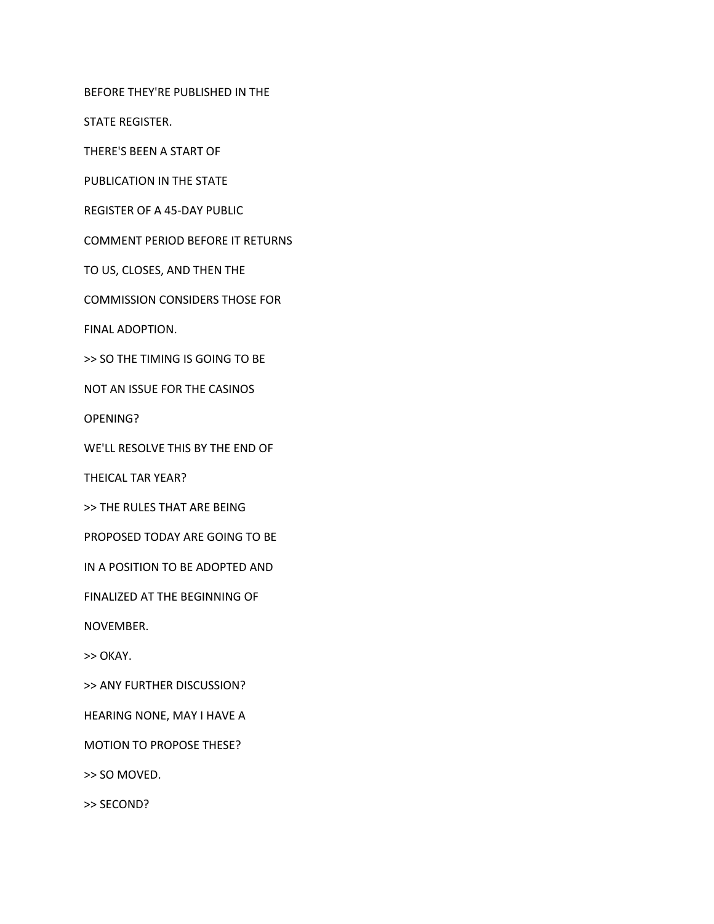BEFORE THEY'RE PUBLISHED IN THE

STATE REGISTER.

THERE'S BEEN A START OF

PUBLICATION IN THE STATE

REGISTER OF A 45-DAY PUBLIC

COMMENT PERIOD BEFORE IT RETURNS

TO US, CLOSES, AND THEN THE

COMMISSION CONSIDERS THOSE FOR

FINAL ADOPTION.

>> SO THE TIMING IS GOING TO BE

NOT AN ISSUE FOR THE CASINOS

OPENING?

WE'LL RESOLVE THIS BY THE END OF

THEICAL TAR YEAR?

>> THE RULES THAT ARE BEING

PROPOSED TODAY ARE GOING TO BE

IN A POSITION TO BE ADOPTED AND

FINALIZED AT THE BEGINNING OF

NOVEMBER.

>> OKAY.

>> ANY FURTHER DISCUSSION?

HEARING NONE, MAY I HAVE A

MOTION TO PROPOSE THESE?

>> SO MOVED.

>> SECOND?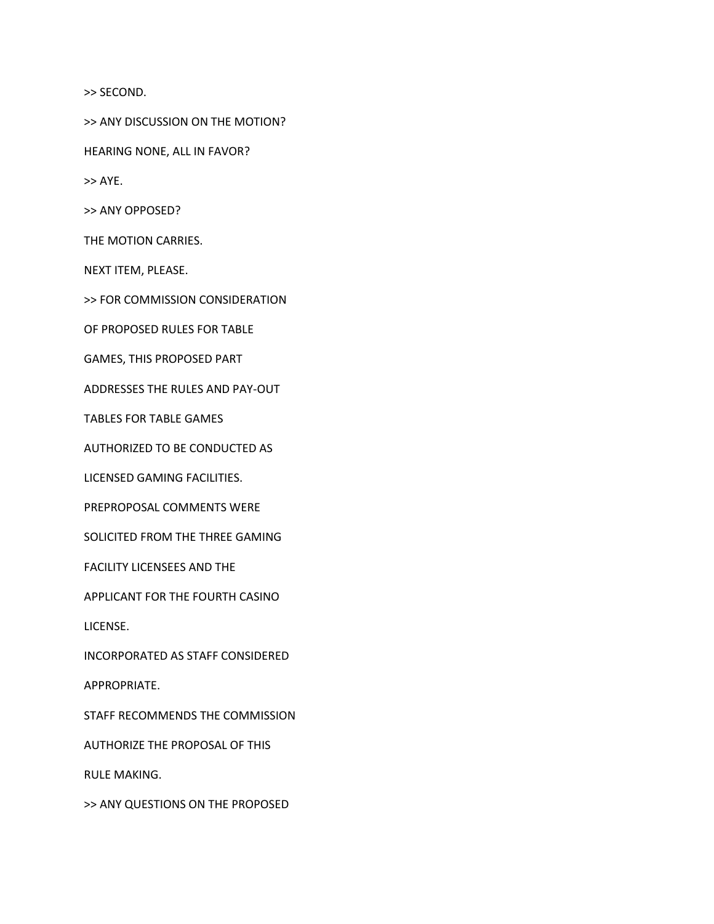>> SECOND.

>> ANY DISCUSSION ON THE MOTION?

HEARING NONE, ALL IN FAVOR?

>> AYE.

>> ANY OPPOSED?

THE MOTION CARRIES.

NEXT ITEM, PLEASE.

>> FOR COMMISSION CONSIDERATION

OF PROPOSED RULES FOR TABLE

GAMES, THIS PROPOSED PART

ADDRESSES THE RULES AND PAY-OUT

TABLES FOR TABLE GAMES

AUTHORIZED TO BE CONDUCTED AS

LICENSED GAMING FACILITIES.

PREPROPOSAL COMMENTS WERE

SOLICITED FROM THE THREE GAMING

FACILITY LICENSEES AND THE

APPLICANT FOR THE FOURTH CASINO

LICENSE.

INCORPORATED AS STAFF CONSIDERED

APPROPRIATE.

STAFF RECOMMENDS THE COMMISSION

AUTHORIZE THE PROPOSAL OF THIS

RULE MAKING.

>> ANY QUESTIONS ON THE PROPOSED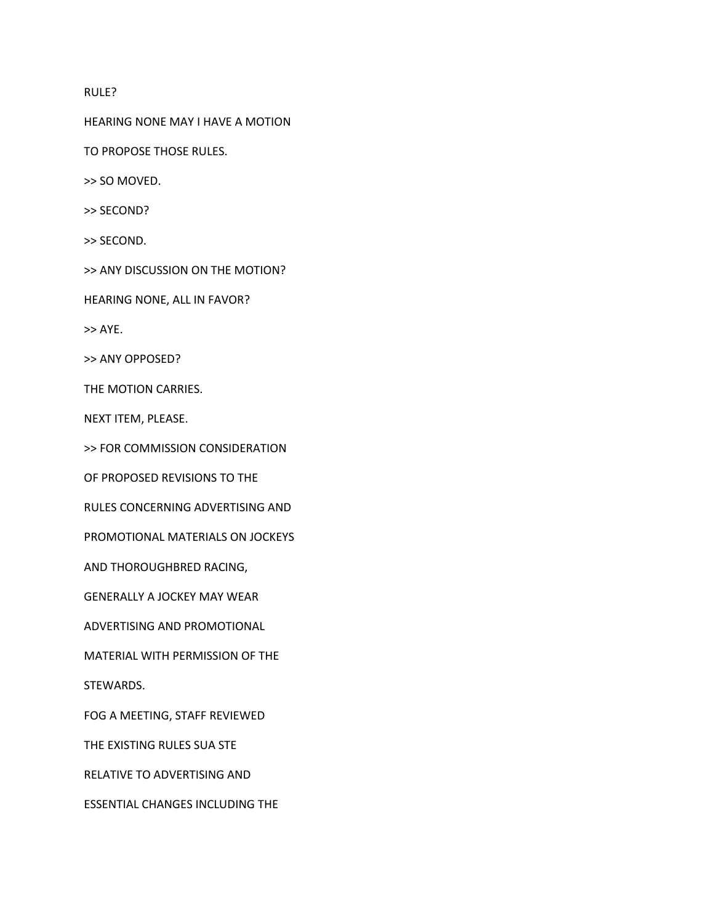## RULE?

HEARING NONE MAY I HAVE A MOTION

TO PROPOSE THOSE RULES.

>> SO MOVED.

>> SECOND?

>> SECOND.

>> ANY DISCUSSION ON THE MOTION?

HEARING NONE, ALL IN FAVOR?

>> AYE.

>> ANY OPPOSED?

THE MOTION CARRIES.

NEXT ITEM, PLEASE.

>> FOR COMMISSION CONSIDERATION

OF PROPOSED REVISIONS TO THE

RULES CONCERNING ADVERTISING AND

PROMOTIONAL MATERIALS ON JOCKEYS

AND THOROUGHBRED RACING,

GENERALLY A JOCKEY MAY WEAR

ADVERTISING AND PROMOTIONAL

MATERIAL WITH PERMISSION OF THE

STEWARDS.

FOG A MEETING, STAFF REVIEWED

THE EXISTING RULES SUA STE

RELATIVE TO ADVERTISING AND

ESSENTIAL CHANGES INCLUDING THE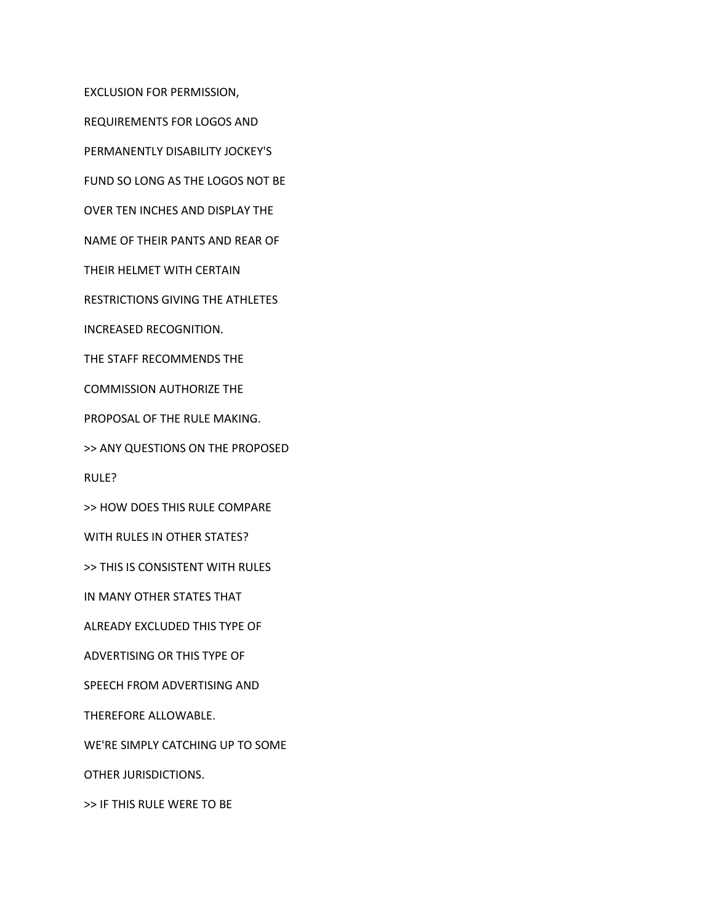EXCLUSION FOR PERMISSION,

REQUIREMENTS FOR LOGOS AND

PERMANENTLY DISABILITY JOCKEY'S

FUND SO LONG AS THE LOGOS NOT BE

OVER TEN INCHES AND DISPLAY THE

NAME OF THEIR PANTS AND REAR OF

THEIR HELMET WITH CERTAIN

RESTRICTIONS GIVING THE ATHLETES

INCREASED RECOGNITION.

THE STAFF RECOMMENDS THE

COMMISSION AUTHORIZE THE

PROPOSAL OF THE RULE MAKING.

>> ANY QUESTIONS ON THE PROPOSED

RULE?

>> HOW DOES THIS RULE COMPARE

WITH RULES IN OTHER STATES?

>> THIS IS CONSISTENT WITH RULES

IN MANY OTHER STATES THAT

ALREADY EXCLUDED THIS TYPE OF

ADVERTISING OR THIS TYPE OF

SPEECH FROM ADVERTISING AND

THEREFORE ALLOWABLE.

WE'RE SIMPLY CATCHING UP TO SOME

OTHER JURISDICTIONS.

>> IF THIS RULE WERE TO BE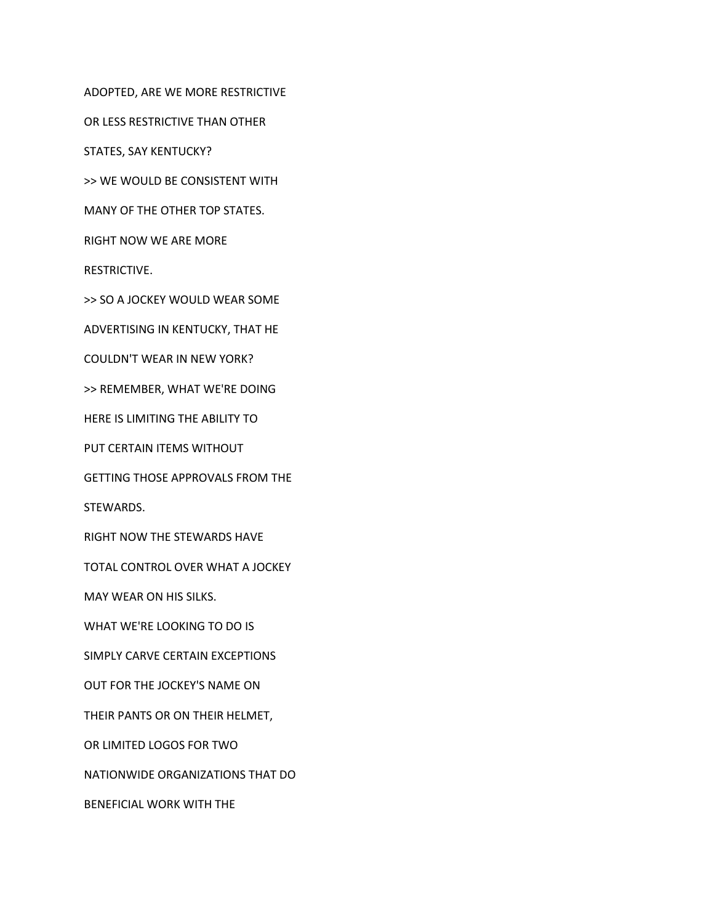ADOPTED, ARE WE MORE RESTRICTIVE

OR LESS RESTRICTIVE THAN OTHER

STATES, SAY KENTUCKY?

>> WE WOULD BE CONSISTENT WITH

MANY OF THE OTHER TOP STATES.

RIGHT NOW WE ARE MORE

RESTRICTIVE.

>> SO A JOCKEY WOULD WEAR SOME

ADVERTISING IN KENTUCKY, THAT HE

COULDN'T WEAR IN NEW YORK?

>> REMEMBER, WHAT WE'RE DOING

HERE IS LIMITING THE ABILITY TO

PUT CERTAIN ITEMS WITHOUT

GETTING THOSE APPROVALS FROM THE

STEWARDS.

RIGHT NOW THE STEWARDS HAVE

TOTAL CONTROL OVER WHAT A JOCKEY

MAY WEAR ON HIS SILKS.

WHAT WE'RE LOOKING TO DO IS

SIMPLY CARVE CERTAIN EXCEPTIONS

OUT FOR THE JOCKEY'S NAME ON

THEIR PANTS OR ON THEIR HELMET,

OR LIMITED LOGOS FOR TWO

NATIONWIDE ORGANIZATIONS THAT DO

BENEFICIAL WORK WITH THE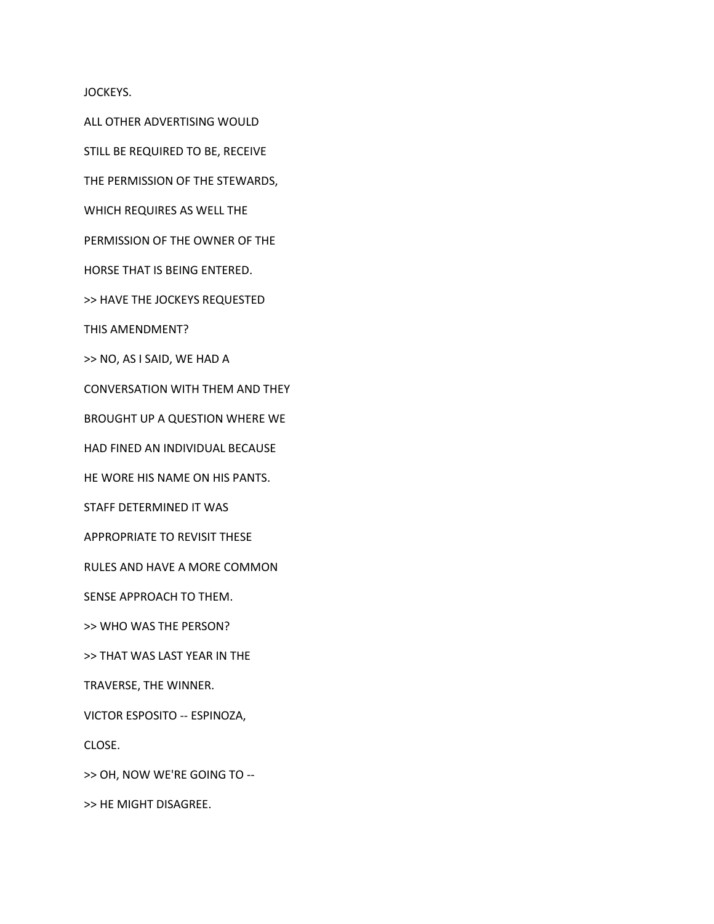JOCKEYS.

ALL OTHER ADVERTISING WOULD

STILL BE REQUIRED TO BE, RECEIVE

THE PERMISSION OF THE STEWARDS,

WHICH REQUIRES AS WELL THE

PERMISSION OF THE OWNER OF THE

HORSE THAT IS BEING ENTERED.

>> HAVE THE JOCKEYS REQUESTED

THIS AMENDMENT?

>> NO, AS I SAID, WE HAD A

CONVERSATION WITH THEM AND THEY

BROUGHT UP A QUESTION WHERE WE

HAD FINED AN INDIVIDUAL BECAUSE

HE WORE HIS NAME ON HIS PANTS.

STAFF DETERMINED IT WAS

APPROPRIATE TO REVISIT THESE

RULES AND HAVE A MORE COMMON

SENSE APPROACH TO THEM.

>> WHO WAS THE PERSON?

>> THAT WAS LAST YEAR IN THE

TRAVERSE, THE WINNER.

VICTOR ESPOSITO -- ESPINOZA,

CLOSE.

>> OH, NOW WE'RE GOING TO --

>> HE MIGHT DISAGREE.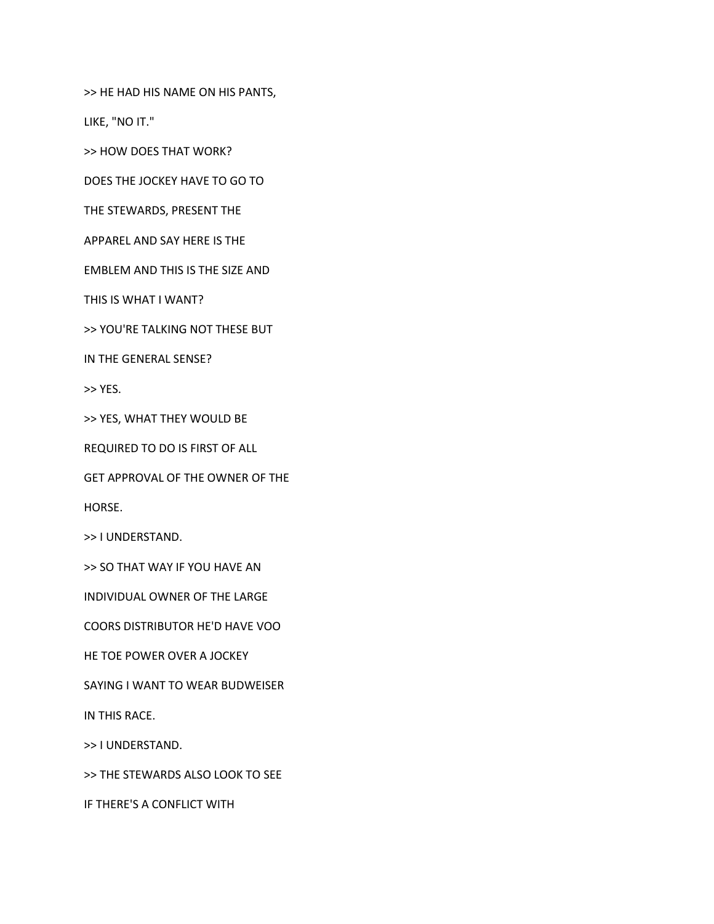>> HE HAD HIS NAME ON HIS PANTS,

LIKE, "NO IT."

>> HOW DOES THAT WORK?

DOES THE JOCKEY HAVE TO GO TO

THE STEWARDS, PRESENT THE

APPAREL AND SAY HERE IS THE

EMBLEM AND THIS IS THE SIZE AND

THIS IS WHAT I WANT?

>> YOU'RE TALKING NOT THESE BUT

IN THE GENERAL SENSE?

>> YES.

>> YES, WHAT THEY WOULD BE

REQUIRED TO DO IS FIRST OF ALL

GET APPROVAL OF THE OWNER OF THE

HORSE.

>> I UNDERSTAND.

>> SO THAT WAY IF YOU HAVE AN

INDIVIDUAL OWNER OF THE LARGE

COORS DISTRIBUTOR HE'D HAVE VOO

HE TOE POWER OVER A JOCKEY

SAYING I WANT TO WEAR BUDWEISER

IN THIS RACE.

>> I UNDERSTAND.

>> THE STEWARDS ALSO LOOK TO SEE

IF THERE'S A CONFLICT WITH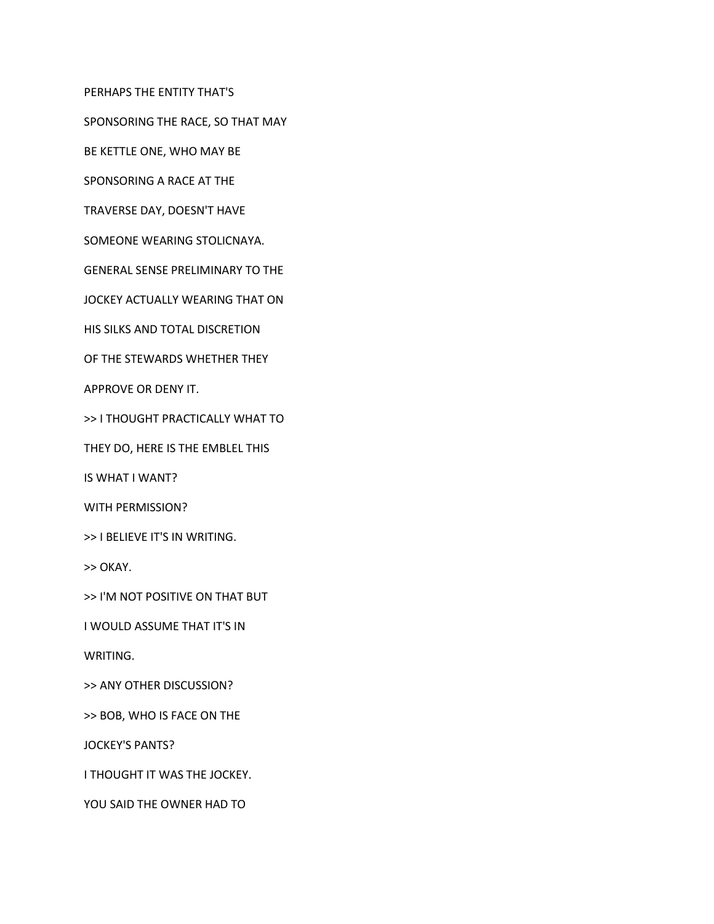PERHAPS THE ENTITY THAT'S

SPONSORING THE RACE, SO THAT MAY

BE KETTLE ONE, WHO MAY BE

SPONSORING A RACE AT THE

TRAVERSE DAY, DOESN'T HAVE

SOMEONE WEARING STOLICNAYA.

GENERAL SENSE PRELIMINARY TO THE

JOCKEY ACTUALLY WEARING THAT ON

HIS SILKS AND TOTAL DISCRETION

OF THE STEWARDS WHETHER THEY

APPROVE OR DENY IT.

>> I THOUGHT PRACTICALLY WHAT TO

THEY DO, HERE IS THE EMBLEL THIS

IS WHAT I WANT?

WITH PERMISSION?

>> I BELIEVE IT'S IN WRITING.

>> OKAY.

>> I'M NOT POSITIVE ON THAT BUT

I WOULD ASSUME THAT IT'S IN

WRITING.

>> ANY OTHER DISCUSSION?

>> BOB, WHO IS FACE ON THE

JOCKEY'S PANTS?

I THOUGHT IT WAS THE JOCKEY.

YOU SAID THE OWNER HAD TO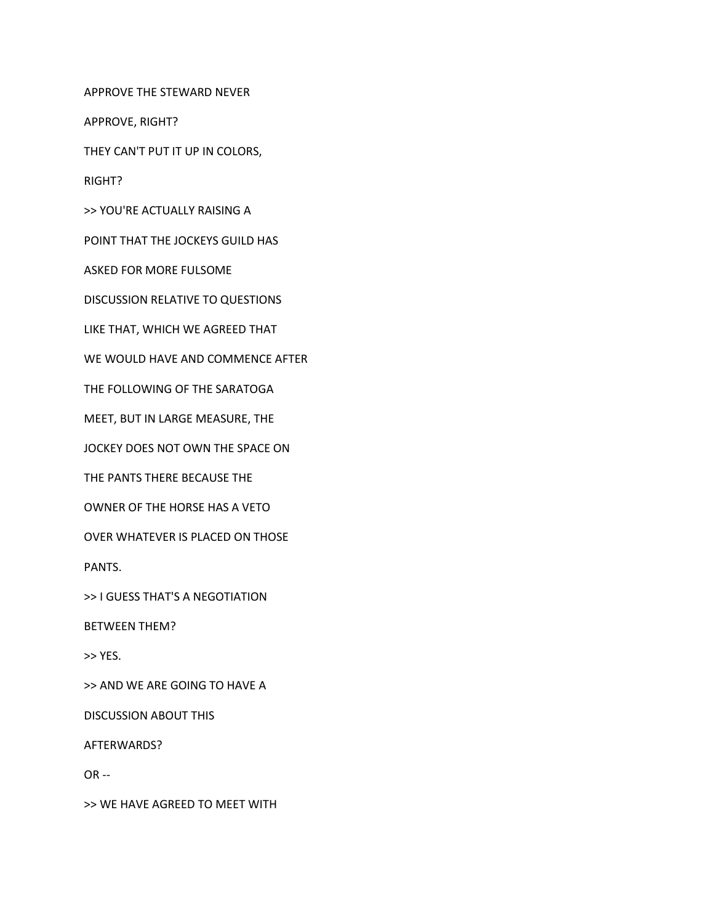APPROVE THE STEWARD NEVER

APPROVE, RIGHT?

THEY CAN'T PUT IT UP IN COLORS,

RIGHT?

>> YOU'RE ACTUALLY RAISING A

POINT THAT THE JOCKEYS GUILD HAS

ASKED FOR MORE FULSOME

DISCUSSION RELATIVE TO QUESTIONS

LIKE THAT, WHICH WE AGREED THAT

WE WOULD HAVE AND COMMENCE AFTER

THE FOLLOWING OF THE SARATOGA

MEET, BUT IN LARGE MEASURE, THE

JOCKEY DOES NOT OWN THE SPACE ON

THE PANTS THERE BECAUSE THE

OWNER OF THE HORSE HAS A VETO

OVER WHATEVER IS PLACED ON THOSE

PANTS.

>> I GUESS THAT'S A NEGOTIATION

BETWEEN THEM?

>> YES.

>> AND WE ARE GOING TO HAVE A

DISCUSSION ABOUT THIS

AFTERWARDS?

OR --

>> WE HAVE AGREED TO MEET WITH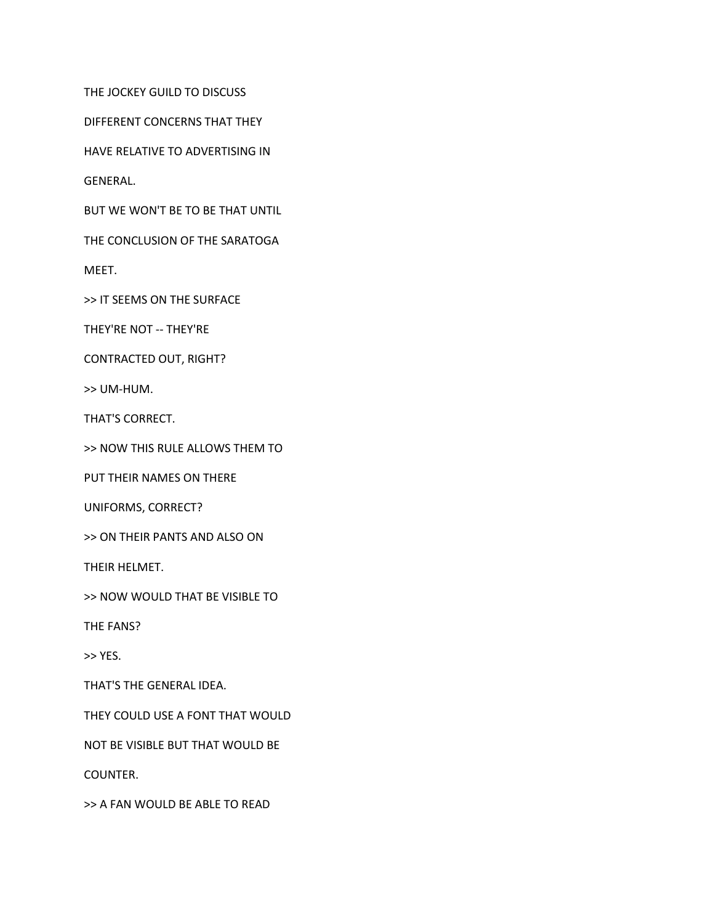THE JOCKEY GUILD TO DISCUSS

DIFFERENT CONCERNS THAT THEY

HAVE RELATIVE TO ADVERTISING IN

GENERAL.

BUT WE WON'T BE TO BE THAT UNTIL

THE CONCLUSION OF THE SARATOGA

MEET.

>> IT SEEMS ON THE SURFACE

THEY'RE NOT -- THEY'RE

CONTRACTED OUT, RIGHT?

>> UM-HUM.

THAT'S CORRECT.

>> NOW THIS RULE ALLOWS THEM TO

PUT THEIR NAMES ON THERE

UNIFORMS, CORRECT?

>> ON THEIR PANTS AND ALSO ON

THEIR HELMET.

>> NOW WOULD THAT BE VISIBLE TO

THE FANS?

>> YES.

THAT'S THE GENERAL IDEA.

THEY COULD USE A FONT THAT WOULD

NOT BE VISIBLE BUT THAT WOULD BE

COUNTER.

>> A FAN WOULD BE ABLE TO READ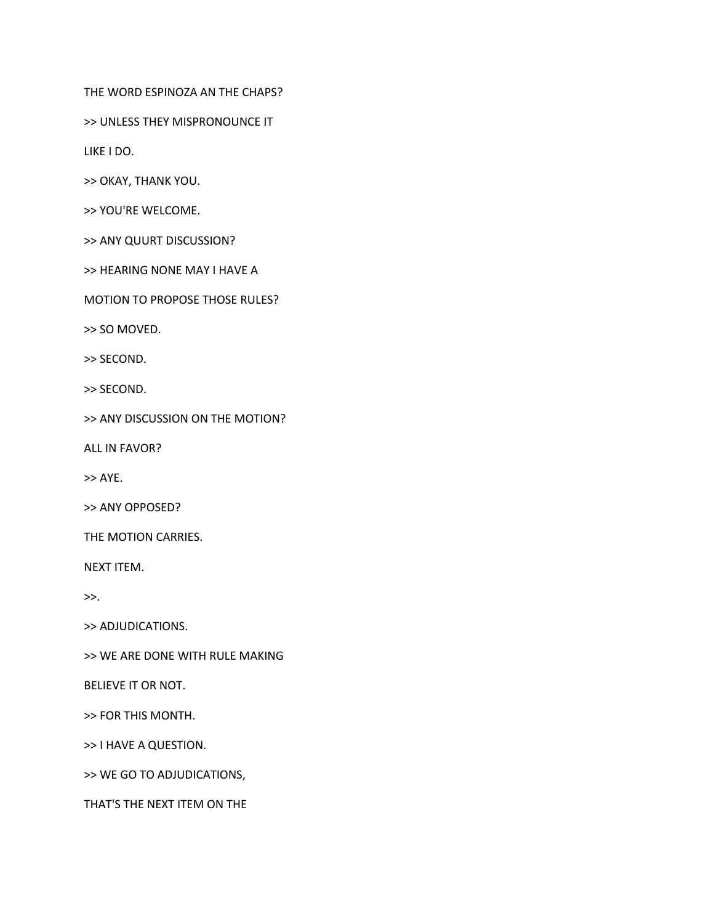THE WORD ESPINOZA AN THE CHAPS?

>> UNLESS THEY MISPRONOUNCE IT

LIKE I DO.

>> OKAY, THANK YOU.

>> YOU'RE WELCOME.

>> ANY QUURT DISCUSSION?

>> HEARING NONE MAY I HAVE A

MOTION TO PROPOSE THOSE RULES?

>> SO MOVED.

>> SECOND.

>> SECOND.

>> ANY DISCUSSION ON THE MOTION?

ALL IN FAVOR?

>> AYE.

>> ANY OPPOSED?

THE MOTION CARRIES.

NEXT ITEM.

>>.

>> ADJUDICATIONS.

>> WE ARE DONE WITH RULE MAKING

BELIEVE IT OR NOT.

>> FOR THIS MONTH.

>> I HAVE A QUESTION.

>> WE GO TO ADJUDICATIONS,

THAT'S THE NEXT ITEM ON THE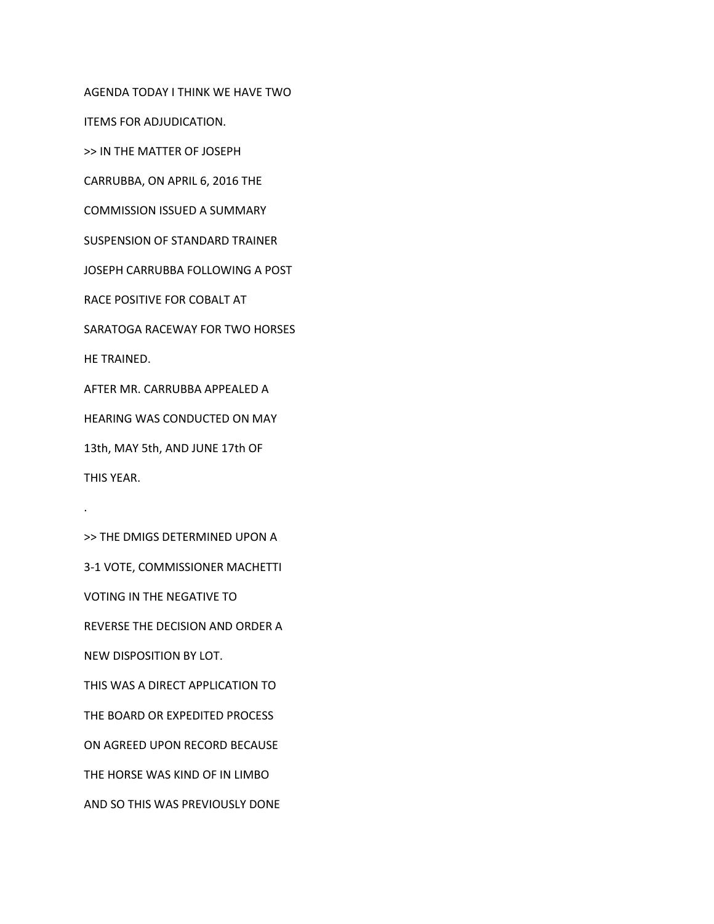AGENDA TODAY I THINK WE HAVE TWO ITEMS FOR ADJUDICATION. >> IN THE MATTER OF JOSEPH CARRUBBA, ON APRIL 6, 2016 THE COMMISSION ISSUED A SUMMARY SUSPENSION OF STANDARD TRAINER JOSEPH CARRUBBA FOLLOWING A POST RACE POSITIVE FOR COBALT AT SARATOGA RACEWAY FOR TWO HORSES HE TRAINED. AFTER MR. CARRUBBA APPEALED A HEARING WAS CONDUCTED ON MAY 13th, MAY 5th, AND JUNE 17th OF THIS YEAR.

>> THE DMIGS DETERMINED UPON A 3-1 VOTE, COMMISSIONER MACHETTI VOTING IN THE NEGATIVE TO REVERSE THE DECISION AND ORDER A NEW DISPOSITION BY LOT. THIS WAS A DIRECT APPLICATION TO THE BOARD OR EXPEDITED PROCESS ON AGREED UPON RECORD BECAUSE THE HORSE WAS KIND OF IN LIMBO AND SO THIS WAS PREVIOUSLY DONE

.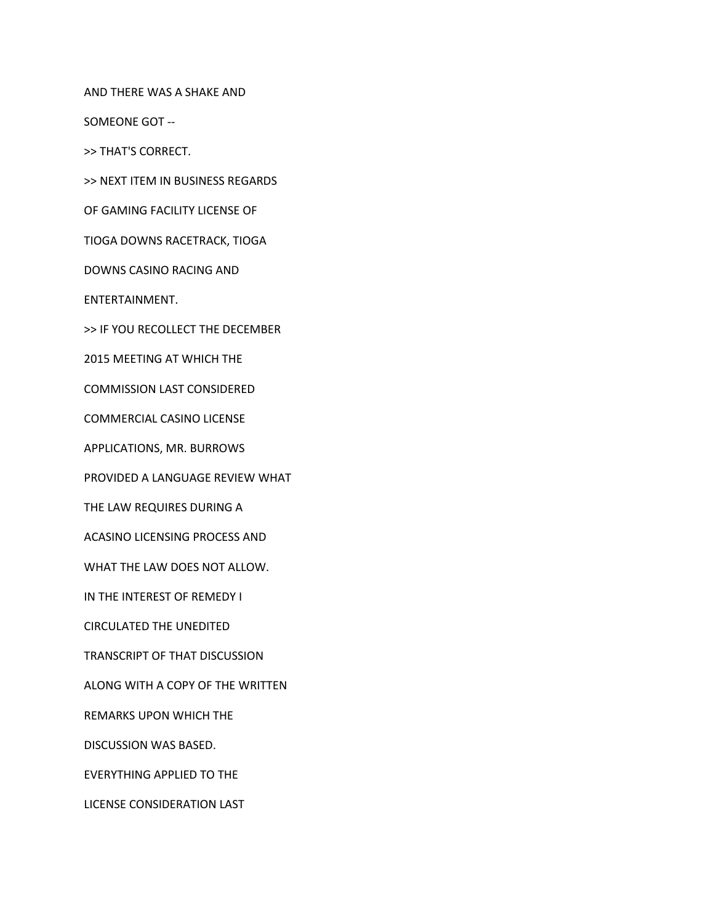AND THERE WAS A SHAKE AND

SOMEONE GOT --

>> THAT'S CORRECT.

>> NEXT ITEM IN BUSINESS REGARDS

OF GAMING FACILITY LICENSE OF

TIOGA DOWNS RACETRACK, TIOGA

DOWNS CASINO RACING AND

ENTERTAINMENT.

>> IF YOU RECOLLECT THE DECEMBER

2015 MEETING AT WHICH THE

COMMISSION LAST CONSIDERED

COMMERCIAL CASINO LICENSE

APPLICATIONS, MR. BURROWS

PROVIDED A LANGUAGE REVIEW WHAT

THE LAW REQUIRES DURING A

ACASINO LICENSING PROCESS AND

WHAT THE LAW DOES NOT ALLOW.

IN THE INTEREST OF REMEDY I

CIRCULATED THE UNEDITED

TRANSCRIPT OF THAT DISCUSSION

ALONG WITH A COPY OF THE WRITTEN

REMARKS UPON WHICH THE

DISCUSSION WAS BASED.

EVERYTHING APPLIED TO THE

LICENSE CONSIDERATION LAST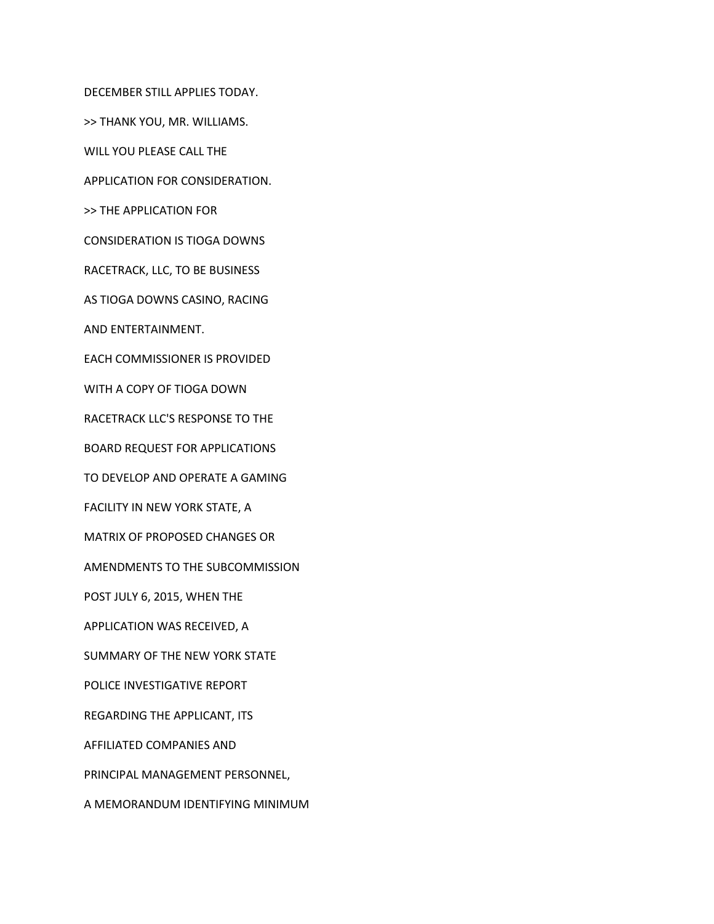DECEMBER STILL APPLIES TODAY. >> THANK YOU, MR. WILLIAMS. WILL YOU PLEASE CALL THE APPLICATION FOR CONSIDERATION. >> THE APPLICATION FOR CONSIDERATION IS TIOGA DOWNS RACETRACK, LLC, TO BE BUSINESS AS TIOGA DOWNS CASINO, RACING AND ENTERTAINMENT. EACH COMMISSIONER IS PROVIDED WITH A COPY OF TIOGA DOWN RACETRACK LLC'S RESPONSE TO THE BOARD REQUEST FOR APPLICATIONS TO DEVELOP AND OPERATE A GAMING FACILITY IN NEW YORK STATE, A MATRIX OF PROPOSED CHANGES OR AMENDMENTS TO THE SUBCOMMISSION POST JULY 6, 2015, WHEN THE APPLICATION WAS RECEIVED, A SUMMARY OF THE NEW YORK STATE POLICE INVESTIGATIVE REPORT REGARDING THE APPLICANT, ITS AFFILIATED COMPANIES AND PRINCIPAL MANAGEMENT PERSONNEL, A MEMORANDUM IDENTIFYING MINIMUM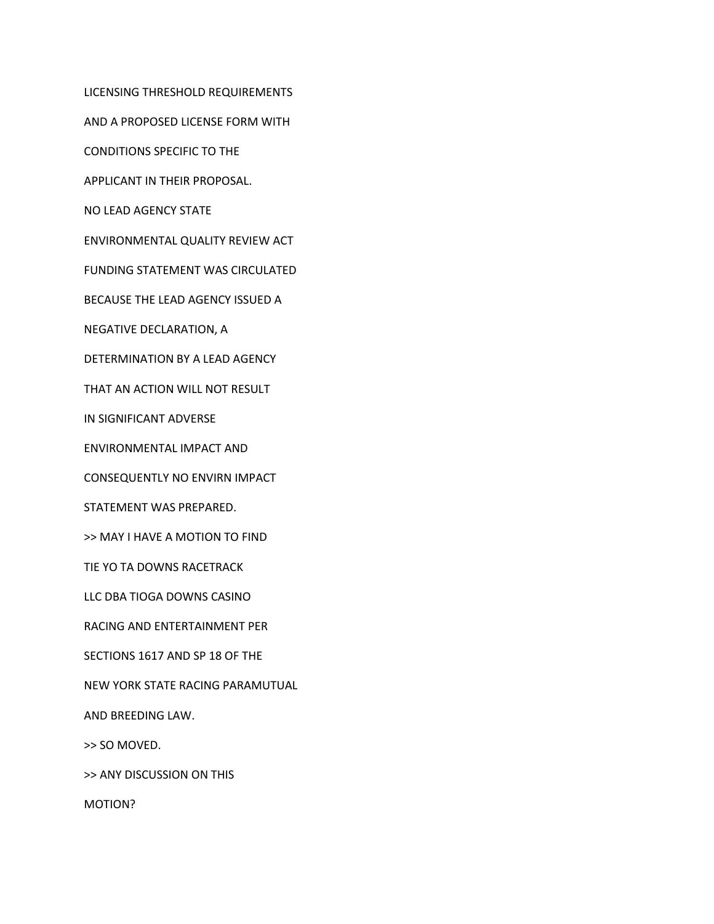LICENSING THRESHOLD REQUIREMENTS

AND A PROPOSED LICENSE FORM WITH

CONDITIONS SPECIFIC TO THE

APPLICANT IN THEIR PROPOSAL.

NO LEAD AGENCY STATE

ENVIRONMENTAL QUALITY REVIEW ACT

FUNDING STATEMENT WAS CIRCULATED

BECAUSE THE LEAD AGENCY ISSUED A

NEGATIVE DECLARATION, A

DETERMINATION BY A LEAD AGENCY

THAT AN ACTION WILL NOT RESULT

IN SIGNIFICANT ADVERSE

ENVIRONMENTAL IMPACT AND

CONSEQUENTLY NO ENVIRN IMPACT

STATEMENT WAS PREPARED.

>> MAY I HAVE A MOTION TO FIND

TIE YO TA DOWNS RACETRACK

LLC DBA TIOGA DOWNS CASINO

RACING AND ENTERTAINMENT PER

SECTIONS 1617 AND SP 18 OF THE

NEW YORK STATE RACING PARAMUTUAL

AND BREEDING LAW.

>> SO MOVED.

>> ANY DISCUSSION ON THIS

MOTION?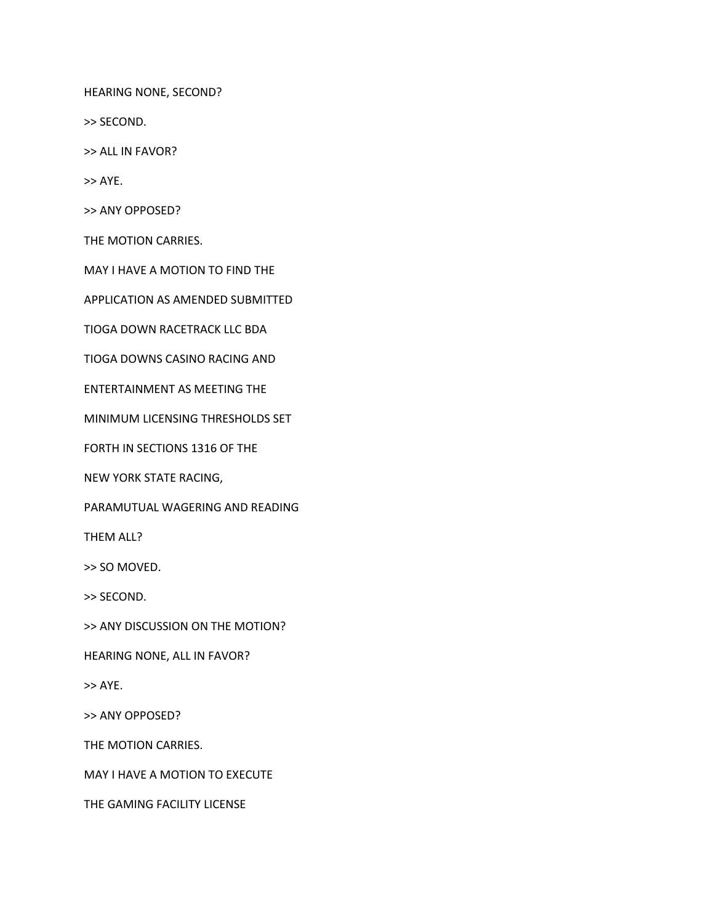HEARING NONE, SECOND?

>> SECOND.

>> ALL IN FAVOR?

>> AYE.

>> ANY OPPOSED?

THE MOTION CARRIES.

MAY I HAVE A MOTION TO FIND THE

APPLICATION AS AMENDED SUBMITTED

TIOGA DOWN RACETRACK LLC BDA

TIOGA DOWNS CASINO RACING AND

ENTERTAINMENT AS MEETING THE

MINIMUM LICENSING THRESHOLDS SET

FORTH IN SECTIONS 1316 OF THE

NEW YORK STATE RACING,

PARAMUTUAL WAGERING AND READING

THEM ALL?

>> SO MOVED.

>> SECOND.

>> ANY DISCUSSION ON THE MOTION?

HEARING NONE, ALL IN FAVOR?

>> AYE.

>> ANY OPPOSED?

THE MOTION CARRIES.

MAY I HAVE A MOTION TO EXECUTE

THE GAMING FACILITY LICENSE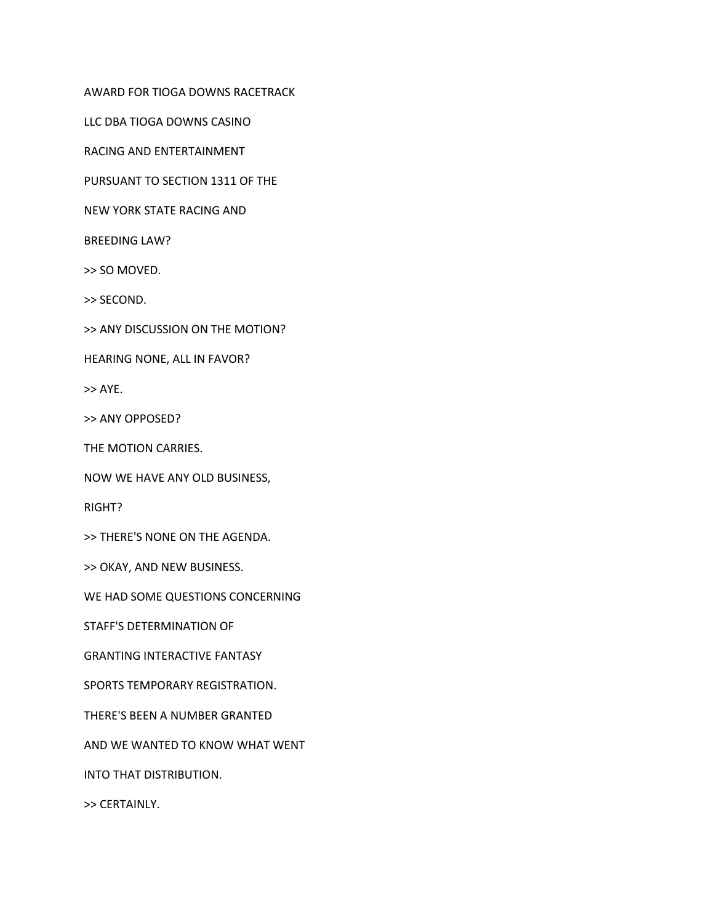AWARD FOR TIOGA DOWNS RACETRACK

LLC DBA TIOGA DOWNS CASINO

RACING AND ENTERTAINMENT

PURSUANT TO SECTION 1311 OF THE

NEW YORK STATE RACING AND

BREEDING LAW?

>> SO MOVED.

>> SECOND.

>> ANY DISCUSSION ON THE MOTION?

HEARING NONE, ALL IN FAVOR?

>> AYE.

>> ANY OPPOSED?

THE MOTION CARRIES.

NOW WE HAVE ANY OLD BUSINESS,

RIGHT?

>> THERE'S NONE ON THE AGENDA.

>> OKAY, AND NEW BUSINESS.

WE HAD SOME QUESTIONS CONCERNING

STAFF'S DETERMINATION OF

GRANTING INTERACTIVE FANTASY

SPORTS TEMPORARY REGISTRATION.

THERE'S BEEN A NUMBER GRANTED

AND WE WANTED TO KNOW WHAT WENT

INTO THAT DISTRIBUTION.

>> CERTAINLY.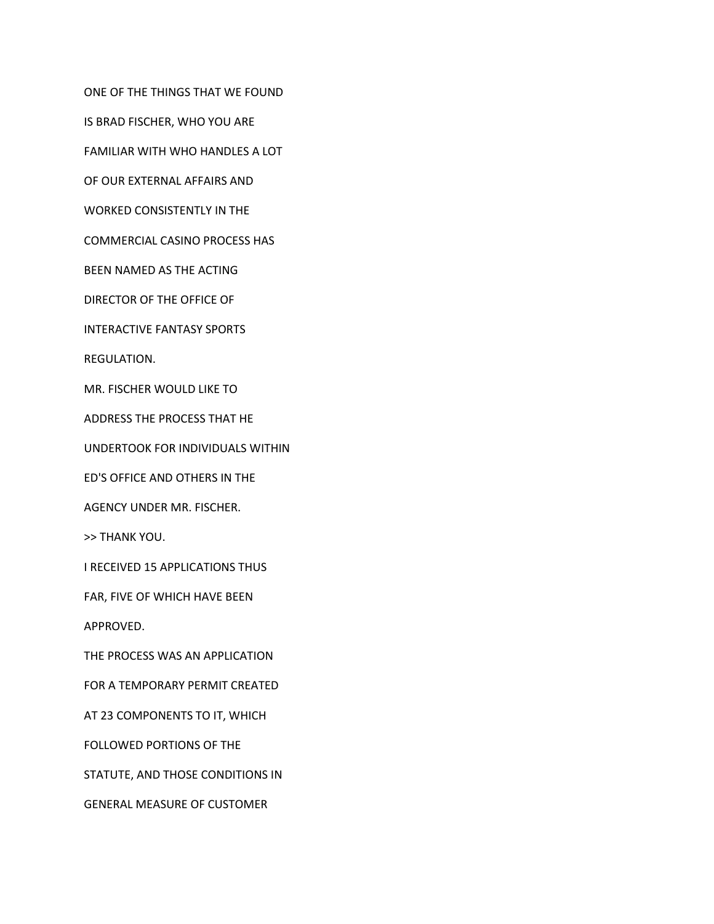ONE OF THE THINGS THAT WE FOUND

IS BRAD FISCHER, WHO YOU ARE

FAMILIAR WITH WHO HANDLES A LOT

OF OUR EXTERNAL AFFAIRS AND

WORKED CONSISTENTLY IN THE

COMMERCIAL CASINO PROCESS HAS

BEEN NAMED AS THE ACTING

DIRECTOR OF THE OFFICE OF

INTERACTIVE FANTASY SPORTS

REGULATION.

MR. FISCHER WOULD LIKE TO

ADDRESS THE PROCESS THAT HE

UNDERTOOK FOR INDIVIDUALS WITHIN

ED'S OFFICE AND OTHERS IN THE

AGENCY UNDER MR. FISCHER.

>> THANK YOU.

I RECEIVED 15 APPLICATIONS THUS

FAR, FIVE OF WHICH HAVE BEEN

APPROVED.

THE PROCESS WAS AN APPLICATION

FOR A TEMPORARY PERMIT CREATED

AT 23 COMPONENTS TO IT, WHICH

FOLLOWED PORTIONS OF THE

STATUTE, AND THOSE CONDITIONS IN

GENERAL MEASURE OF CUSTOMER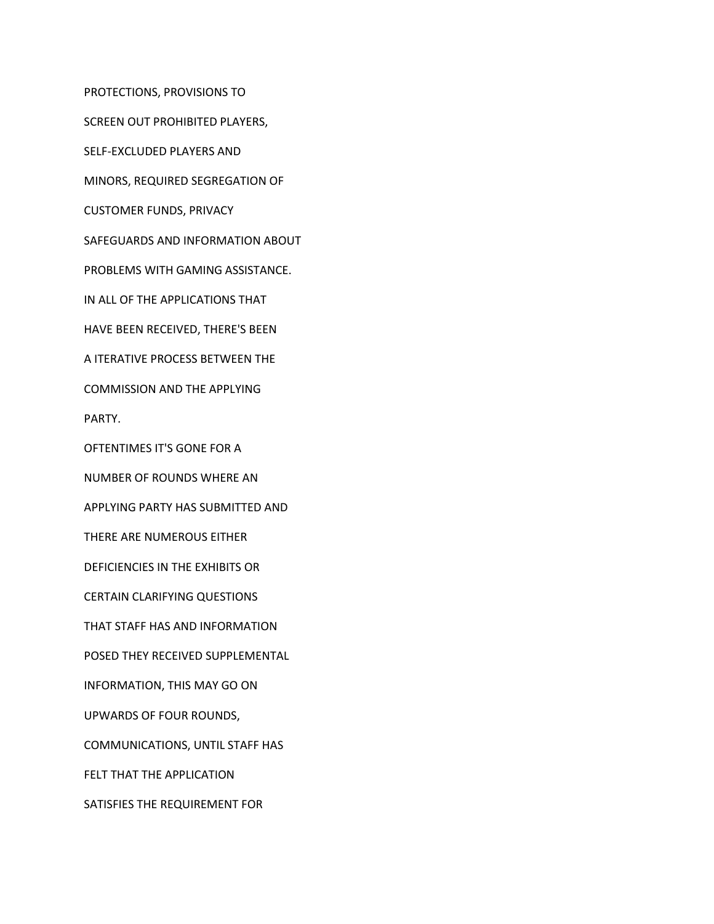PROTECTIONS, PROVISIONS TO

SCREEN OUT PROHIBITED PLAYERS,

SELF-EXCLUDED PLAYERS AND

MINORS, REQUIRED SEGREGATION OF

CUSTOMER FUNDS, PRIVACY

SAFEGUARDS AND INFORMATION ABOUT

PROBLEMS WITH GAMING ASSISTANCE.

IN ALL OF THE APPLICATIONS THAT

HAVE BEEN RECEIVED, THERE'S BEEN

A ITERATIVE PROCESS BETWEEN THE

COMMISSION AND THE APPLYING

PARTY.

OFTENTIMES IT'S GONE FOR A

NUMBER OF ROUNDS WHERE AN

APPLYING PARTY HAS SUBMITTED AND

THERE ARE NUMEROUS EITHER

DEFICIENCIES IN THE EXHIBITS OR

CERTAIN CLARIFYING QUESTIONS

THAT STAFF HAS AND INFORMATION

POSED THEY RECEIVED SUPPLEMENTAL

INFORMATION, THIS MAY GO ON

UPWARDS OF FOUR ROUNDS,

COMMUNICATIONS, UNTIL STAFF HAS

FELT THAT THE APPLICATION

SATISFIES THE REQUIREMENT FOR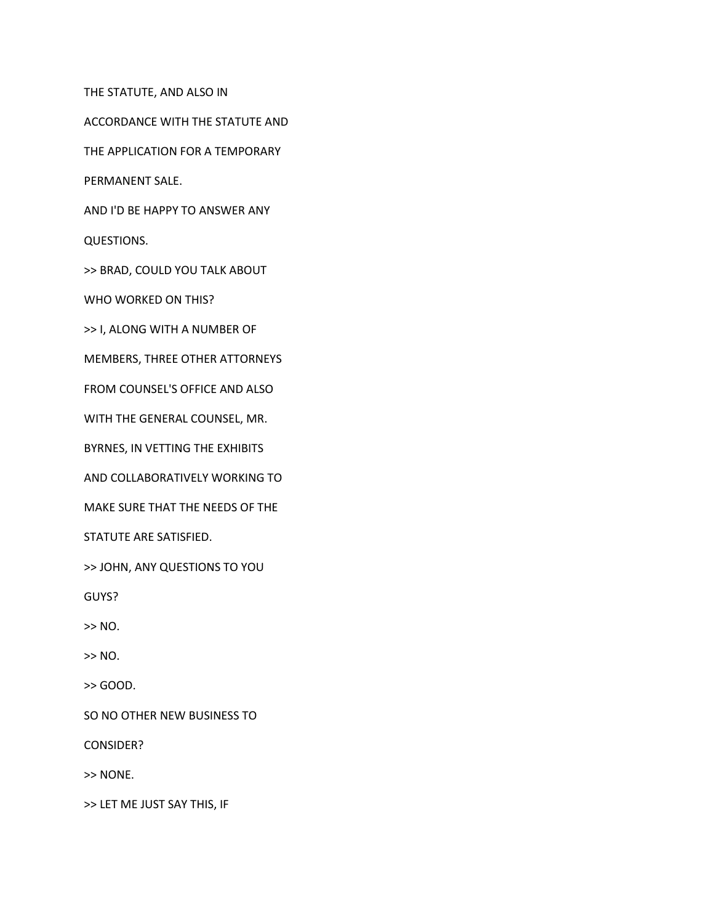THE STATUTE, AND ALSO IN

ACCORDANCE WITH THE STATUTE AND

THE APPLICATION FOR A TEMPORARY

PERMANENT SALE.

AND I'D BE HAPPY TO ANSWER ANY

QUESTIONS.

>> BRAD, COULD YOU TALK ABOUT

WHO WORKED ON THIS?

>> I, ALONG WITH A NUMBER OF

MEMBERS, THREE OTHER ATTORNEYS

FROM COUNSEL'S OFFICE AND ALSO

WITH THE GENERAL COUNSEL, MR.

BYRNES, IN VETTING THE EXHIBITS

AND COLLABORATIVELY WORKING TO

MAKE SURE THAT THE NEEDS OF THE

STATUTE ARE SATISFIED.

>> JOHN, ANY QUESTIONS TO YOU

GUYS?

>> NO.

>> NO.

>> GOOD.

SO NO OTHER NEW BUSINESS TO

CONSIDER?

>> NONE.

>> LET ME JUST SAY THIS, IF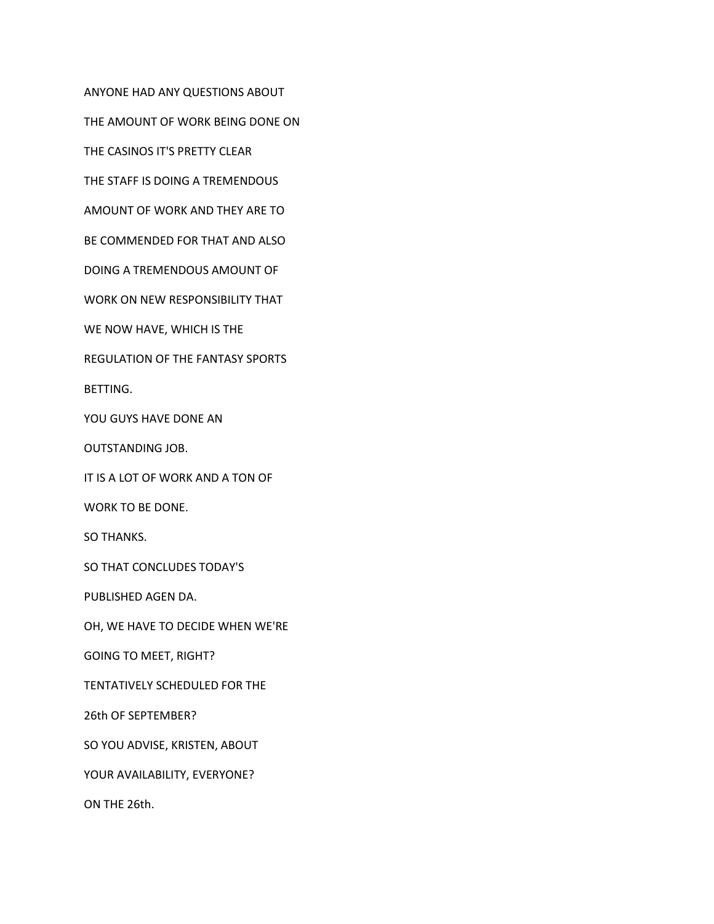ANYONE HAD ANY QUESTIONS ABOUT

THE AMOUNT OF WORK BEING DONE ON

THE CASINOS IT'S PRETTY CLEAR

THE STAFF IS DOING A TREMENDOUS

AMOUNT OF WORK AND THEY ARE TO

BE COMMENDED FOR THAT AND ALSO

DOING A TREMENDOUS AMOUNT OF

WORK ON NEW RESPONSIBILITY THAT

WE NOW HAVE, WHICH IS THE

REGULATION OF THE FANTASY SPORTS

BETTING.

YOU GUYS HAVE DONE AN

OUTSTANDING JOB.

IT IS A LOT OF WORK AND A TON OF

WORK TO BE DONE.

SO THANKS.

SO THAT CONCLUDES TODAY'S

PUBLISHED AGEN DA.

OH, WE HAVE TO DECIDE WHEN WE'RE

GOING TO MEET, RIGHT?

TENTATIVELY SCHEDULED FOR THE

26th OF SEPTEMBER?

SO YOU ADVISE, KRISTEN, ABOUT

YOUR AVAILABILITY, EVERYONE?

ON THE 26th.